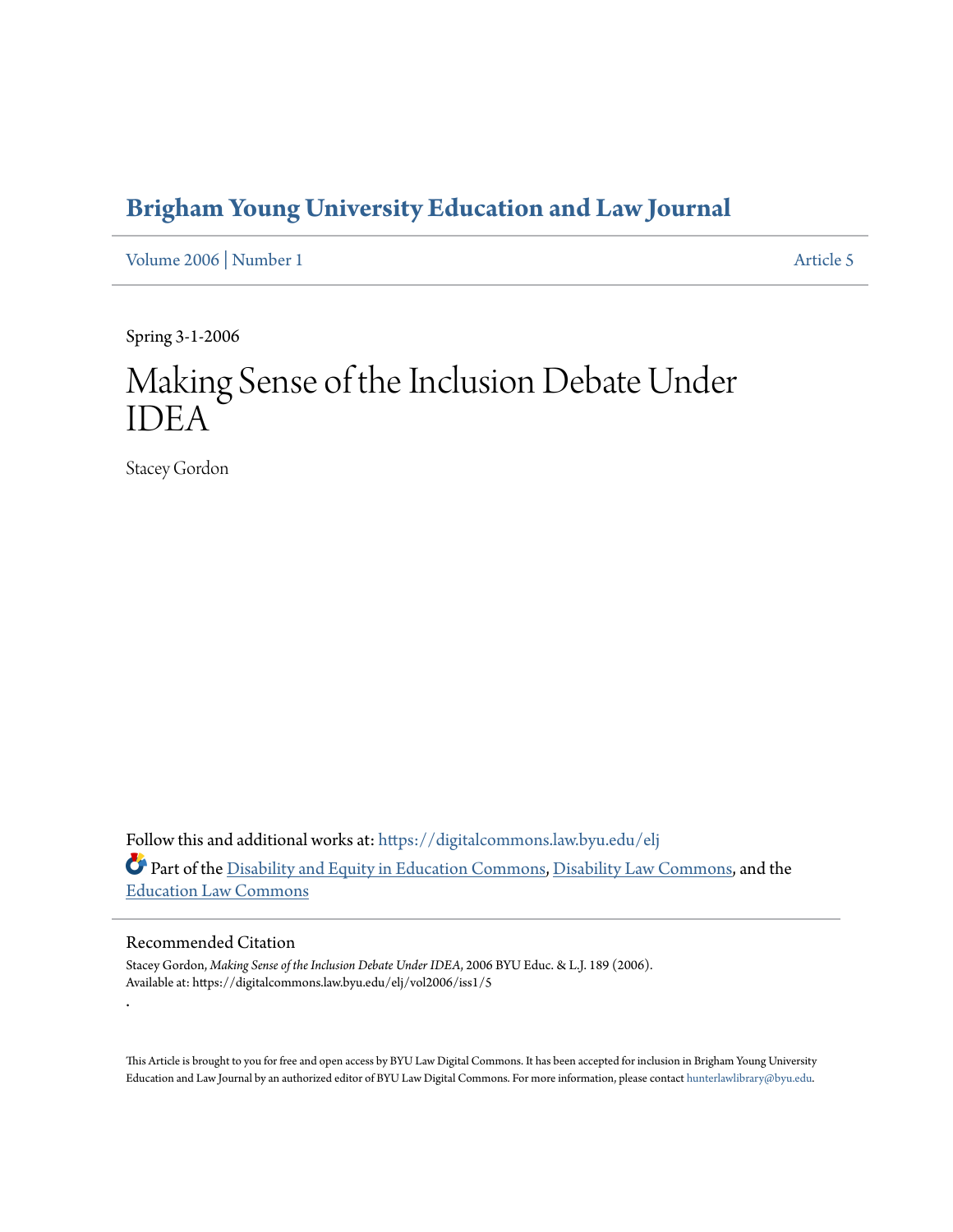# **[Brigham Young University Education and Law Journal](https://digitalcommons.law.byu.edu/elj?utm_source=digitalcommons.law.byu.edu%2Felj%2Fvol2006%2Fiss1%2F5&utm_medium=PDF&utm_campaign=PDFCoverPages)**

[Volume 2006](https://digitalcommons.law.byu.edu/elj/vol2006?utm_source=digitalcommons.law.byu.edu%2Felj%2Fvol2006%2Fiss1%2F5&utm_medium=PDF&utm_campaign=PDFCoverPages) | [Number 1](https://digitalcommons.law.byu.edu/elj/vol2006/iss1?utm_source=digitalcommons.law.byu.edu%2Felj%2Fvol2006%2Fiss1%2F5&utm_medium=PDF&utm_campaign=PDFCoverPages) [Article 5](https://digitalcommons.law.byu.edu/elj/vol2006/iss1/5?utm_source=digitalcommons.law.byu.edu%2Felj%2Fvol2006%2Fiss1%2F5&utm_medium=PDF&utm_campaign=PDFCoverPages)

Spring 3-1-2006

# Making Sense of the Inclusion Debate Under IDEA

Stacey Gordon

Follow this and additional works at: [https://digitalcommons.law.byu.edu/elj](https://digitalcommons.law.byu.edu/elj?utm_source=digitalcommons.law.byu.edu%2Felj%2Fvol2006%2Fiss1%2F5&utm_medium=PDF&utm_campaign=PDFCoverPages) Part of the [Disability and Equity in Education Commons,](http://network.bepress.com/hgg/discipline/1040?utm_source=digitalcommons.law.byu.edu%2Felj%2Fvol2006%2Fiss1%2F5&utm_medium=PDF&utm_campaign=PDFCoverPages) [Disability Law Commons,](http://network.bepress.com/hgg/discipline/1074?utm_source=digitalcommons.law.byu.edu%2Felj%2Fvol2006%2Fiss1%2F5&utm_medium=PDF&utm_campaign=PDFCoverPages) and the [Education Law Commons](http://network.bepress.com/hgg/discipline/596?utm_source=digitalcommons.law.byu.edu%2Felj%2Fvol2006%2Fiss1%2F5&utm_medium=PDF&utm_campaign=PDFCoverPages)

# Recommended Citation

.

Stacey Gordon, *Making Sense of the Inclusion Debate Under IDEA*, 2006 BYU Educ. & L.J. 189 (2006). Available at: https://digitalcommons.law.byu.edu/elj/vol2006/iss1/5

This Article is brought to you for free and open access by BYU Law Digital Commons. It has been accepted for inclusion in Brigham Young University Education and Law Journal by an authorized editor of BYU Law Digital Commons. For more information, please contact [hunterlawlibrary@byu.edu.](mailto:hunterlawlibrary@byu.edu)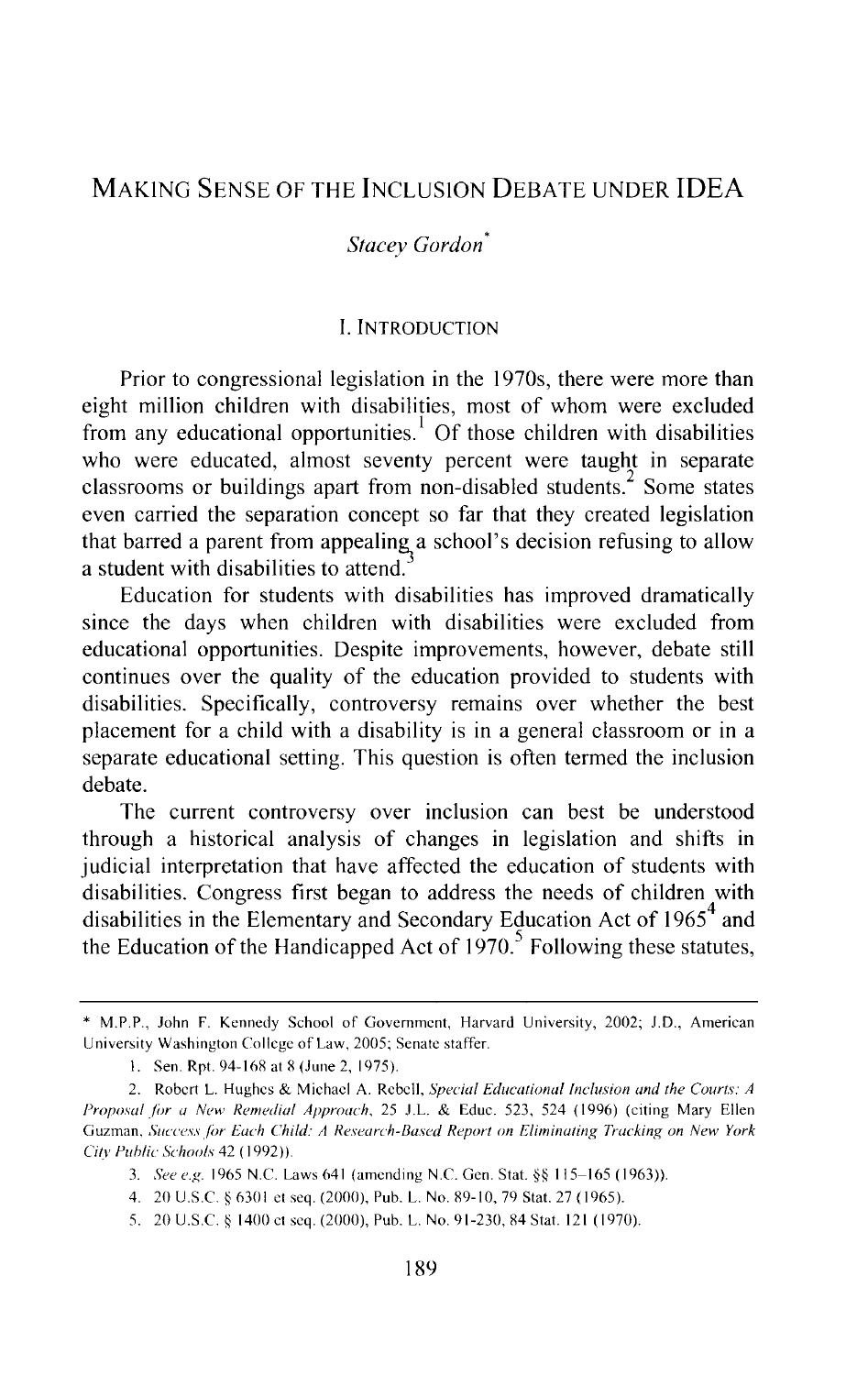# MAKING SENSE OF THE INCLUSION DEBATE UNDER IDEA

## *Stacey Gordon\**

# I. INTRODUCTION

Prior to congressional legislation in the 1970s, there were more than eight million children with disabilities, most of whom were excluded from any educational opportunities.<sup>1</sup> Of those children with disabilities who were educated, almost seventy percent were taught in separate classrooms or buildings apart from non-disabled students. $\sim$  Some states even carried the separation concept so far that they created legislation that barred a parent from appealing a school's decision refusing to allow a student with disabilities to attend.

Education for students with disabilities has improved dramatically since the days when children with disabilities were excluded from educational opportunities. Despite improvements, however, debate still continues over the quality of the education provided to students with disabilities. Specifically, controversy remains over whether the best placement for a child with a disability is in a general classroom or in a separate educational setting. This question is often termed the inclusion debate.

The current controversy over inclusion can best be understood through a historical analysis of changes in legislation and shifts in judicial interpretation that have affected the education of students with disabilities. Congress first began to address the needs of children with disabilities in the Elementary and Secondary Education Act of  $1965<sup>4</sup>$  and the Education of the Handicapped Act of  $1970<sup>5</sup>$  Following these statutes,

<sup>\*</sup> M.P.P., John F. Kennedy School of Government, Harvard University, 2002; J.D., American University Washington College of Law, 2005; Senate staffer.

<sup>1.</sup> Sen. Rpt. 94-168 at 8 (June 2, 1975).

<sup>2.</sup> Robert L. Hughes & Michael A. Rebell, *Special Educational Inclusion and the Courts: A Proposal for a New Remedial Approach*, 25 J.L. & Educ. 523, 524 (1996) (citing Mary Ellen Guzman, *Success for Each Child: A Research-Based Report on Eliminating Tracking on New York Citv Puhlic Schools* 42 ( 1992) ).

<sup>3.</sup> *See e.g* 1965 N.C. Laws 641 (amending N.C. Gen. Stat.§§ 115-165 (1963)).

<sup>4. 20</sup> U.S.C. § 6301 et seq. (2000), Pub. L. No. 89-10,79 Stat. 27 (1965).

<sup>5. 20</sup> U.S.C. § 1400 et seq. (2000), Pub. L. No. 91-230,84 Stat. 121 (1970).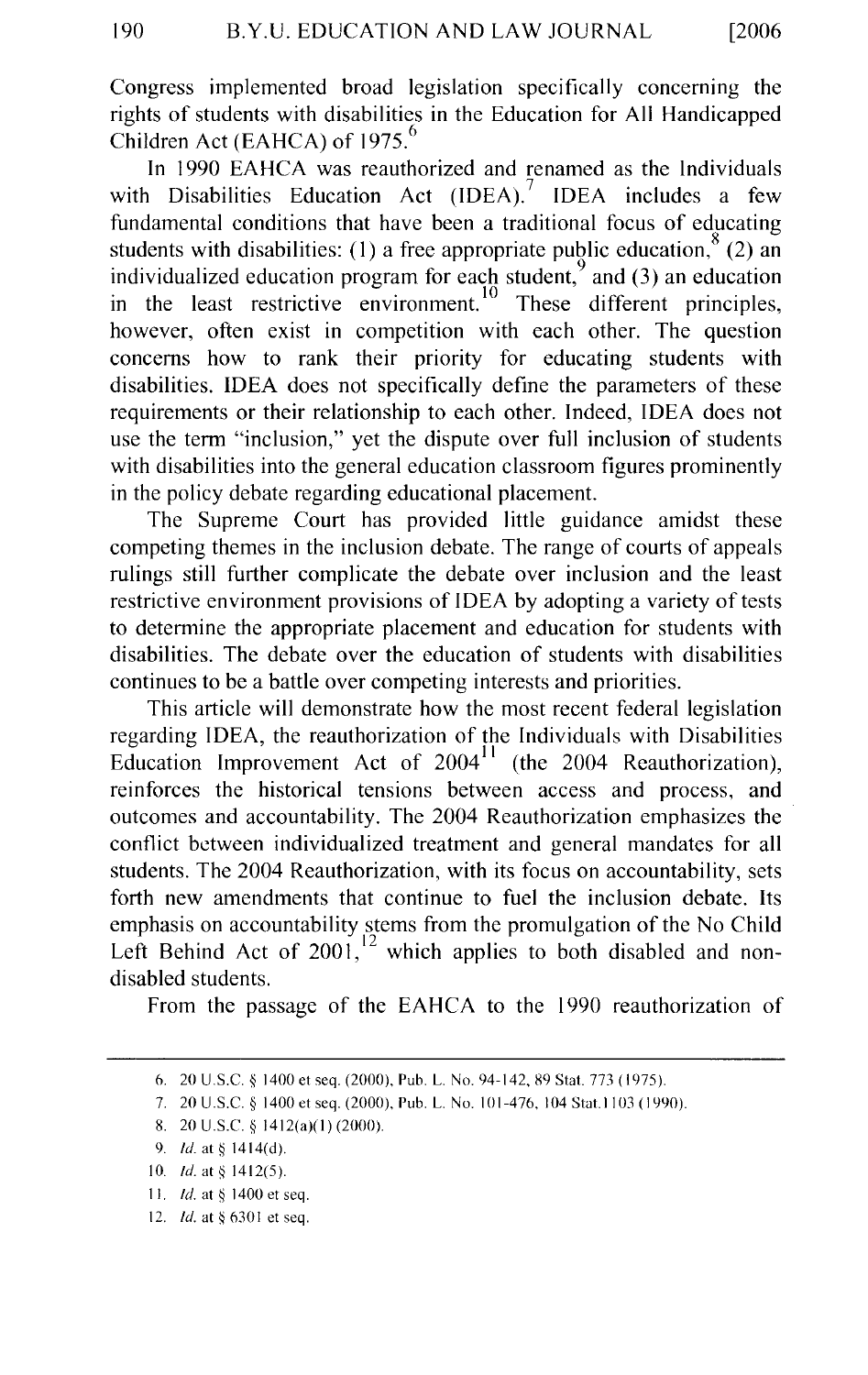Congress implemented broad legislation specifically concerning the rights of students with disabilities in the Education for All Handicapped Children Act (EAHCA) of 1975.<sup>6</sup>

In 1990 EAHCA was reauthorized and renamed as the Individuals with Disabilities Education Act  $(IDEA)$ . IDEA includes a few fundamental conditions that have been a traditional focus of educating students with disabilities: (1) a free appropriate public education,  $8(2)$  and individualized education program for each student, $\frac{9}{2}$  and (3) an education in the least restrictive environment.<sup>10</sup> These different principles, however, often exist in competition with each other. The question concerns how to rank their priority for educating students with disabilities. IDEA does not specifically define the parameters of these requirements or their relationship to each other. Indeed, IDEA does not use the term "inclusion," yet the dispute over full inclusion of students with disabilities into the general education classroom figures prominently in the policy debate regarding educational placement.

The Supreme Court has provided little guidance amidst these competing themes in the inclusion debate. The range of courts of appeals rulings still further complicate the debate over inclusion and the least restrictive environment provisions of IDEA by adopting a variety of tests to determine the appropriate placement and education for students with disabilities. The debate over the education of students with disabilities continues to be a battle over competing interests and priorities.

This article will demonstrate how the most recent federal legislation regarding IDEA, the reauthorization of the Individuals with Disabilities Education Improvement Act of  $2004<sup>11</sup>$  (the 2004 Reauthorization), reinforces the historical tensions between access and process, and outcomes and accountability. The 2004 Reauthorization emphasizes the conflict between individualized treatment and general mandates for all students. The 2004 Reauthorization, with its focus on accountability, sets forth new amendments that continue to fuel the inclusion debate. Its emphasis on accountability stems from the promulgation of the No Child Left Behind Act of  $2001$ ,  $12$  which applies to both disabled and nondisabled students.

From the passage of the EAHCA to the 1990 reauthorization of

- 11. *Id.* at § 1400 et seq.
- 12. *!d.* at § 630 I et seq.

<sup>6. 20</sup> U.S.C. § 1400 et seq. (2000), Pub. L. No. 94-142, 89 Stat. 773 ( 1975 ).

<sup>7. 20</sup> U.S.C. *§* 1400 et seq. (2000), Pub. L. No. 101-476, 104 Stat.ll03 (1990).

<sup>8. 20</sup> U.S.C. § 1412(a)(1) (2000).

<sup>9.</sup> *ld.* at § 1414(d).

<sup>10.</sup> *!d.* at§ 1412(5).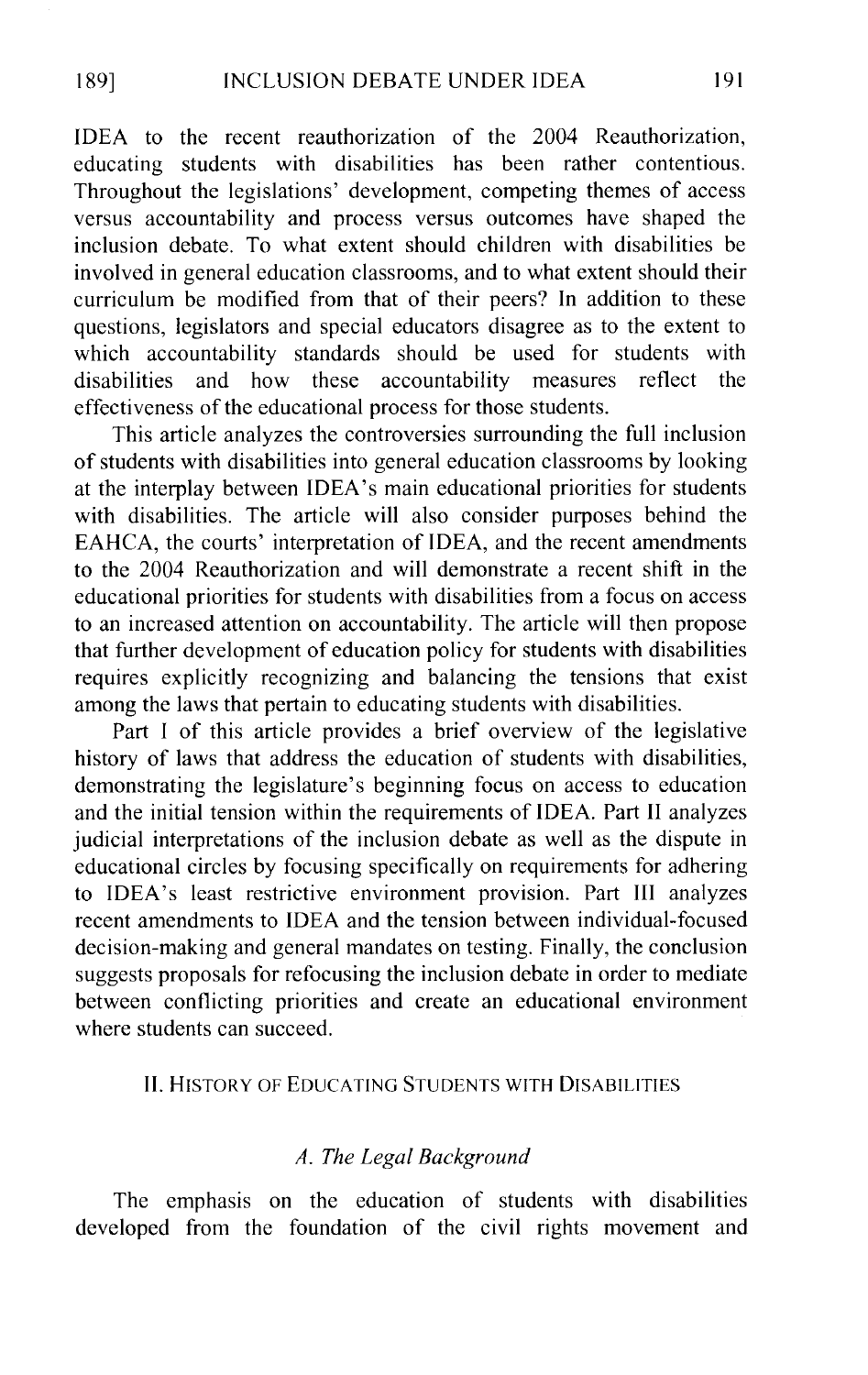IDEA to the recent reauthorization of the 2004 Reauthorization, educating students with disabilities has been rather contentious. Throughout the legislations' development, competing themes of access versus accountability and process versus outcomes have shaped the inclusion debate. To what extent should children with disabilities be involved in general education classrooms, and to what extent should their curriculum be modified from that of their peers? In addition to these questions, legislators and special educators disagree as to the extent to which accountability standards should be used for students with disabilities and how these accountability measures reflect the effectiveness of the educational process for those students.

This article analyzes the controversies surrounding the full inclusion of students with disabilities into general education classrooms by looking at the interplay between IDEA's main educational priorities for students with disabilities. The article will also consider purposes behind the EAHCA, the courts' interpretation of IDEA, and the recent amendments to the 2004 Reauthorization and will demonstrate a recent shift in the educational priorities for students with disabilities from a focus on access to an increased attention on accountability. The article will then propose that further development of education policy for students with disabilities requires explicitly recognizing and balancing the tensions that exist among the laws that pertain to educating students with disabilities.

Part I of this article provides a brief overview of the legislative history of laws that address the education of students with disabilities, demonstrating the legislature's beginning focus on access to education and the initial tension within the requirements of IDEA. Part II analyzes judicial interpretations of the inclusion debate as well as the dispute in educational circles by focusing specifically on requirements for adhering to IDEA's least restrictive environment provision. Part III analyzes recent amendments to IDEA and the tension between individual-focused decision-making and general mandates on testing. Finally, the conclusion suggests proposals for refocusing the inclusion debate in order to mediate between conflicting priorities and create an educational environment where students can succeed.

### II. HISTORY OF EDUCATING STUDENTS WITH DISABILITIES

# *A. The Legal Background*

The emphasis on the education of students with disabilities developed from the foundation of the civil rights movement and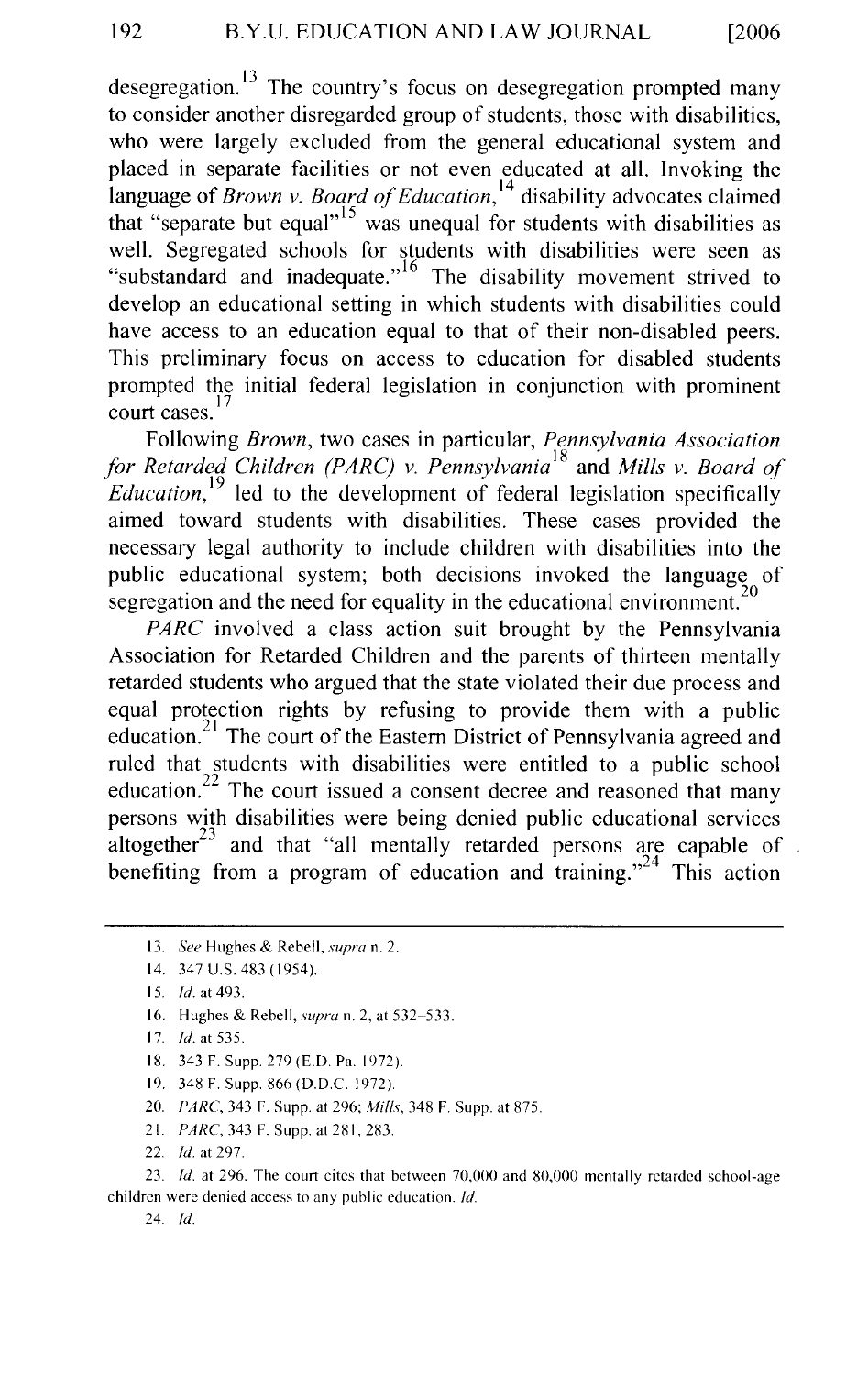desegregation.<sup>13</sup> The country's focus on desegregation prompted many to consider another disregarded group of students, those with disabilities, who were largely excluded from the general educational system and placed in separate facilities or not even educated at all. Invoking the language of *Brown v. Board of Education,* 14 disability advocates claimed that "separate but equal"<sup>15</sup> was unequal for students with disabilities as well. Segregated schools for students with disabilities were seen as "substandard and inadequate."<sup>16</sup> The disability movement strived to develop an educational setting in which students with disabilities could have access to an education equal to that of their non-disabled peers. This preliminary focus on access to education for disabled students prompted the initial federal legislation in conjunction with prominent court cases.<sup>17</sup>

Following *Brown,* two cases in particular, *Pennsylvania Association for Retarded Children (P ARC) v. Pennsylvania* 18 and *Mills v. Board of Education,* 19 led to the development of federal legislation specifically aimed toward students with disabilities. These cases provided the necessary legal authority to include children with disabilities into the public educational system; both decisions invoked the language of segregation and the need for equality in the educational environment.<sup>2</sup>

*PARC* involved a class action suit brought by the Pennsylvania Association for Retarded Children and the parents of thirteen mentally retarded students who argued that the state violated their due process and equal protection rights by refusing to provide them with a public education.<sup>21</sup> The court of the Eastern District of Pennsylvania agreed and ruled that students with disabilities were entitled to a public school education.<sup>22</sup> The court issued a consent decree and reasoned that many persons with disabilities were being denied public educational services altogether $23$  and that "all mentally retarded persons are capable of benefiting from a program of education and training."<sup>24</sup> This action

- 16. Hughes & Rebell, *supra* n. 2, at 532-533.
- 17. *!d.* at 535.
- 18. 343 F. Supp. 279 (E.D. Pa. 1972).
- 19. 348 F. Supp. 866 (D.D.C. 1972)
- 20. *PARC.* 343 F. Supp. at 296; *Mills,* 348 F. Supp. at 875.
- 21. PARC, 343 F. Supp. at 281. 283.
- 22. *!d.* at 297.

23. *!d.* at 296. The court cites that between 70.000 and 80,000 mentally retarded school-age children were denied access to any public education. *!d.* 

24. *!d.* 

<sup>13.</sup> *See* Hughes & Rebell. *supra* n. 2.

<sup>14. 347</sup>U.S.483(1954).

<sup>15.</sup> *!d.* at 493.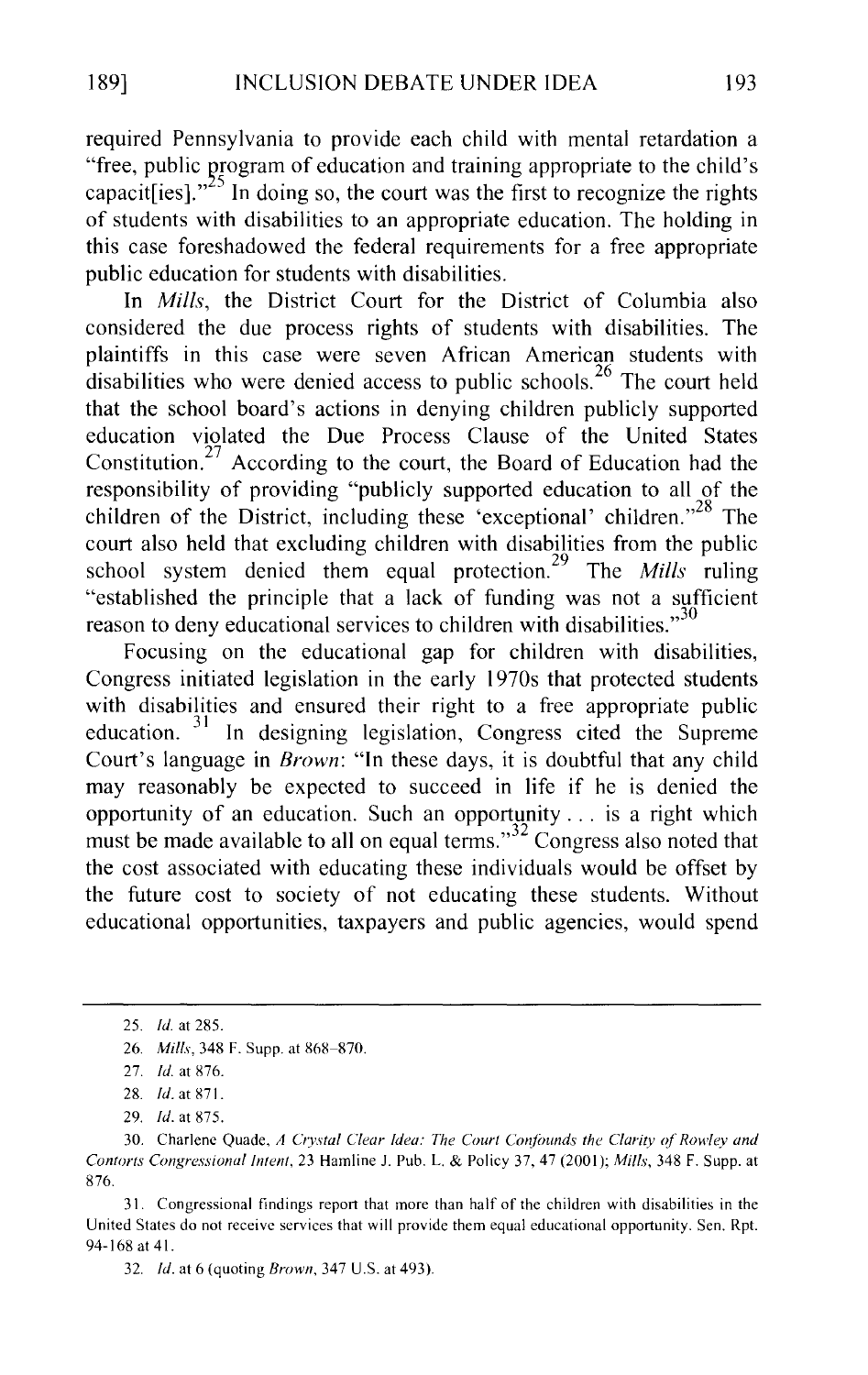required Pennsylvania to provide each child with mental retardation a "free, public program of education and training appropriate to the child's capacit [ies]."<sup>25</sup> In doing so, the court was the first to recognize the rights of students with disabilities to an appropriate education. The holding in this case foreshadowed the federal requirements for a free appropriate public education for students with disabilities.

In *Mills,* the District Court for the District of Columbia also considered the due process rights of students with disabilities. The plaintiffs in this case were seven African American students with disabilities who were denied access to public schools.<sup>26</sup> The court held that the school board's actions in denying children publicly supported education violated the Due Process Clause of the United States Constitution.<sup>27</sup> According to the court, the Board of Education had the responsibility of providing "publicly supported education to all of the children of the District, including these 'exceptional' children."<sup>28</sup> The court also held that excluding children with disabilities from the public school system denied them equal protection. 29 The *Mills* ruling "established the principle that a lack of funding was not a sufficient reason to deny educational services to children with disabilities."<sup>30</sup>

Focusing on the educational gap for children with disabilities, Congress initiated legislation in the early 1970s that protected students with disabilities and ensured their right to a free appropriate public education. 31 In designing legislation, Congress cited the Supreme Court's language in *Brown:* "In these days, it is doubtful that any child may reasonably be expected to succeed in life if he is denied the opportunity of an education. Such an opportunity ... is a right which must be made available to all on equal terms."<sup>32</sup> Congress also noted that the cost associated with educating these individuals would be offset by the future cost to society of not educating these students. Without educational opportunities, taxpayers and public agencies, would spend

31. Congressional findings report that more than half of the children with disabilities in the United States do not receive services that will provide them equal educational opportunity. Sen. Rpt. 94-168 at 41.

32. *!d.* at 6 (quoting *Brown,* 347 U.S. at 493).

<sup>25.</sup> *!d.* at 285.

<sup>26.</sup> *Mills.* 348 F. Supp. at 868-870.

<sup>27.</sup> *!d.* at 876.

<sup>28.</sup> *!d.* at 871.

<sup>29.</sup> *!d.* at 875.

<sup>30.</sup> Charlene Quade, *A Crystal Clear Idea: The Court Confounds the Clarity of Rowley and Contorts Congressional Intent,* 23 Hamline J. Pub. L. & Policy 37,47 (2001); *Mills,* 348 F. Supp. at 876.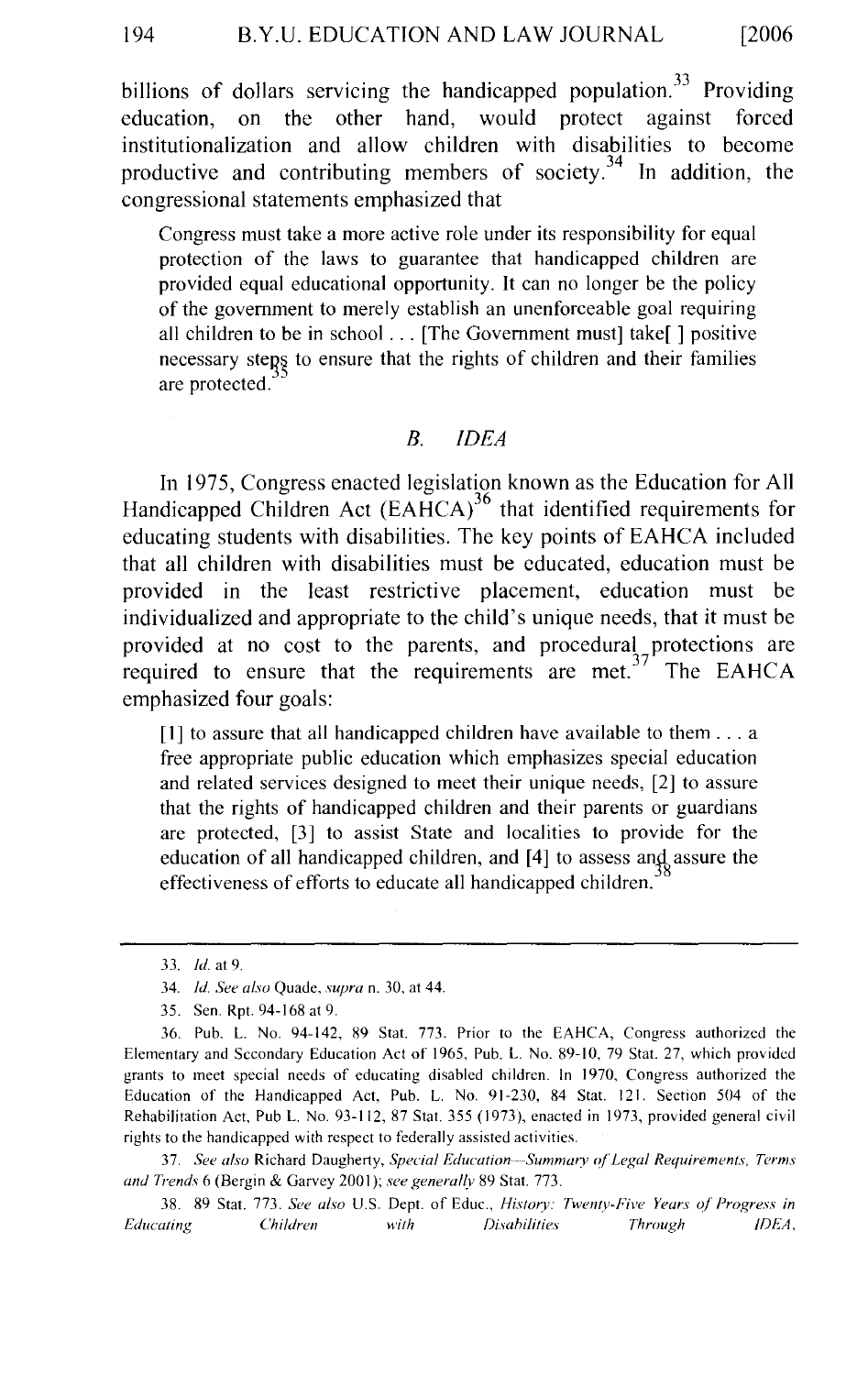billions of dollars servicing the handicapped population.<sup>33</sup> Providing education, on the other hand, would protect against forced institutionalization and allow children with disabilities to become productive and contributing members of society.<sup>34</sup> In addition, the congressional statements emphasized that

Congress must take a more active role under its responsibility for equal protection of the laws to guarantee that handicapped children are provided equal educational opportunity. It can no longer be the policy of the government to merely establish an unenforceable goal requiring all children to be in school ... [The Government must] take[ ] positive necessary steps to ensure that the rights of children and their families are protected.

# *B. IDEA*

In 1975, Congress enacted legislation known as the Education for All Handicapped Children Act  $(EAHCA)^{36}$  that identified requirements for educating students with disabilities. The key points of EAHCA included that all children with disabilities must be educated, education must be provided in the least restrictive placement, education must be individualized and appropriate to the child's unique needs, that it must be provided at no cost to the parents, and procedural protections are required to ensure that the requirements are met.<sup> $37$ </sup> The EAHCA emphasized four goals:

 $[1]$  to assure that all handicapped children have available to them  $\dots$  a free appropriate public education which emphasizes special education and related services designed to meet their unique needs, [2] to assure that the rights of handicapped children and their parents or guardians are protected, [3] to assist State and localities to provide for the education of all handicapped children, and [4] to assess and assure the effectiveness of efforts to educate all handicapped children.

37. *See also* Richard Daugherty, *Special Education-·-Summary of'Legal Requirements, Terms and Trends* 6 (Bergin & Garvey 200 I); *see generallv* 89 Stat. 773.

38. 89 Stat. 773. *See also* U.S. Dept. of Educ., *Historv: Twenty-Five Years of' Progress in Educating Children with Disahilities Through IDEA,* 

<sup>33.</sup> *!d.* at 9.

<sup>34.</sup> *!d. See also* Quade, *supra* n. 30, at 44.

<sup>35.</sup> Sen. Rpt. 94-168 at 9.

<sup>36.</sup> Pub. L. No. 94-142, 89 Stat. 773. Prior to the EAHCA, Congress authorized the Elementary and Secondary Education Act of 1965, Pub. L. No. 89-10, 79 Stat. 27, which provided grants to meet special needs of educating disabled children. In 1970, Congress authorized the Education of the Handicapped Act, Pub. L. No. 91-230, 84 Stat. 121. Section 504 of the Rehabilitation Act, Pub L. No. 93-112, 87 Stat. 355 ( 1973 ), enacted in 1973, provided general civil rights to the handicapped with respect to federally assisted activities.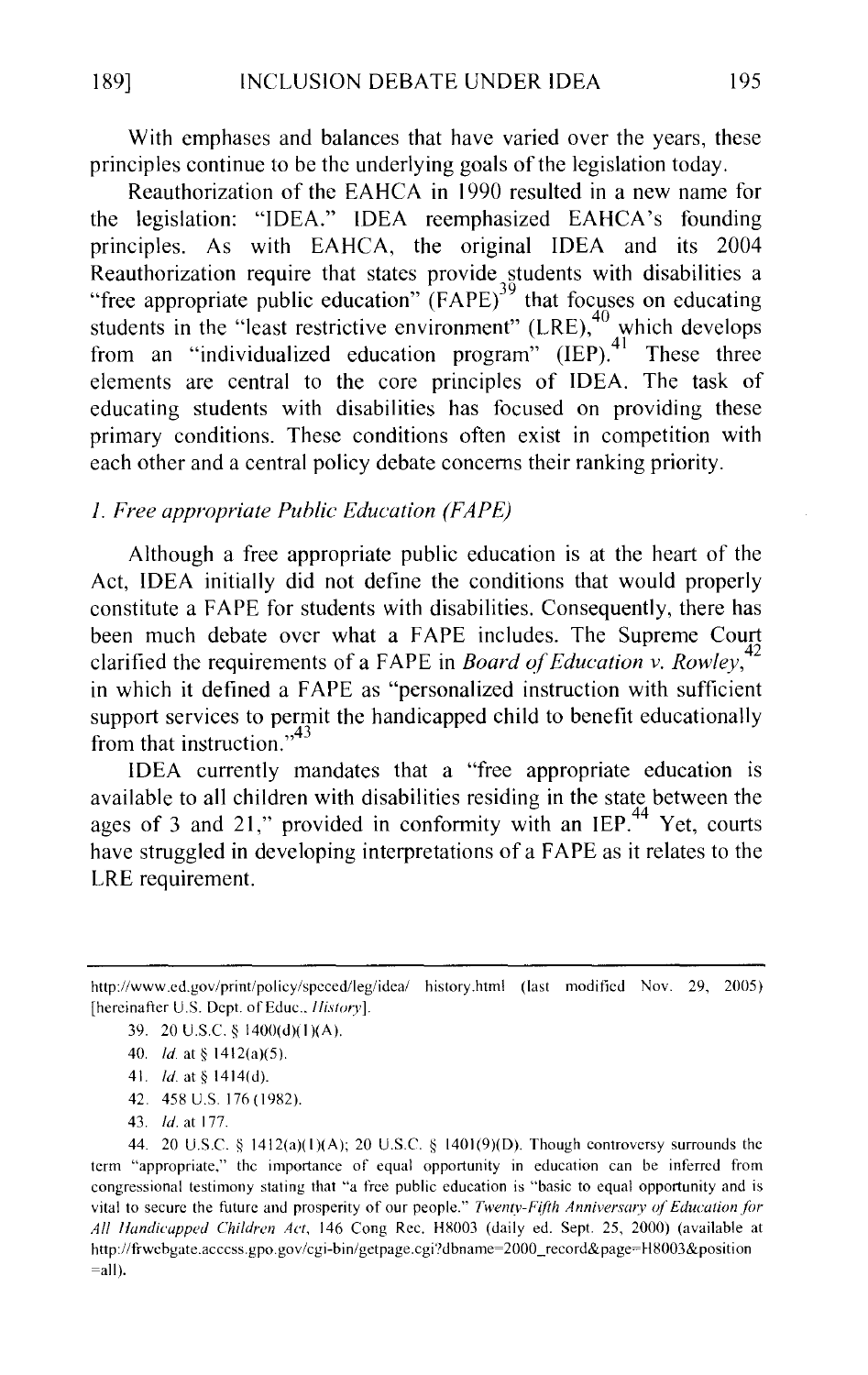With emphases and balances that have varied over the years, these principles continue to be the underlying goals of the legislation today.

Reauthorization of the EAHCA in 1990 resulted in a new name for the legislation: "IDEA." IDEA reemphasized EAHCA's founding principles. As with EAHCA, the original IDEA and its 2004 Reauthorization require that states provide students with disabilities a "free appropriate public education"  $(FAPE)^{39}$  that focuses on educating students in the "least restrictive environment"  $(LRE)$ , which develops from an "individualized education program"  $(IEP)$ .<sup>41</sup> These three elements are central to the core principles of IDEA. The task of educating students with disabilities has focused on providing these primary conditions. These conditions often exist in competition with each other and a central policy debate concerns their ranking priority.

# *1. Free appropriate Public Education (FAPE)*

Although a free appropriate public education is at the heart of the Act, IDEA initially did not define the conditions that would properly constitute a F APE for students with disabilities. Consequently, there has been much debate over what a FAPE includes. The Supreme Court clarified the requirements of a FAPE in *Board of Education v. Rowley*,<sup>4</sup> in which it defined a FAPE as "personalized instruction with sufficient support services to permit the handicapped child to benefit educationally from that instruction." $43$ 

IDEA currently mandates that a "free appropriate education is available to all children with disabilities residing in the state between the ages of 3 and 21," provided in conformity with an IEP.<sup>44</sup> Yet, courts have struggled in developing interpretations of a FAPE as it relates to the LRE requirement.

42. 458 U.S. 176 (1982).

http://www.cd.gov/print/policy/spcced/leg/idea/ history.html (last moditicd Nov. 29, 2005) [hereinafter U.S. Dept. of Educ., *History*].

<sup>39. 20</sup> U.S.C.  $\S$  1400(d)(1)(A).

<sup>40.</sup> *ld.* at §  $1412(a)(5)$ .

<sup>41.</sup> *ld.* at § 1414(d).

<sup>43.</sup> *!d.* at 177.

<sup>44. 20</sup> U.S.C.  $\S$  1412(a)(1)(A); 20 U.S.C.  $\S$  1401(9)(D). Though controversy surrounds the term "appropriate," the importance of equal opportunity in education can be inferred from congressional testimony stating that "a free public education is "basic to equal opportunity and is vital to secure the future and prosperity of our people." *Twenty-Fifth Anniversary of Education for All lfundicupped Children Act,* 146 Cong Rcc. H8003 (daily ed. Sept. 25, 2000) (available at http://frwchgate.acccss.gpo.gov/cgi-hin/gctpage.cgi'Jdbname~2000\_record&page=H8003&position  $=$ all).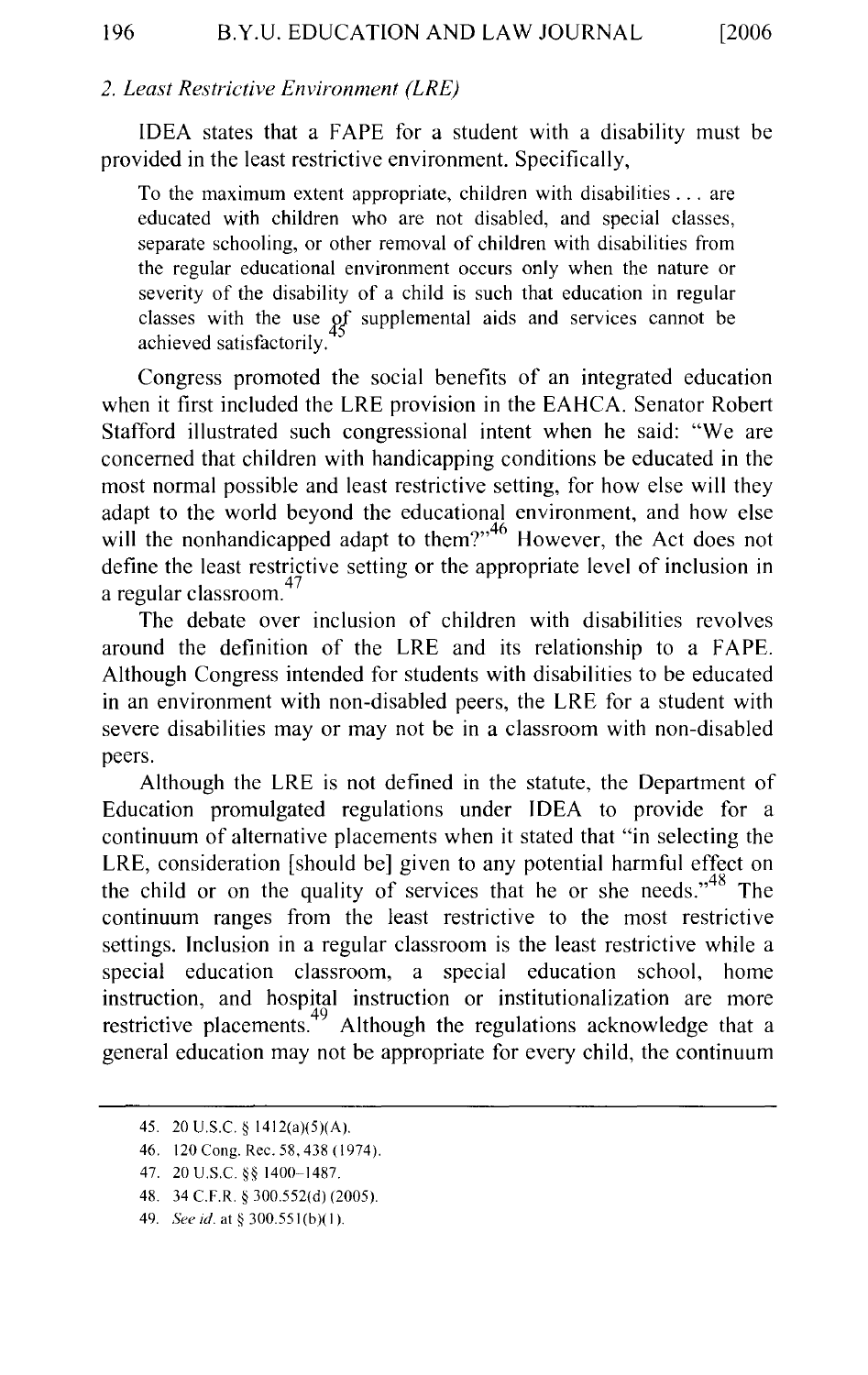# *2. Least Restrictive Environment (LRE)*

IDEA states that a FAPE for a student with a disability must be provided in the least restrictive environment. Specifically,

To the maximum extent appropriate, children with disabilities ... are educated with children who are not disabled, and special classes, separate schooling, or other removal of children with disabilities from the regular educational environment occurs only when the nature or severity of the disability of a child is such that education in regular classes with the use of supplemental aids and services cannot be achieved satisfactorily.

Congress promoted the social benefits of an integrated education when it first included the LRE provision in the EAHCA. Senator Robert Stafford illustrated such congressional intent when he said: "We are concerned that children with handicapping conditions be educated in the most normal possible and least restrictive setting, for how else will they adapt to the world beyond the educational environment, and how else will the nonhandicapped adapt to them?"<sup>46</sup> However, the Act does not define the least restrictive setting or the appropriate level of inclusion in  $a$  regular classroom.<sup>47</sup>

The debate over inclusion of children with disabilities revolves around the definition of the LRE and its relationship to a FAPE. Although Congress intended for students with disabilities to be educated in an environment with non-disabled peers, the LRE for a student with severe disabilities may or may not be in a classroom with non-disabled peers.

Although the LRE is not defined in the statute, the Department of Education promulgated regulations under IDEA to provide for a continuum of alternative placements when it stated that "in selecting the LRE, consideration [should be] given to any potential harmful effect on the child or on the quality of services that he or she needs.<sup>48</sup> The continuum ranges from the least restrictive to the most restrictive settings. Inclusion in a regular classroom is the least restrictive while a special education classroom, a special education school, home instruction, and hospital instruction or institutionalization are more restrictive placements.<sup>49</sup> Although the regulations acknowledge that a general education may not be appropriate for every child, the continuum

<sup>45. 20</sup> U.S.C. § 1412(a)(5)(A).

<sup>46. 120</sup> Cong. Rec. 58, 438 (1974).

<sup>47. 20</sup> U.S.C. *§§* 1400-1487.

<sup>48. 34</sup> C.F.R. § 300.552(d) (2005).

<sup>49.</sup> *See id.* at § 300.551 (b)( I ).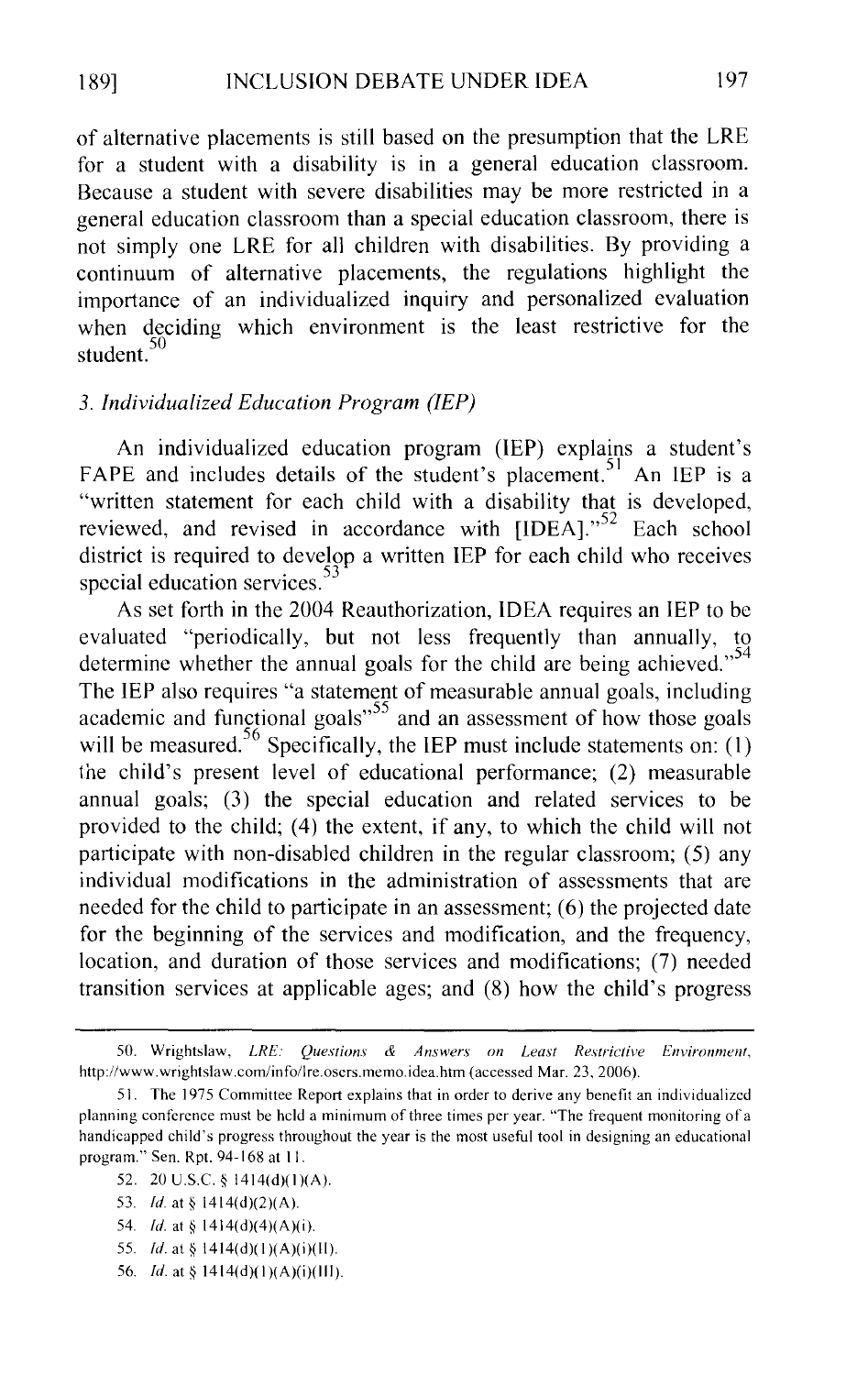of alternative placements is still based on the presumption that the LRE for a student with a disability is in a general education classroom. Because a student with severe disabilities may be more restricted in a general education classroom than a special education classroom, there is not simply one LRE for all children with disabilities. By providing a continuum of alternative placements, the regulations highlight the importance of an individualized inquiry and personalized evaluation when deciding which environment is the least restrictive for the student.<sup>50</sup>

# *3. Individualized Education Program (IEP)*

An individualized education program (lEP) explains a student's FAPE and includes details of the student's placement.<sup>51</sup> An IEP is a "written statement for each child with a disability that is developed, reviewed, and revised in accordance with [IDEA]."<sup>52</sup> Each school district is required to develop a written IEP for each child who receives special education services.

As set forth in the 2004 Reauthorization, IDEA requires an IEP to be evaluated "periodically, but not less frequently than annually, to determine whether the annual goals for the child are being achieved."<sup>54</sup> The IEP also requires "a statement of measurable annual goals, including academic and functional goals<sup> $55$ </sup> and an assessment of how those goals will be measured.  $56$  Specifically, the IEP must include statements on: (1) the child's present level of educational performance; (2) measurable annual goals; (3) the special education and related services to be provided to the child; (4) the extent, if any, to which the child will not participate with non-disabled children in the regular classroom; (5) any individual modifications in the administration of assessments that are needed for the child to participate in an assessment; (6) the projected date for the beginning of the services and modification, and the frequency, location, and duration of those services and modifications; (7) needed transition services at applicable ages; and (8) how the child's progress

- 52. 20 U.S.C. § 1414(d)(I)(A).
- 53. *ld* at§ 1414(d)(2)(A).
- 54. *!d.* at§ 1414(d)(4)(A)(i).
- 55. *Id.* at § 1414(d)(1)(A)(i)(II).
- 56. *!d.* at§ 1414(d)(I)(A)(i)(lll).

<sup>50.</sup> Wrightslaw, *LRE: Questions* & *Answers on Least Restrictive Environment,*  http://www.wrightslaw.com/info/lre.osers.memo.idea.htm (accessed Mar. 23, 2006).

<sup>51.</sup> The 1975 Committee Report explains that in order to derive any benefit an individualized planning conference must be held a minimum of three times per year. "The frequent monitoring of a handicapped child's progress throughout the year is the most useful tool in designing an educational program." Sen. Rpt. 94-168 at II.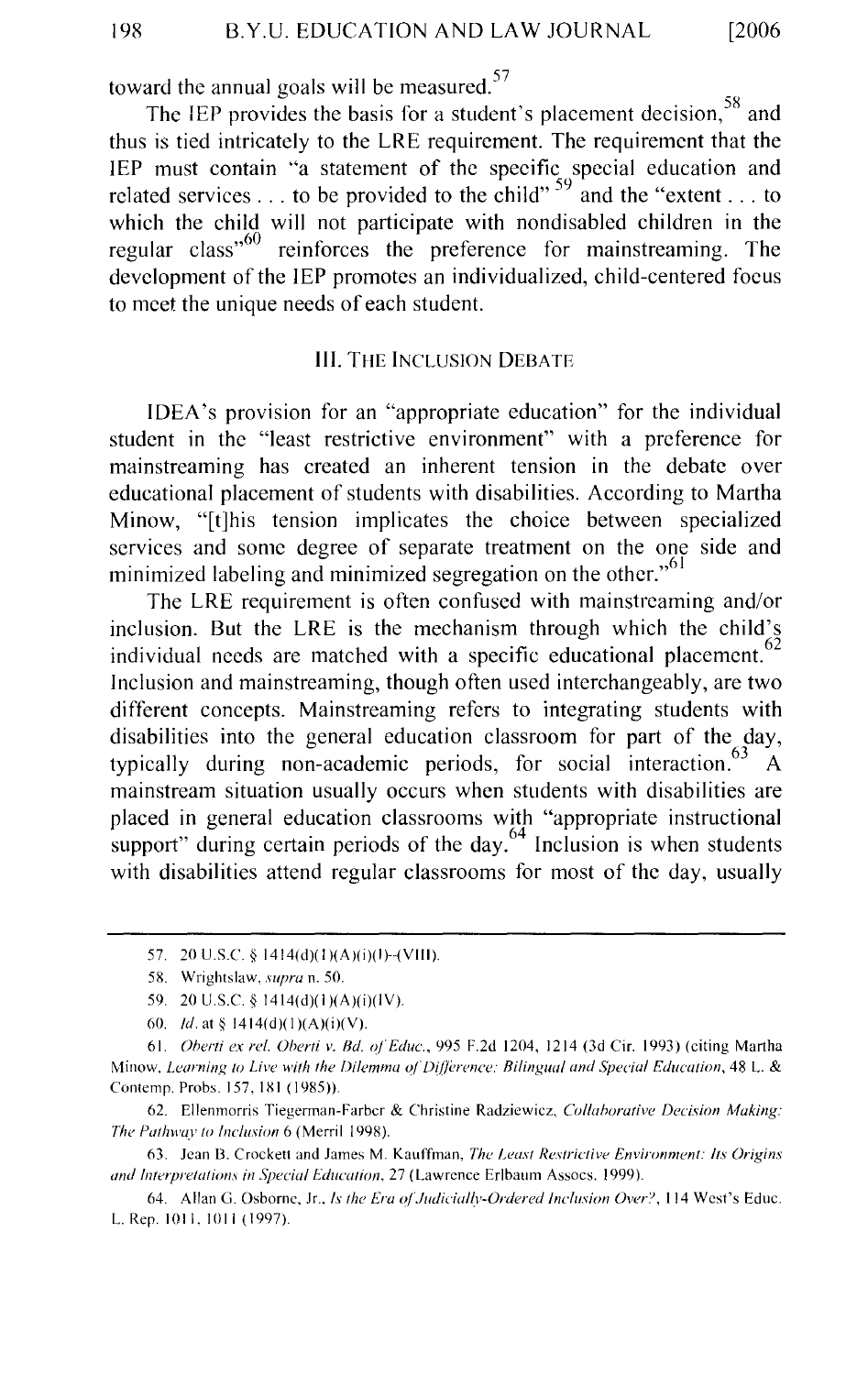toward the annual goals will be measured.<sup>57</sup>

The IEP provides the basis for a student's placement decision,<sup>58</sup> and thus is tied intricately to the LRE requirement. The requirement that the IEP must contain "a statement of the specific special education and related services ... to be provided to the child"  $59$  and the "extent ... to which the child will not participate with nondisabled children in the regular class<sup>560</sup> reinforces the preference for mainstreaming. The development of the IEP promotes an individualized, child-centered focus to meet the unique needs of each student.

#### III. THE INCLUSION DEBATE

IDEA's provision for an "appropriate education" for the individual student in the "least restrictive environment" with a preference for mainstreaming has created an inherent tension in the debate over educational placement of students with disabilities. According to Martha Minow, "[t]his tension implicates the choice between specialized services and some degree of separate treatment on the one side and minimized labeling and minimized segregation on the other."<sup>61</sup>

The LRE requirement is often confused with mainstreaming and/or inclusion. But the LRE is the mechanism through which the child's individual needs are matched with a specific educational placement.<sup>62</sup> Inclusion and mainstreaming, though often used interchangeably, are two different concepts. Mainstreaming refers to integrating students with disabilities into the general education classroom for part of the day, typically during non-academic periods, for social interaction.<sup>63</sup> A mainstream situation usually occurs when students with disabilities are placed in general education classrooms with "appropriate instructional support" during certain periods of the day. $64$  Inclusion is when students with disabilities attend regular classrooms for most of the day, usually

<sup>57. 20</sup> U.S.C. § 1414(d)(1)(A)(i)(I)-(VIII).

<sup>58.</sup> Wrightslaw. *supra* n. 50.

<sup>59. 20</sup> U.S.C. § 1414(d)(1)(A)(i)(IV).

<sup>60.</sup> *!d.* at§ 1414(d)(I)(A)(i)(V).

<sup>61.</sup> *Oherti ex rei. Oherti v. Bd. uj"Educ.,* 995 F.2d 1204, 1214 (3d Cir. 1993) (citing Martha Minow. *Learning to Live with the Dilemma of Difference: Bilingual and Special Education*, 48 L. & Contemp. Probs. 157, 181 (1985)).

<sup>62.</sup> Ellenmorris Tiegerman-Farbcr & Christine Radziewicz, *Collaborative Decision Making:*  The Pathway to Inclusion 6 (Merril 1998).

<sup>63.</sup> Jean 13. Crockett and James M. Kauffman, *The Least Restrictive Environment: Its Origins*  and Interpretations in Special Education, 27 (Lawrence Erlbaum Assocs. 1999).

<sup>64.</sup> Allan G. Osborne, Jr., *Is the Era oj"Judiciallv-Ordered Inclusion Over",* 114 West's Educ. L. Rep. 1011, 1011 (1997).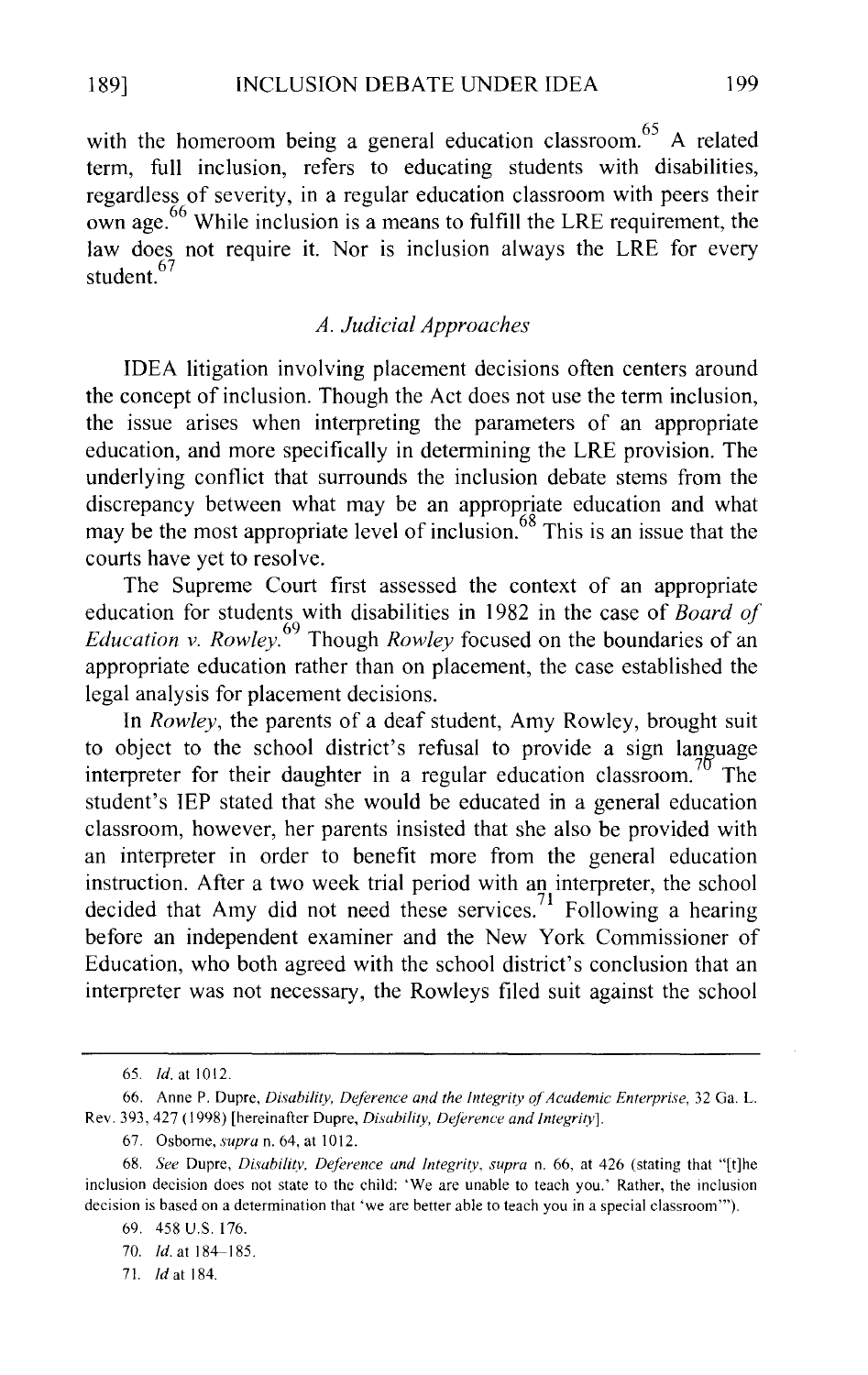with the homeroom being a general education classroom.<sup>65</sup> A related term, full inclusion, refers to educating students with disabilities, regardless of severity, in a regular education classroom with peers their own age.<sup>66</sup> While inclusion is a means to fulfill the LRE requirement, the law does not require it. Nor is inclusion always the LRE for every student.<sup>67</sup>

# *A. Judicial Approaches*

IDEA litigation involving placement decisions often centers around the concept of inclusion. Though the Act does not use the term inclusion, the issue arises when interpreting the parameters of an appropriate education, and more specifically in determining the LRE provision. The underlying conflict that surrounds the inclusion debate stems from the discrepancy between what may be an appropriate education and what may be the most appropriate level of inclusion.<sup>68</sup> This is an issue that the courts have yet to resolve.

The Supreme Court first assessed the context of an appropriate education for students with disabilities in 1982 in the case of *Board of Education v. Rowley.* 69 Though *Rowley* focused on the boundaries of an appropriate education rather than on placement, the case established the legal analysis for placement decisions.

In *Rowley,* the parents of a deaf student, Amy Rowley, brought suit to object to the school district's refusal to provide a sign language interpreter for their daughter in a regular education classroom.<sup>70</sup> The student's IEP stated that she would be educated in a general education classroom, however, her parents insisted that she also be provided with an interpreter in order to benefit more from the general education instruction. After a two week trial period with an interpreter, the school decided that Amy did not need these services.<sup>71</sup> Following a hearing before an independent examiner and the New York Commissioner of Education, who both agreed with the school district's conclusion that an interpreter was not necessary, the Rowleys filed suit against the school

71. Jd at 184.

<sup>65.</sup> *!d.* at 1012.

<sup>66.</sup> Anne P. Dupre, *Disability, Deference and the Integrity of Academic Enterprise*, 32 Ga. L. Rev. 393, 427 ( 1998) [hereinafter Dupre, *Disability, Deference and Integrity].* 

<sup>67.</sup> Osborne, *supra* n. 64, at 1012.

<sup>68.</sup> *See* Dupre, *Disability, Deference and Integrity, supra* n. 66, at 426 (stating that "[t]he inclusion decision does not state to the child: 'We are unable to teach you.' Rather, the inclusion decision is based on a determination that 'we are better able to teach you in a special classroom'").

<sup>69. 458</sup> U.S. 176.

<sup>70.</sup> *Id.* at 184-185.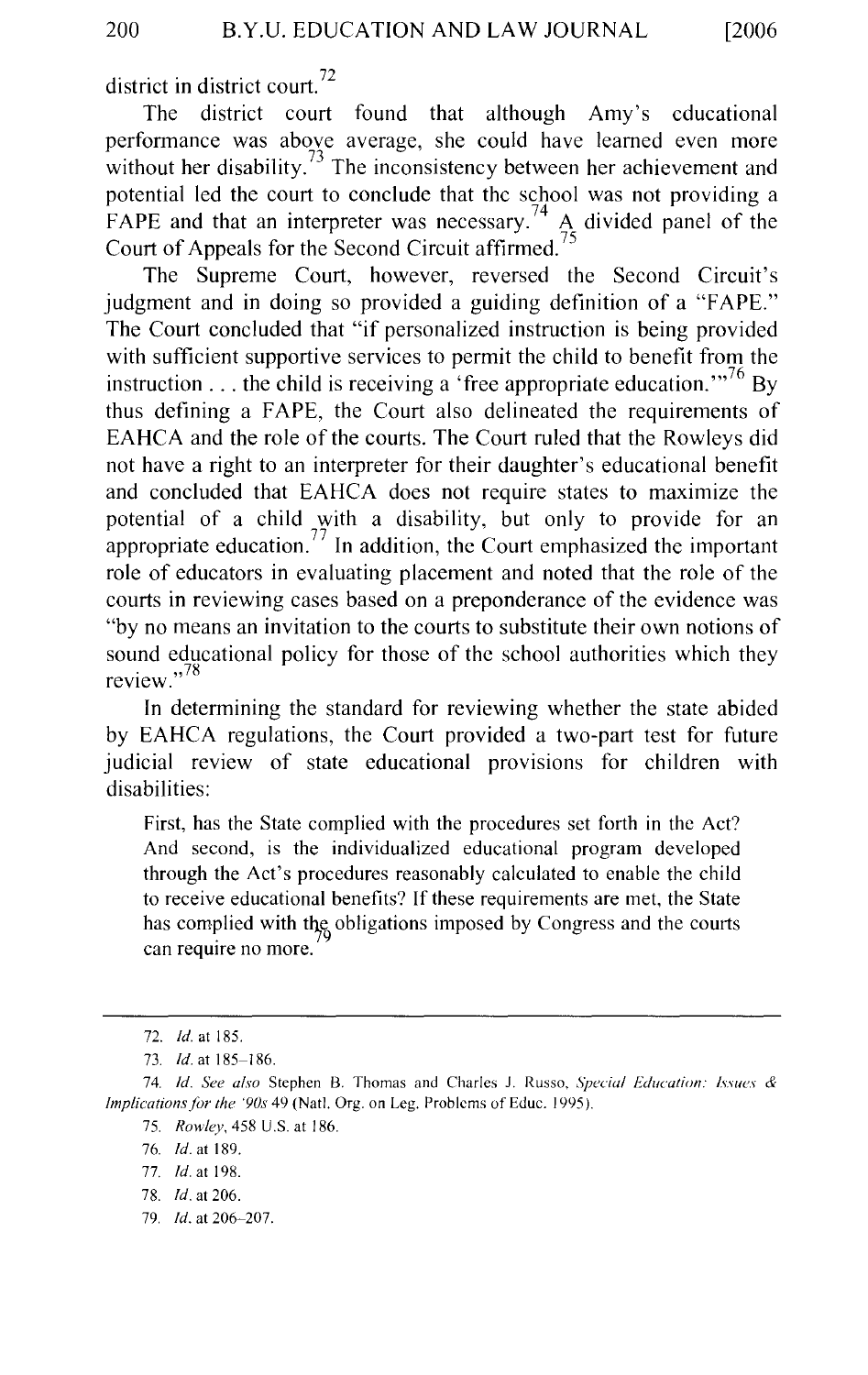district in district court.<sup>72</sup>

The district court found that although Amy's educational performance was above average, she could have learned even more without her disability. $^{73}$  The inconsistency between her achievement and potential led the court to conclude that the school was not providing a FAPE and that an interpreter was necessary.<sup>74</sup>  $\mathbf{A}$  divided panel of the Court of Appeals for the Second Circuit affirmed.

The Supreme Court, however, reversed the Second Circuit's judgment and in doing so provided a guiding definition of a "FAPE." The Court concluded that "if personalized instruction is being provided with sufficient supportive services to permit the child to benefit from the instruction  $\dots$  the child is receiving a 'free appropriate education."<sup>76</sup> By thus defining a FAPE, the Court also delineated the requirements of EAHCA and the role of the courts. The Court ruled that the Rowleys did not have a right to an interpreter for their daughter's educational benefit and concluded that EAHCA does not require states to maximize the potential of a child with a disability, but only to provide for an appropriate education. 77 In addition, the Court emphasized the important role of educators in evaluating placement and noted that the role of the courts in reviewing cases based on a preponderance of the evidence was "by no means an invitation to the courts to substitute their own notions of sound educational policy for those of the school authorities which they review.<sup> $,78$ </sup>

In determining the standard for reviewing whether the state abided by EAHCA regulations, the Court provided a two-part test for future judicial review of state educational provisions for children with disabilities:

First, has the State complied with the procedures set forth in the Act? And second, is the individualized educational program developed through the Act's procedures reasonably calculated to enable the child to receive educational benefits? If these requirements are met, the State has complied with the obligations imposed by Congress and the courts can require no more.

79. *!d.* at 206-207.

<sup>72.</sup> *!d.* at 185.

<sup>73.</sup> *!d.* at 185-186.

<sup>74.</sup> *Id. See also Stephen B. Thomas and Charles J. Russo, Special Education: Issues & Implications for the '90s* 49 (Natl. Org. on Leg. Problems of Educ. 1995).

<sup>75.</sup> *Rowley,* 458 U.S. at 186.

<sup>76.</sup> *!d.* at 189.

<sup>77.</sup> *!d.* at 198.

<sup>78.</sup> *!d.* at 206.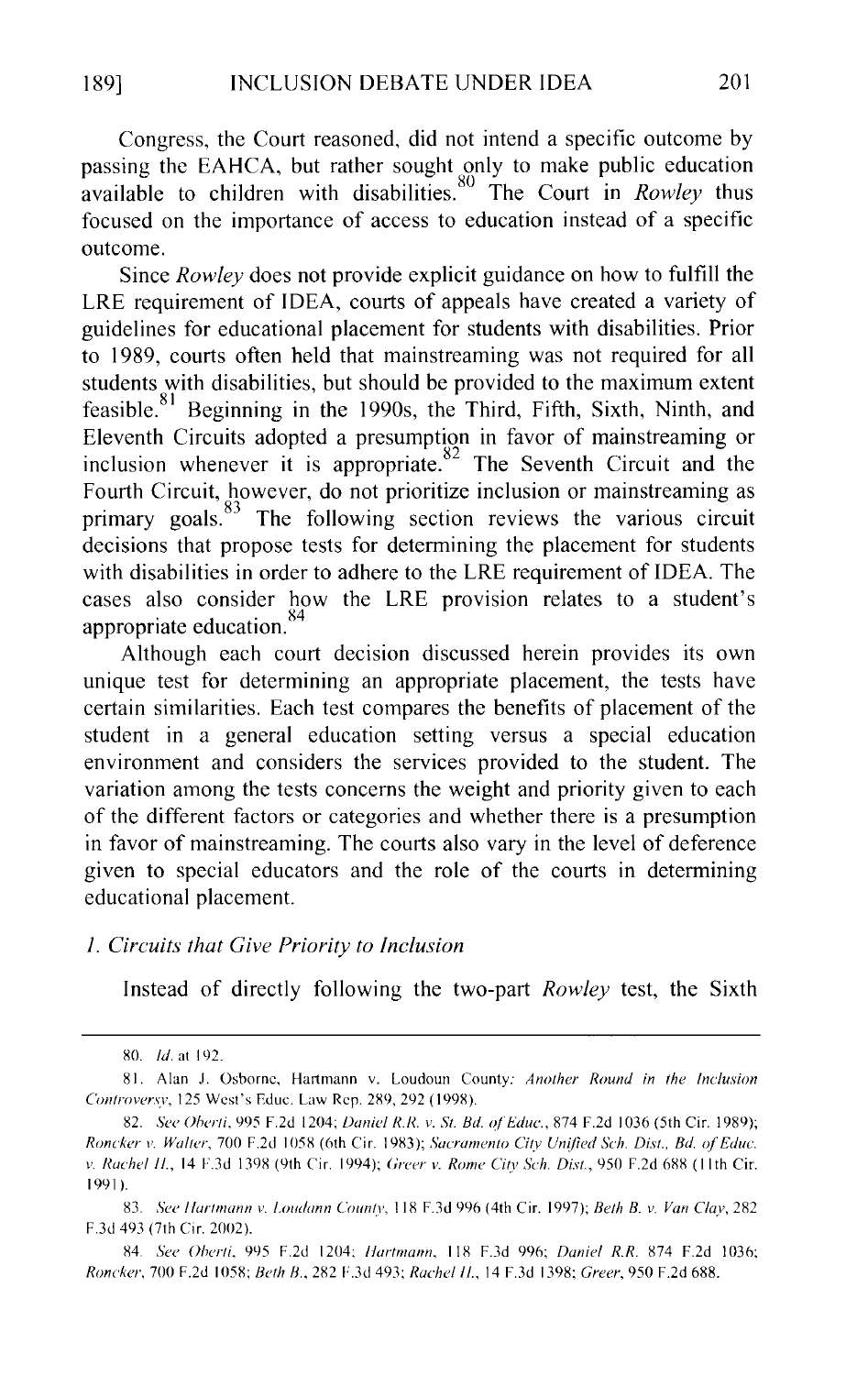Congress, the Court reasoned, did not intend a specific outcome by passing the EAHCA, but rather sought only to make public education available to children with disabilities.<sup>80</sup> The Court in *Rowley* thus focused on the importance of access to education instead of a specific outcome.

Since *Rowley* does not provide explicit guidance on how to fulfill the LRE requirement of IDEA, courts of appeals have created a variety of guidelines for educational placement for students with disabilities. Prior to 1989, courts often held that mainstreaming was not required for all students with disabilities, but should be provided to the maximum extent feasible.  $81$  Beginning in the 1990s, the Third, Fifth, Sixth, Ninth, and Eleventh Circuits adopted a presumption in favor of mainstreaming or inclusion whenever it is appropriate. <sup>82</sup> The Seventh Circuit and the Fourth Circuit, however, do not prioritize inclusion or mainstreaming as primary goals.<sup>83</sup> The following section reviews the various circuit decisions that propose tests for determining the placement for students with disabilities in order to adhere to the LRE requirement of IDEA. The cases also consider how the LRE provision relates to a student's appropriate education.<sup>84</sup>

Although each court decision discussed herein provides its own unique test for determining an appropriate placement, the tests have certain similarities. Each test compares the benefits of placement of the student in a general education setting versus a special education environment and considers the services provided to the student. The variation among the tests concerns the weight and priority given to each of the different factors or categories and whether there is a presumption in favor of mainstreaming. The courts also vary in the level of deference given to special educators and the role of the courts in determining educational placement.

# *I. Circuits that Give Priority to Inclusion*

Instead of directly following the two-part *Rowley* test, the Sixth

84. *See Oherti,* 995 F.2d 1204: *llartmann,* 118 F.3d 996; *Daniel R.R.* 874 F.2d 1036; *Roncker,* 700 F.2d I 058; *Beth B.,* 282 F.3d 493; *Rachel* fl., 14 F.3d 1398; *Greer,* 950 F.2d 688.

<sup>80.</sup> *Id.* at 192.

X I. Alan J. Osborne, Hartmann v. Loudoun County: *Another Round in the Inclusion Controvcrsv,* 125 West's Educ. Law Rep. 289, 292 (1998).

<sup>82.</sup> *See Oherti,* 995 F.2d 1204; *Danil'l R.R. v. St. Bd. ofEduc.,* 874 F.2d I 036 (5th Cir. 1989); *Roncka v. Walter,* 700 F.2d I 058 (6th Cir. 1983); *Sacramento City Unified Sch. Dist., Bd. ofEduc. v. Rachel H.*, 14 F.3d 1398 (9th Cir. 1994); *Greer v. Rome City Sch. Dist.*, 950 F.2d 688 (11th Cir. 1991).

<sup>83.</sup> *See /lartmann v. f\_ot{{lann Countv,* 118 F.3d 996 (4th Cir. 1997); *Beth B. v. Van Clay,* 282 F.3d 493 (7th Cir. 2002).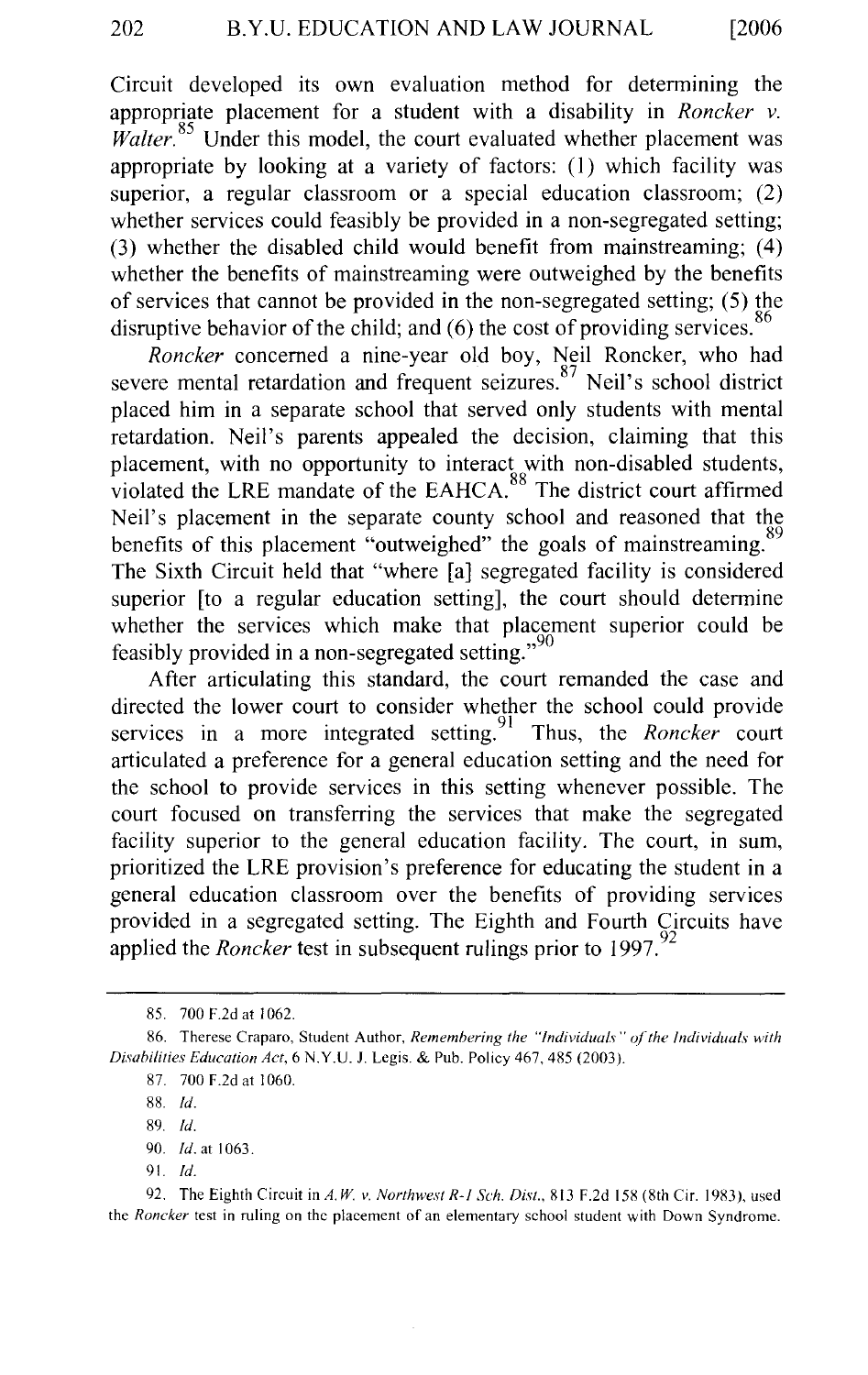Circuit developed its own evaluation method for determining the appropriate placement for a student with a disability in *Roncker v. Walter.*<sup>85</sup> Under this model, the court evaluated whether placement was appropriate by looking at a variety of factors:  $(1)$  which facility was superior, a regular classroom or a special education classroom; (2) whether services could feasibly be provided in a non-segregated setting; (3) whether the disabled child would benefit from mainstreaming; ( 4) whether the benefits of mainstreaming were outweighed by the benefits of services that cannot be provided in the non-segregated setting; (5) the disruptive behavior of the child; and  $(6)$  the cost of providing services.  $86$ 

*Roncker* concerned a nine-year old boy, Neil Roncker, who had severe mental retardation and frequent seizures.<sup>87</sup> Neil's school district placed him in a separate school that served only students with mental retardation. Neil's parents appealed the decision, claiming that this placement, with no opportunity to interact with non-disabled students, violated the LRE mandate of the EAHCA.<sup>88</sup> The district court affirmed Neil's placement in the separate county school and reasoned that the benefits of this placement "outweighed" the goals of mainstreaming. The Sixth Circuit held that "where [a] segregated facility is considered superior [to a regular education setting], the court should determine whether the services which make that placement superior could be feasibly provided in a non-segregated setting."<sup>90</sup>

After articulating this standard, the court remanded the case and directed the lower court to consider whether the school could provide services in a more integrated setting.<sup>91</sup> Thus, the *Roncker* court articulated a preference for a general education setting and the need for the school to provide services in this setting whenever possible. The court focused on transferring the services that make the segregated facility superior to the general education facility. The court, in sum, prioritized the LRE provision's preference for educating the student in a general education classroom over the benefits of providing services provided in a segregated setting. The Eighth and Fourth Circuits have applied the *Roncker* test in subsequent rulings prior to 1997.

91. *!d.* 

92. The Eighth Circuit in *A.* W. *v. Northwest R-1 Sch. Dis!.,* 813 F.2d 158 (8th Cir. 1983 ), used the *Roncker* test in ruling on the placement of an elementary school student with Down Syndrome.

<sup>85. 700</sup> F.2d at I 062.

<sup>86.</sup> Therese Craparo, Student Author, *Remembering the "Individuals" of the Individuals with Disabilities Education Act,* 6 N.Y.U. J. Legis. & Pub. Policy 467,485 (2003).

<sup>87. 700</sup> F.2d at 1060.

<sup>88.</sup> *!d.* 

<sup>89.</sup> *!d.* 

<sup>90.</sup> *Id.* at 1063.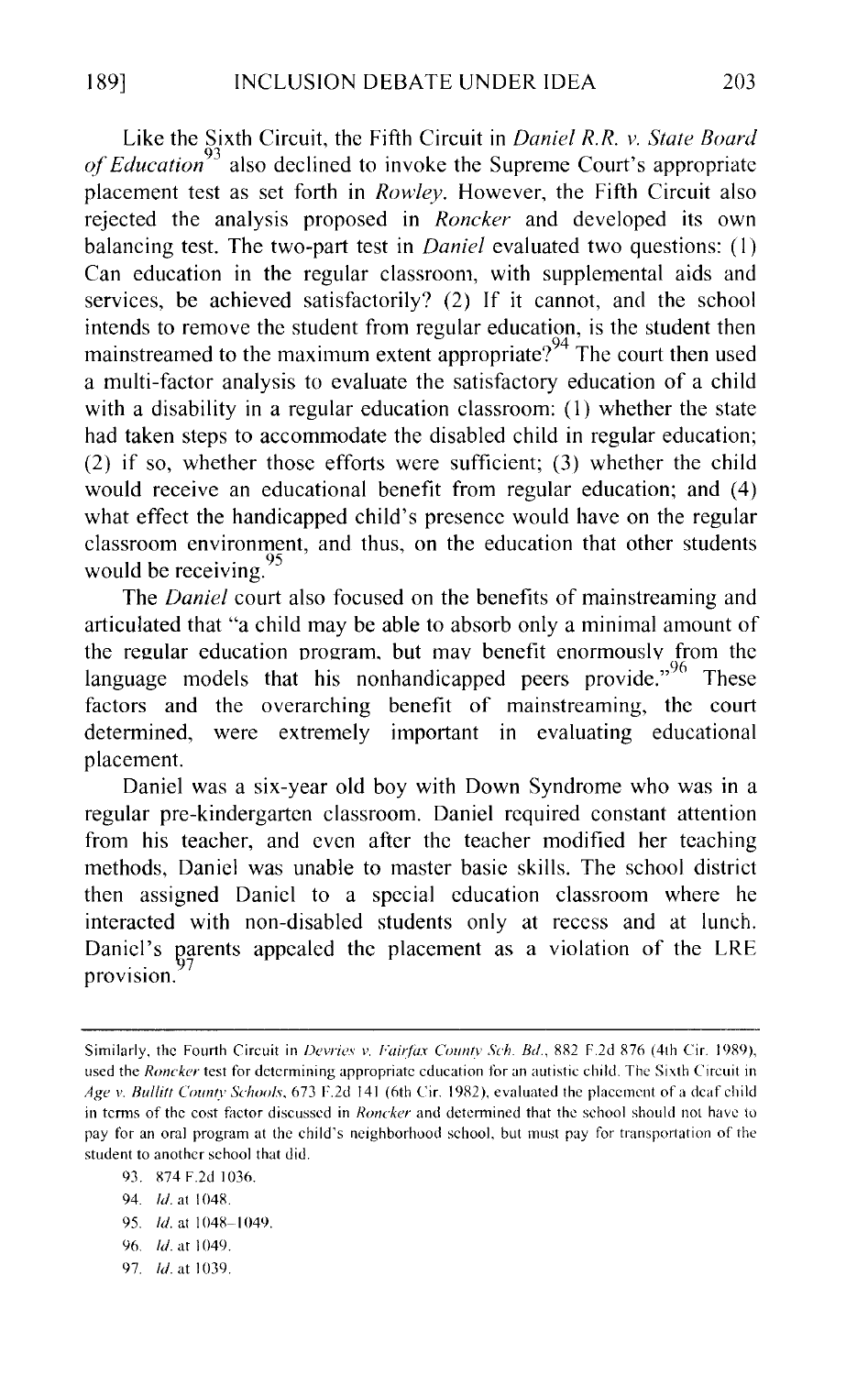Like the Sixth Circuit, the Fifth Circuit in *Daniel R.R. v. State Board of Education<sup>93</sup>*also declined to invoke the Supreme Court's appropriate placement test as set forth in *Rowley.* However, the Fifth Circuit also rejected the analysis proposed in *Roncker* and developed its own balancing test. The two-part test in *Daniel* evaluated two questions: (I) Can education in the regular classroom, with supplemental aids and services, be achieved satisfactorily? (2) If it cannot, and the school intends to remove the student from regular education, is the student then mainstreamed to the maximum extent appropriate?<sup>94</sup> The court then used a multi-factor analysis to evaluate the satisfactory education of a child with a disability in a regular education classroom: (1) whether the state had taken steps to accommodate the disabled child in regular education; (2) if so, whether those efforts were sufficient; (3) whether the child would receive an educational benefit from regular education; and (4) what effect the handicapped child's presence would have on the regular classroom environment, and thus, on the education that other students would be receiving.  $\frac{95}{25}$ 

The *Daniel* court also focused on the benefits of mainstreaming and articulated that "a child may be able to absorb only a minimal amount of the regular education program. but mav benefit enormously from the language models that his nonhandicapped peers provide.<sup> $96$ </sup> These factors and the overarching benefit of mainstreaming, the court determined, were extremely important in evaluating educational placement.

Daniel was a six-year old boy with Down Syndrome who was in a regular pre-kindergarten classroom. Daniel required constant attention from his teacher, and even after the teacher modified her teaching methods, Daniel was unable to master basic skills. The school district then assigned Daniel to a special education classroom where he interacted with non-disabled students only at recess and at lunch. Daniel's parents appealed the placement as a violation of the LRE provision.

94. *!d.* at I 048.

97. *ld.* at 1039.

Similarly, the Fourth Circuit in *Devries v. Fairfax Countv Sch. Bd.*, 882 F.2d 876 (4th Cir. 1989), used the *Roncker* test for determining appropriate education for an autistic child. The Sixth Circuit in *Age v. Bullitt County Schools.* 673 F.2d 141 (6th Cir. 1982), evaluated the placement of a deaf child in terms of the cost factor discussed in *Roncker* and determined that the school should not have to pay for an oral program at the child's neighborhood school, but must pay for transportation of the student to another school that did.

<sup>93. 874</sup> F.2d 1036.

<sup>95.</sup> *Id.* at 1048-1049.

<sup>96.</sup> *ld.* at 1049.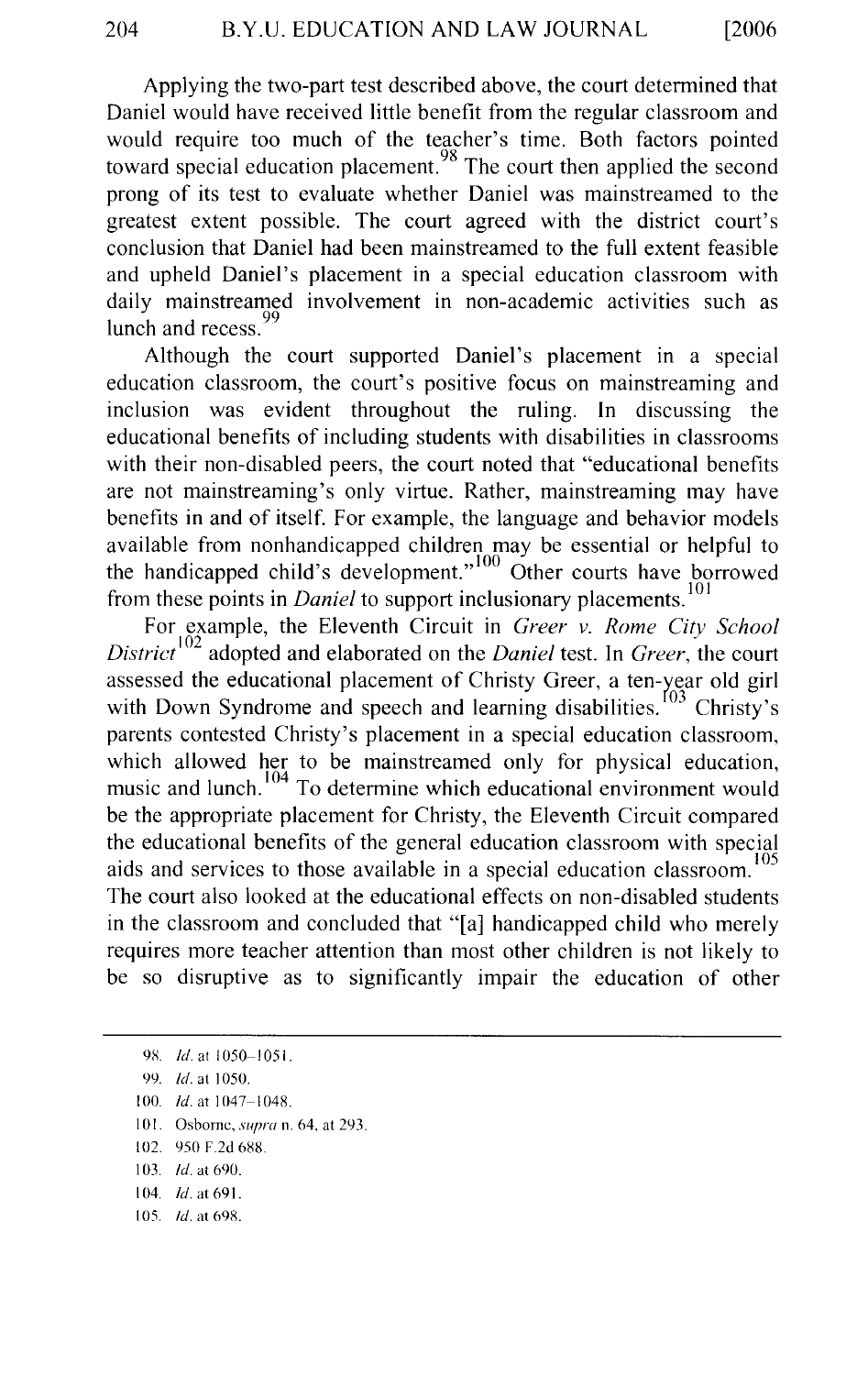Applying the two-part test described above, the court determined that Daniel would have received little benefit from the regular classroom and would require too much of the teacher's time. Both factors pointed toward special education placement.  $98$  The court then applied the second prong of its test to evaluate whether Daniel was mainstreamed to the greatest extent possible. The court agreed with the district court's conclusion that Daniel had been mainstreamed to the full extent feasible and upheld Daniel's placement in a special education classroom with daily mainstreamed involvement in non-academic activities such as lunch and recess.<sup>99</sup>

Although the court supported Daniel's placement in a special education classroom, the court's positive focus on mainstreaming and inclusion was evident throughout the ruling. In discussing the educational benefits of including students with disabilities in classrooms with their non-disabled peers, the court noted that "educational benefits are not mainstreaming's only virtue. Rather, mainstreaming may have benefits in and of itself. For example, the language and behavior models available from nonhandicapped children may be essential or helpful to the handicapped child's development."<sup>100</sup> Other courts have borrowed from these points in *Daniel* to support inclusionary placements. <sup>101</sup>

For example, the Eleventh Circuit in *Greer v. Rome City School District*<sup>102</sup> adopted and elaborated on the *Daniel* test. In *Greer*, the court assessed the educational placement of Christy Greer, a ten-year old girl with Down Syndrome and speech and learning disabilities.  $^{[03]}$  Christy's parents contested Christy's placement in a special education classroom, which allowed her to be mainstreamed only for physical education, music and lunch.<sup>104</sup> To determine which educational environment would be the appropriate placement for Christy, the Eleventh Circuit compared the educational benefits of the general education classroom with special aids and services to those available in a special education classroom.<sup>105</sup> The court also looked at the educational effects on non-disabled students in the classroom and concluded that "[a] handicapped child who merely requires more teacher attention than most other children is not likely to be so disruptive as to significantly impair the education of other

- 101. Osborne, *supra* n. 64, at 293.
- 102. 950 F.2d 688.
- 103. *!d.* at 690.
- 104. *!d.* at 691.
- 105. *!d.* at 698.

<sup>98.</sup> *Id.* at 1050-1051.

<sup>99.</sup> *!d.* at 1050.

<sup>100.</sup> */d.* at 1047-1048.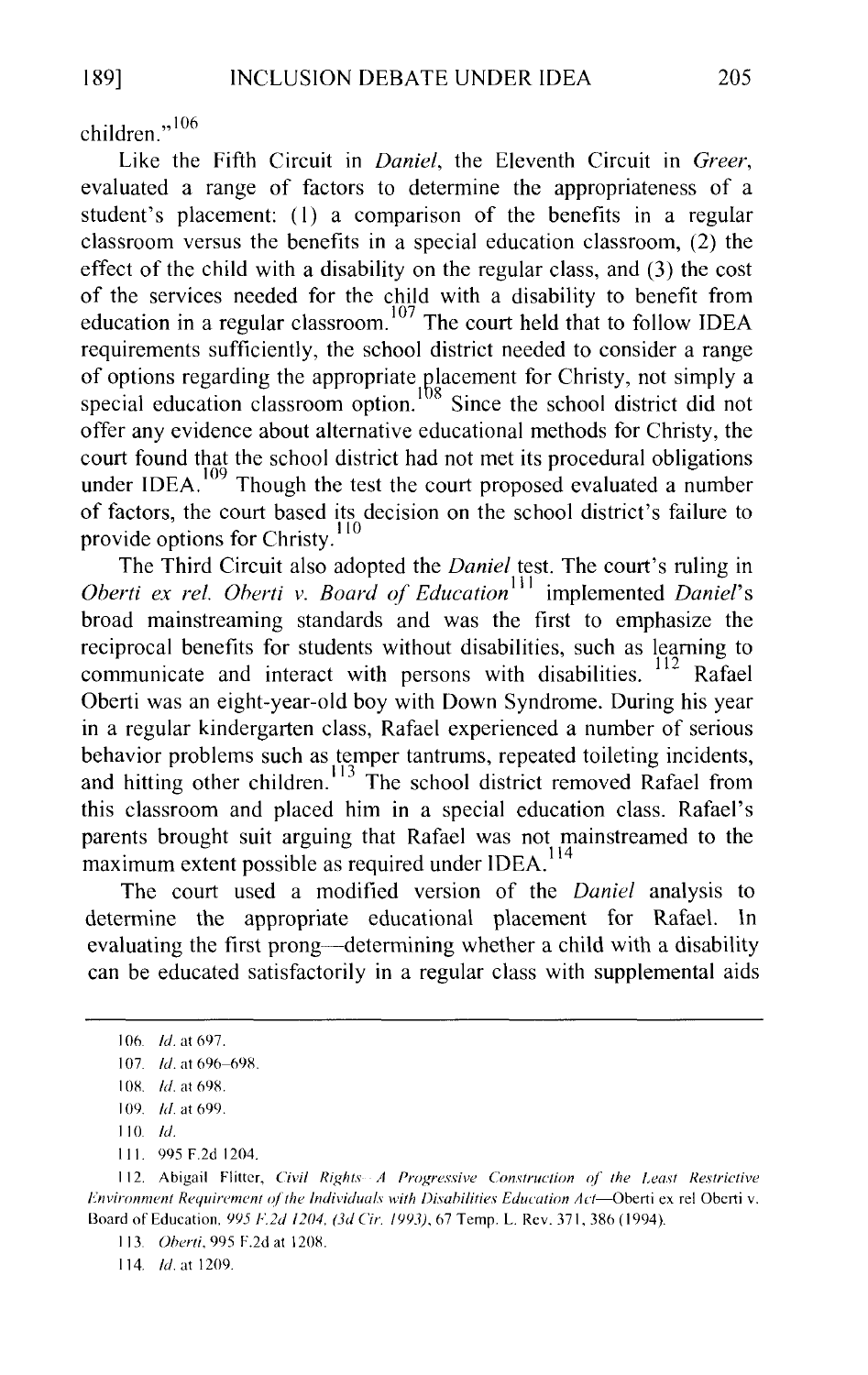children<sup>"106</sup>

Like the Fifth Circuit in *Daniel,* the Eleventh Circuit in *Greer,*  evaluated a range of factors to determine the appropriateness of a student's placement: (I) a comparison of the benefits in a regular classroom versus the benefits in a special education classroom, (2) the effect of the child with a disability on the regular class, and (3) the cost of the services needed for the child with a disability to benefit from education in a regular classroom. 107 The court held that to follow IDEA requirements sufficiently, the school district needed to consider a range of options regarding the appropriate placement for Christy, not simply a special education classroom option.  $\frac{108}{108}$  Since the school district did not offer any evidence about alternative educational methods for Christy, the court found that the school district had not met its procedural obligations under IDEA. <sup>109</sup> Though the test the court proposed evaluated a number of factors, the court based its decision on the school district's failure to provide options for Christy.<sup>110</sup>

The Third Circuit also adopted the *Daniel* test. The court's ruling in *Oberti ex rel. Oberti v. Board of Education*<sup>111</sup> implemented *Daniel's* broad mainstreaming standards and was the first to emphasize the reciprocal benefits for students without disabilities, such as learning to communicate and interact with persons with disabilities. <sup>112</sup> Rafael Oberti was an eight-year-old boy with Down Syndrome. During his year in a regular kindergarten class, Rafael experienced a number of serious behavior problems such as temper tantrums, repeated toileting incidents, and hitting other children.  $\frac{113}{12}$  The school district removed Rafael from this classroom and placed him in a special education class. Rafael's parents brought suit arguing that Rafael was not mainstreamed to the maximum extent possible as required under IDEA.<sup>114</sup>

The court used a modified version of the *Daniel* analysis to determine the appropriate educational placement for Rafael. ln evaluating the first prong-determining whether a child with a disability can be educated satisfactorily in a regular class with supplemental aids

Ill. 995 F.2d 1204.

114. *!d.* at 1209.

I 06. *!d.* at 697.

I 07. *!d.* at 696-69S.

I OK *!d.* at 698.

I 09. *!d.* at 699.

<sup>110</sup> */d.* 

I 12. Abigail Flitter, *Civil Rights A Progressive Construction of' the Least Restrictive Fnvironment Requirement of the Individuals with Disabilities Education Act*-Oberti ex rel Oberti v. Board of Education, 995 F.2d 1204, (3d *Cir. 1993)*, 67 Temp. L. Rev. 371, 386 (1994).

I 13. *Oherti,* 995 F.2d at 1208.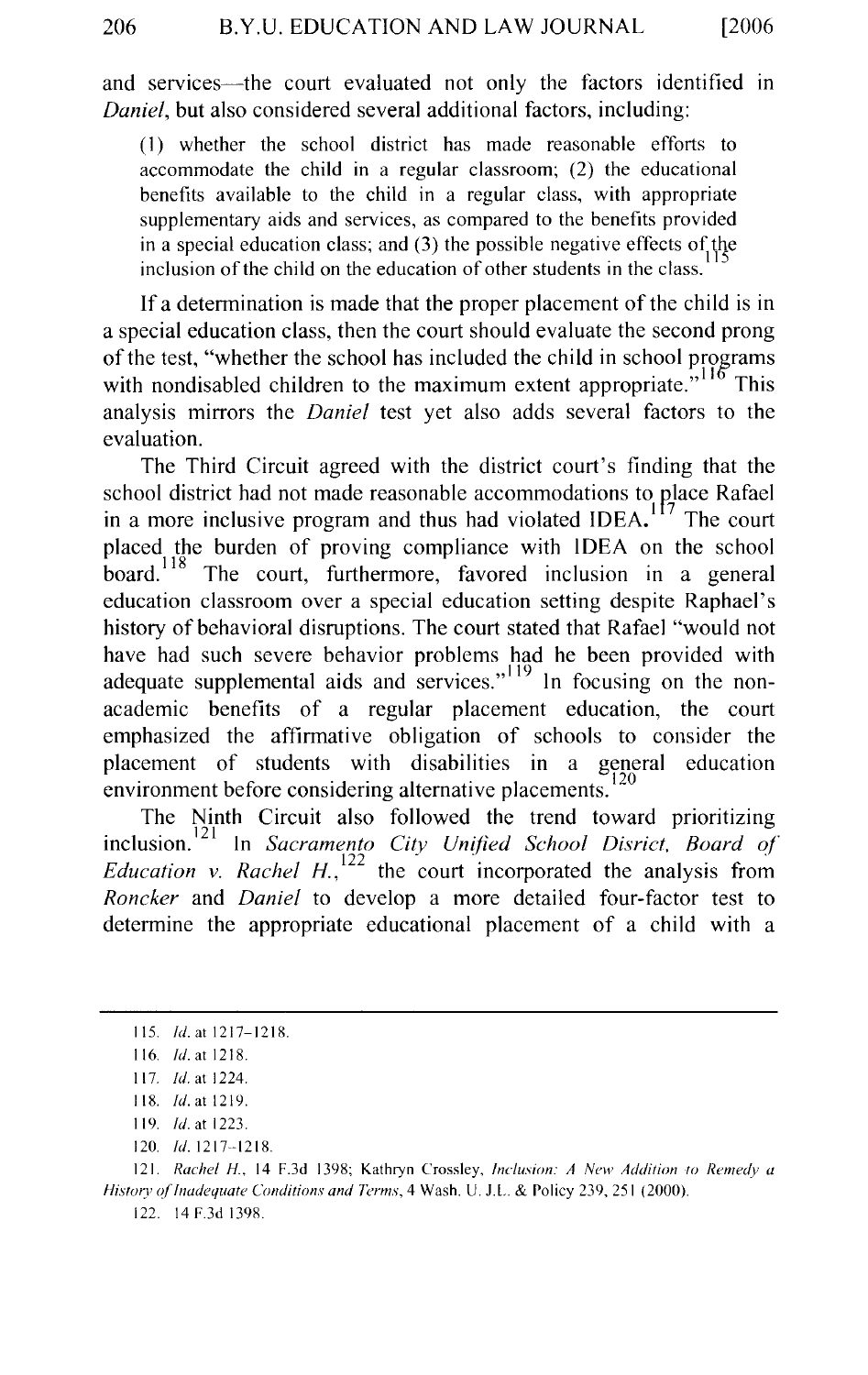and services—the court evaluated not only the factors identified in *Daniel,* but also considered several additional factors, including:

(I) whether the school district has made reasonable efforts to accommodate the child in a regular classroom; (2) the educational benefits available to the child in a regular class, with appropriate supplementary aids and services, as compared to the benefits provided in a special education class; and (3) the possible negative effects of the inclusion of the child on the education of other students in the class.

If a determination is made that the proper placement of the child is in a special education class, then the court should evaluate the second prong of the test, "whether the school has included the child in school proerams with nondisabled children to the maximum extent appropriate.<sup>",116</sup> This analysis mirrors the *Daniel* test yet also adds several factors to the evaluation.

The Third Circuit agreed with the district court's finding that the school district had not made reasonable accommodations to place Rafael in a more inclusive program and thus had violated IDEA.<sup>117</sup> The court placed the burden of proving compliance with IDEA on the school board.<sup>118</sup> The court, furthermore, favored inclusion in a general education classroom over a special education setting despite Raphael's history of behavioral disruptions. The court stated that Rafael "would not have had such severe behavior problems had he been provided with adequate supplemental aids and services."<sup> $119$ </sup> In focusing on the nonacademic benefits of a regular placement education, the court emphasized the affirmative obligation of schools to consider the placement of students with disabilities in a general education environment before considering alternative placements.

The Ninth Circuit also followed the trend toward prioritizing inclusion.<sup>121</sup> In *Sacramento City Unified School Disrict*, *Board of Education v. Rachel H.*,  $^{122}$  the court incorporated the analysis from *Roncker* and *Daniel* to develop a more detailed four-factor test to determine the appropriate educational placement of a child with a

121. *Rachel H.,* 14 F.3d 1398; Kathryn Crossley, *Inclusion: A New Addition to Remedy a History of Inadequate Conditions and Terms, 4 Wash. U. J.L. & Policy 239, 251 (2000).* 

122. 14 F.3d 1398.

<sup>115.</sup> */d.* at 1217-1218.

<sup>116.</sup> *!d.* at 1218.

<sup>117.</sup> *Id.* at 1224.

<sup>118.</sup> *Id.* at 1219.

<sup>119.</sup> *!d.* at 1223.

<sup>120.</sup> *!d.* 1217--1218.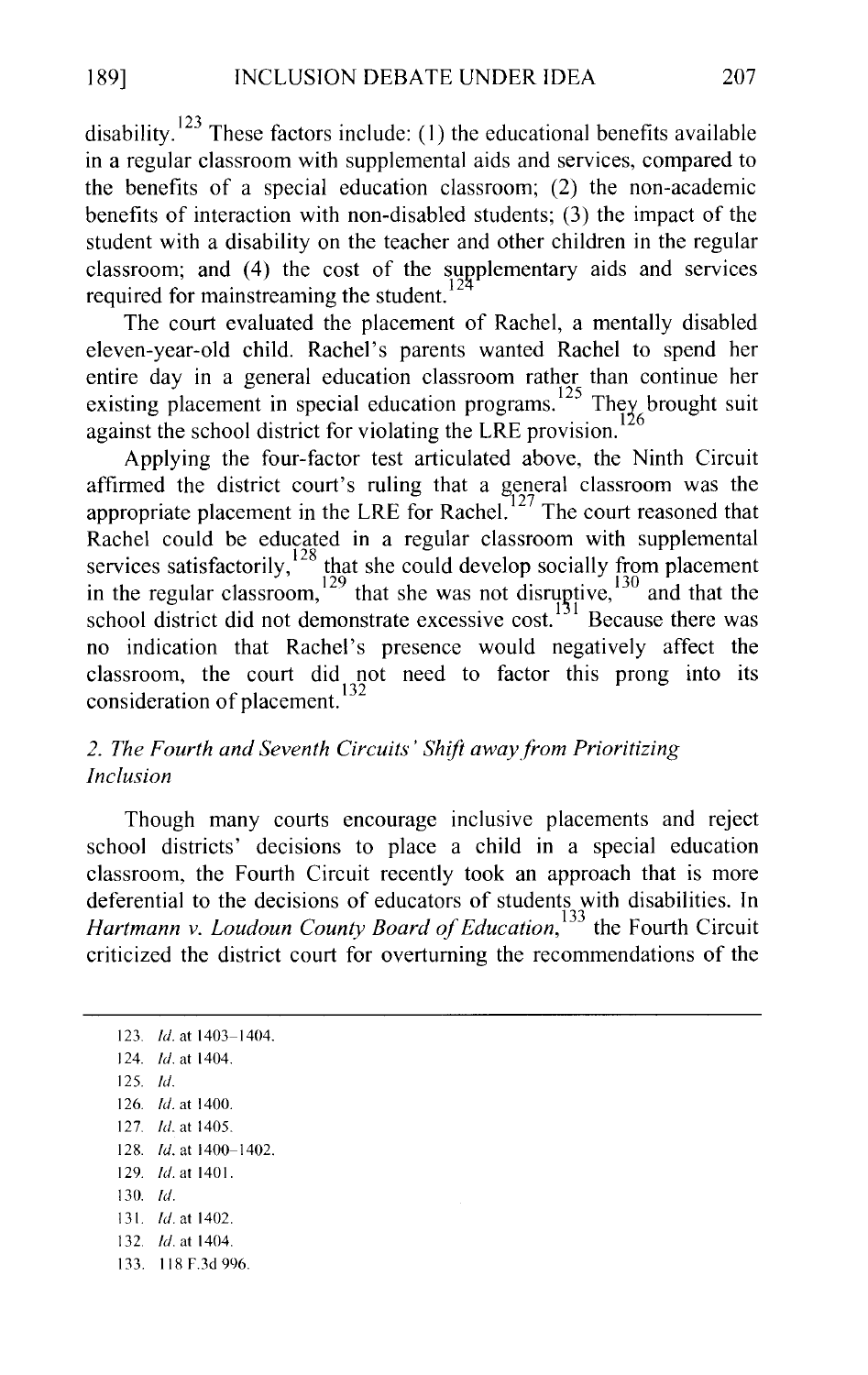disability.  $123$  These factors include: (1) the educational benefits available in a regular classroom with supplemental aids and services, compared to the benefits of a special education classroom; (2) the non-academic benefits of interaction with non-disabled students; (3) the impact of the student with a disability on the teacher and other children in the regular classroom; and (4) the cost of the supplementary aids and services required for mainstreaming the student.

The court evaluated the placement of Rachel, a mentally disabled eleven-year-old child. Rachel's parents wanted Rachel to spend her entire day in a general education classroom rather than continue her existing placement in special education programs.<sup>125</sup> They brought suit against the school district for violating the LRE provision.

Applying the four-factor test articulated above, the Ninth Circuit affirmed the district court's ruling that a general classroom was the appropriate placement in the LRE for Rachel.<sup>127</sup> The court reasoned that Rachel could be educated in a regular classroom with supplemental services satisfactorily,  $128$  that she could develop socially from placement in the regular classroom,  $129$  that she was not disruptive,  $130$  and that the school district did not demonstrate excessive cost.<sup>131</sup> Because there was no indication that Rachel's presence would negatively affect the classroom, the court did not need to factor this prong into its consideration of placement.<sup>132</sup>

# *2. The Fourth and Seventh Circuits' Shift awayfrom Prioritizing Inclusion*

Though many courts encourage inclusive placements and reject school districts' decisions to place a child in a special education classroom, the Fourth Circuit recently took an approach that is more deferential to the decisions of educators of students with disabilities. In *Hartmann v. Loudoun County Board of Education*<sup>133</sup> the Fourth Circuit criticized the district court for overturning the recommendations of the

123. *!d.* at 1403-1404. 124. *!d.* at 1404. 125. *!d.*  126. *!d.* at 1400. 127. *!d.* at 1405. 128. *!d.* at 1400-1402. 129. *!d.* at 1401. 130. *!d.*  131 *!d.* at 1402. 132. *!d.* at 1404. 133. 118 F.3d 996.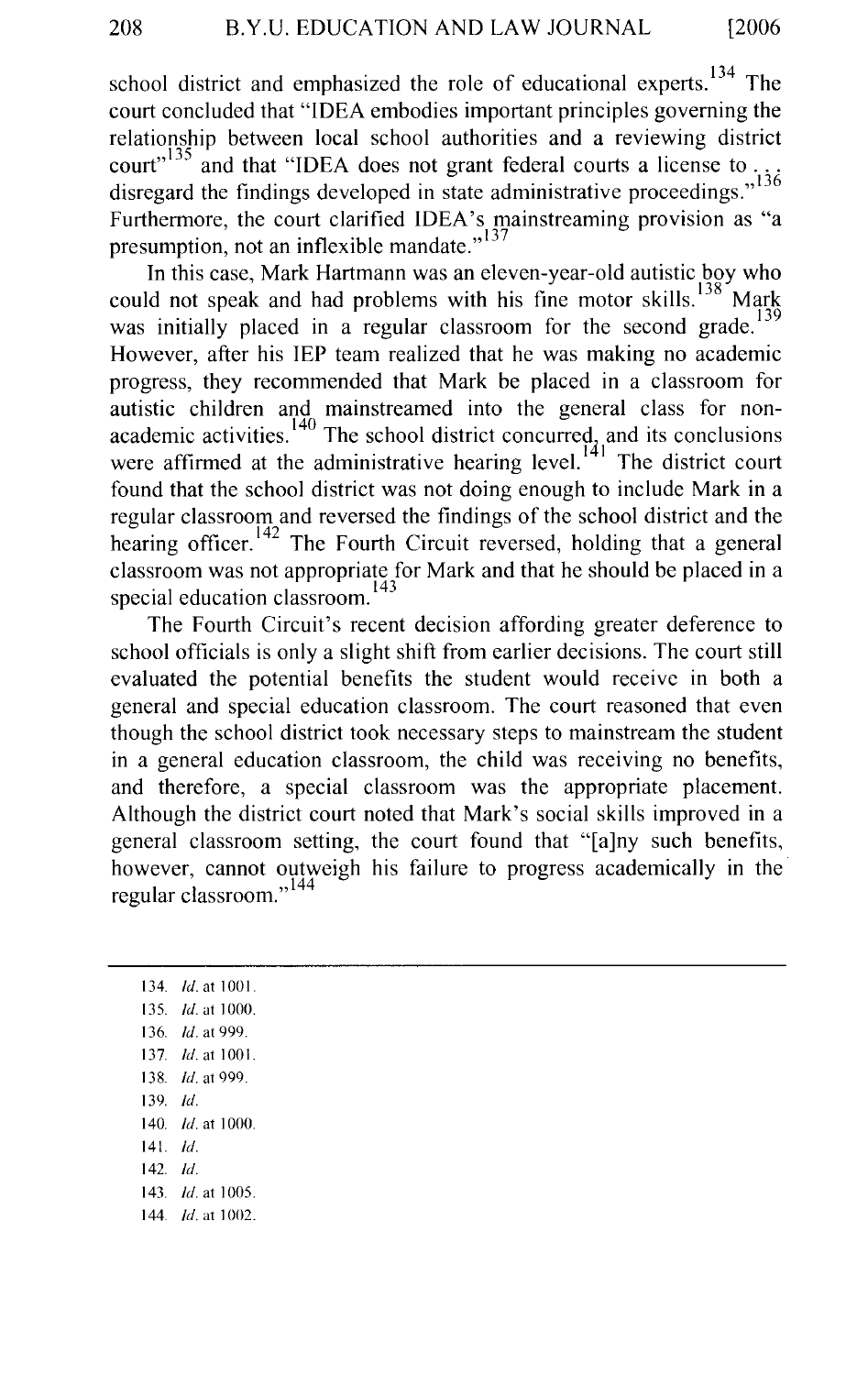school district and emphasized the role of educational experts.  $134$  The court concluded that "IDEA embodies important principles governing the relationship between local school authorities and a reviewing district court"  $135$  and that "IDEA does not grant federal courts a license to. disregard the findings developed in state administrative proceedings."<sup>136</sup> Furthermore, the court clarified IDEA's mainstreaming provision as "a presumption, not an inflexible mandate."<sup>137</sup>

In this case, Mark Hartmann was an eleven-year-old autistic boy who could not speak and had problems with his fine motor skills.  $138$  Mark was initially placed in a regular classroom for the second grade.<sup>13</sup> However, after his IEP team realized that he was making no academic progress, they recommended that Mark be placed in a classroom for autistic children and mainstreamed into the general class for nonacademic activities.  $140$  The school district concurred, and its conclusions were affirmed at the administrative hearing level. $^{141}$  The district court found that the school district was not doing enough to include Mark in a regular classroom and reversed the findings of the school district and the hearing officer.<sup>142</sup> The Fourth Circuit reversed, holding that a general classroom was not appropriate for Mark and that he should be placed in a special education classroom.<sup>143</sup>

The Fourth Circuit's recent decision affording greater deference to school officials is only a slight shift from earlier decisions. The court still evaluated the potential benefits the student would receive in both a general and special education classroom. The court reasoned that even though the school district took necessary steps to mainstream the student in a general education classroom, the child was receiving no benefits, and therefore, a special classroom was the appropriate placement. Although the district court noted that Mark's social skills improved in a general classroom setting, the court found that "[a]ny such benefits, however, cannot outweigh his failure to progress academically in the regular classroom."<sup>144</sup>

134. *!d.* at 1001. 135. *Id.* at 1000. 136. *!d.* at 999. 137. *ld.* at 1001. 138. *!d.* at 999. 139. *!d.*  140. *!d.* at 1000. 141. *!d.*  142. *!d.*  143. *Id.* at 1005. 144. *Id.* at 1002.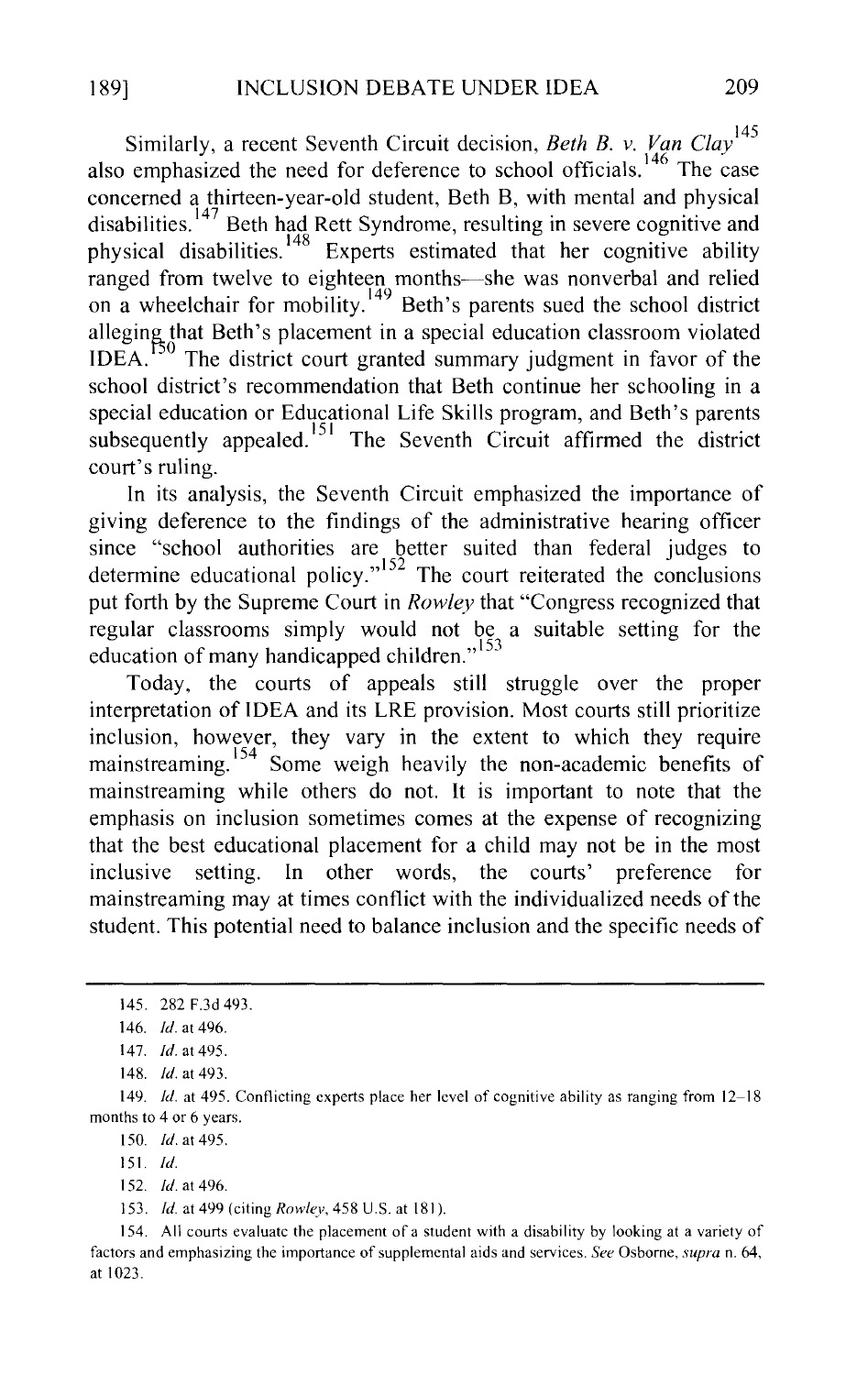Similarly, a recent Seventh Circuit decision, *Beth B. v. Van Clay*<sup>145</sup> also emphasized the need for deference to school officials.<sup>146</sup> The case concerned a thirteen-year-old student, Beth B, with mental and physical disabilities. 147 Beth had Rett Syndrome, resulting in severe cognitive and physical disabilities. 148 Experts estimated that her cognitive ability ranged from twelve to eighteen months-she was nonverbal and relied on a wheelchair for mobility.<sup>149</sup> Beth's parents sued the school district alleging that Beth's placement in a special education classroom violated  $IDEA$ .<sup>150</sup> The district court granted summary judgment in favor of the school district's recommendation that Beth continue her schooling in a special education or Educational Life Skills program, and Beth's parents subsequently appealed.<sup>151</sup> The Seventh Circuit affirmed the district court's ruling.

In its analysis, the Seventh Circuit emphasized the importance of giving deference to the findings of the administrative hearing officer since "school authorities are better suited than federal judges to determine educational policy."<sup>152</sup> The court reiterated the conclusions put forth by the Supreme Court in *Rowley* that "Congress recognized that regular classrooms simply would not be a suitable setting for the education of many handicapped children."<sup>153</sup>

Today, the courts of appeals still struggle over the proper interpretation of IDEA and its LRE provision. Most courts still prioritize inclusion, however, they vary in the extent to which they require mainstreaming. <sup>154</sup> Some weigh heavily the non-academic benefits of mainstreaming while others do not. It is important to note that the emphasis on inclusion sometimes comes at the expense of recognizing that the best educational placement for a child may not be in the most inclusive setting. In other words, the courts' preference for mainstreaming may at times conflict with the individualized needs of the student. This potential need to balance inclusion and the specific needs of

150. *!d.* at 495.

151. *!d.* 

152. *!d.* at 496.

153. *!d.* at 499 (citing *Rowley,* 458 U.S. at 181 ).

154. All courts evaluate the placement of a student with a disability by looking at a variety of factors and emphasizing the importance of supplemental aids and services. *See* Osborne, *supra* n. 64, at 1023.

<sup>145. 282</sup> F.3d 493.

<sup>146.</sup> *!d.* at 496.

<sup>147.</sup> *!d.* at 495.

<sup>148.</sup> *!d.* at 493.

<sup>149.</sup> *!d.* at 495. Conflicting experts place her level of cognitive ability as ranging from 12-18 months to 4 or 6 years.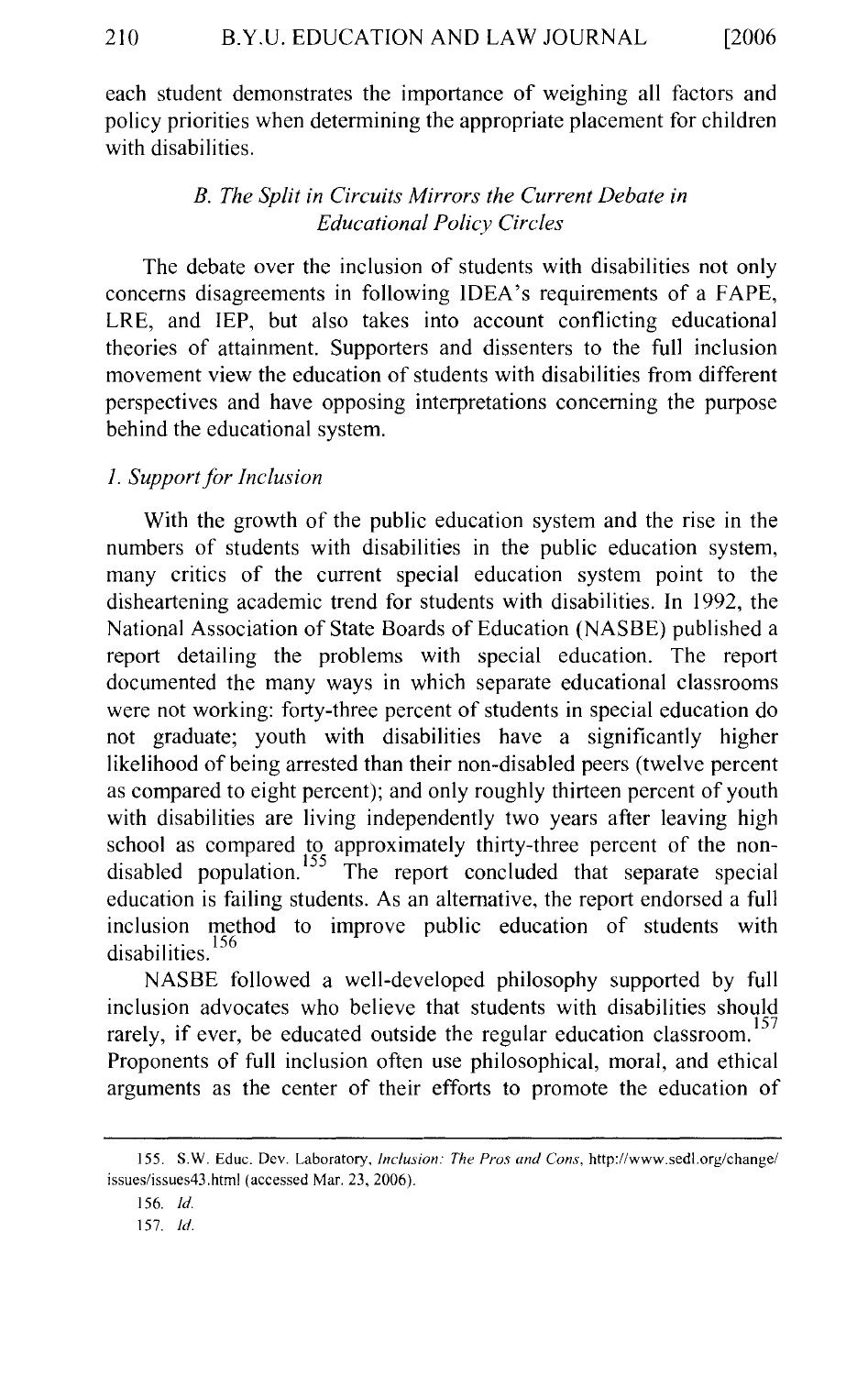each student demonstrates the importance of weighing all factors and policy priorities when determining the appropriate placement for children with disabilities.

# *B. The Split in Circuits Mirrors the Current Debate in Educational Policy Circles*

The debate over the inclusion of students with disabilities not only concerns disagreements in following IDEA's requirements of a FAPE, LRE, and IEP, but also takes into account conflicting educational theories of attainment. Supporters and dissenters to the full inclusion movement view the education of students with disabilities from different perspectives and have opposing interpretations concerning the purpose behind the educational system.

# *1. Support for Inclusion*

With the growth of the public education system and the rise in the numbers of students with disabilities in the public education system, many critics of the current special education system point to the disheartening academic trend for students with disabilities. In 1992, the National Association of State Boards of Education (NASBE) published a report detailing the problems with special education. The report documented the many ways in which separate educational classrooms were not working: forty-three percent of students in special education do not graduate; youth with disabilities have a significantly higher likelihood of being arrested than their non-disabled peers (twelve percent as compared to eight percent); and only roughly thirteen percent of youth with disabilities are living independently two years after leaving high school as compared to approximately thirty-three percent of the nondisabled population. 155 The report concluded that separate special education is failing students. As an alternative, the report endorsed a full inclusion method to improve public education of students with disabilities.<sup>156</sup>

NASBE followed a well-developed philosophy supported by full inclusion advocates who believe that students with disabilities should rarely, if ever, be educated outside the regular education classroom.<sup>157</sup> Proponents of full inclusion often use philosophical, moral, and ethical arguments as the center of their efforts to promote the education of

<sup>155.</sup> S.W. Educ. Dev. Laboratory, *Inclusion: The Pros and Cons,* http://www.sedl.org/change/ issues/issues43.html (accessed Mar. 23, 2006).

<sup>156.</sup> *!d.* 

<sup>157.</sup> *!d.*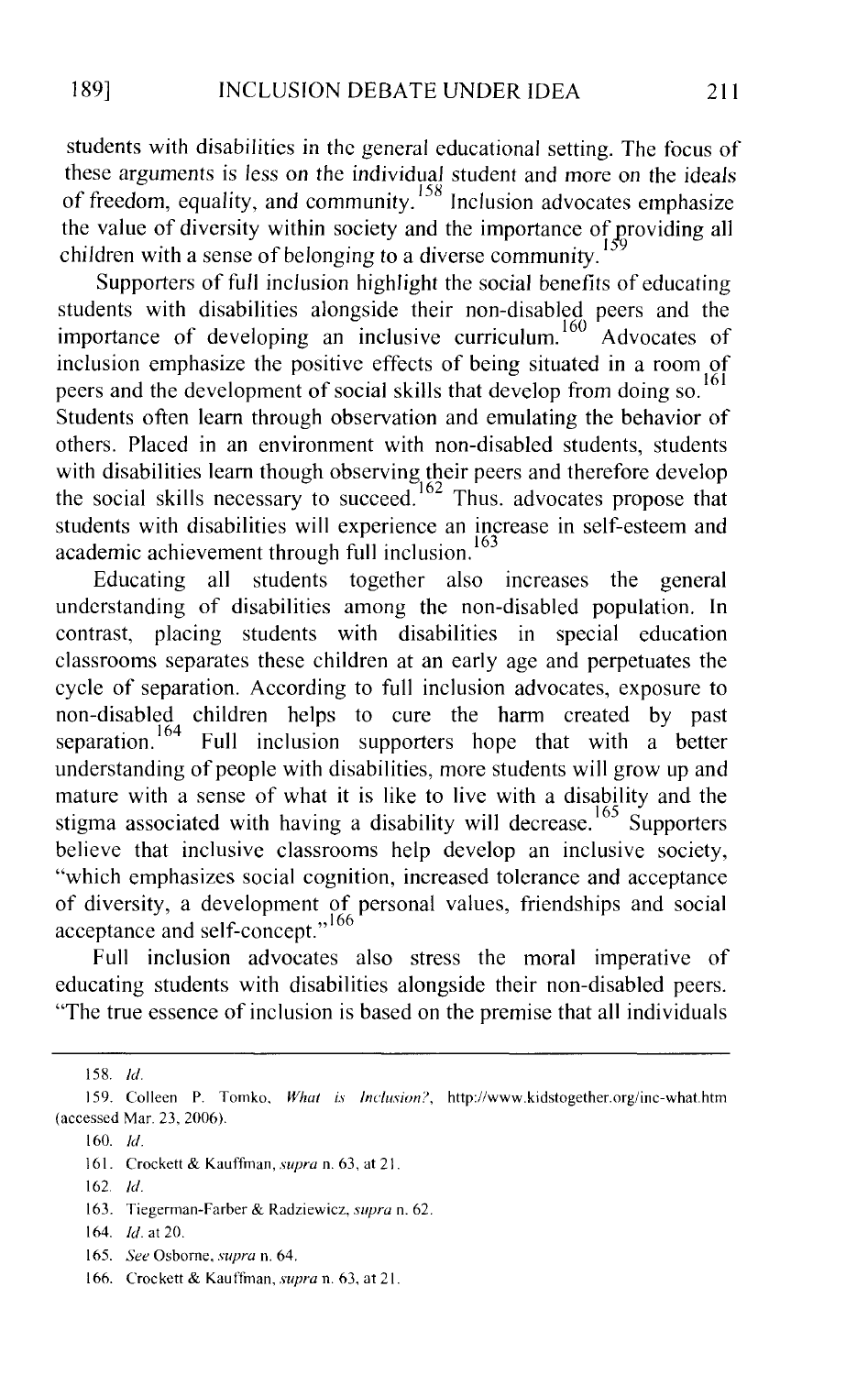students with disabilities in the general educational setting. The focus of these arguments is less on the individual student and more on the ideals of freedom, equality, and community.<sup>158</sup> Inclusion advocates emphasize the value of diversity within society and the importance of providing all children with a sense of belonging to a diverse community.

Supporters of full inclusion highlight the social benefits of educating students with disabilities alongside their non-disabled peers and the importance of developing an inclusive curriculum. Advocates of inclusion emphasize the positive effects of being situated in a room of peers and the development of social skills that develop from doing so.  $^{161}$ Students often learn through observation and emulating the behavior of others. Placed in an environment with non-disabled students, students with disabilities learn though observing their peers and therefore develop the social skills necessary to succeed.  $162$  Thus. advocates propose that students with disabilities will experience an increase in self-esteem and academic achievement through full inclusion.<sup>163</sup>

Educating all students together also increases the general understanding of disabilities among the non-disabled population. In contrast, placing students with disabilities in special education classrooms separates these children at an early age and perpetuates the cycle of separation. According to full inclusion advocates, exposure to non-disabled children helps to cure the harm created by past separation.  $164$  Full inclusion supporters hope that with a better understanding of people with disabilities, more students will grow up and mature with a sense of what it is like to live with a disability and the stigma associated with having a disability will decrease.<sup>165</sup> Supporters believe that inclusive classrooms help develop an inclusive society, "which emphasizes social cognition, increased tolerance and acceptance of diversity, a development of personal values, friendships and social acceptance and self-concept."<sup>166</sup>

Full inclusion advocates also stress the moral imperative of educating students with disabilities alongside their non-disabled peers. "The true essence of inclusion is based on the premise that all individuals

158. */d.* 

160. *!d.* 

162. *!d.* 

164. *!d.* at 20.

I 59. Colleen P. Tomko. *What is Inclusion?,* http://www.kidstogether.org/inc-what.htm (accessed Mar. 23, 2006).

I 61. Crockett & Kauffman, *supra* n. 63, at 21.

<sup>163.</sup> Tiegerman-Farber & Radziewicz, *supra* n. 62.

I 65. *See* Osborne, *supra* n. 64.

<sup>166.</sup> Crockett & Kauffman, *supra* n. 63, at 21.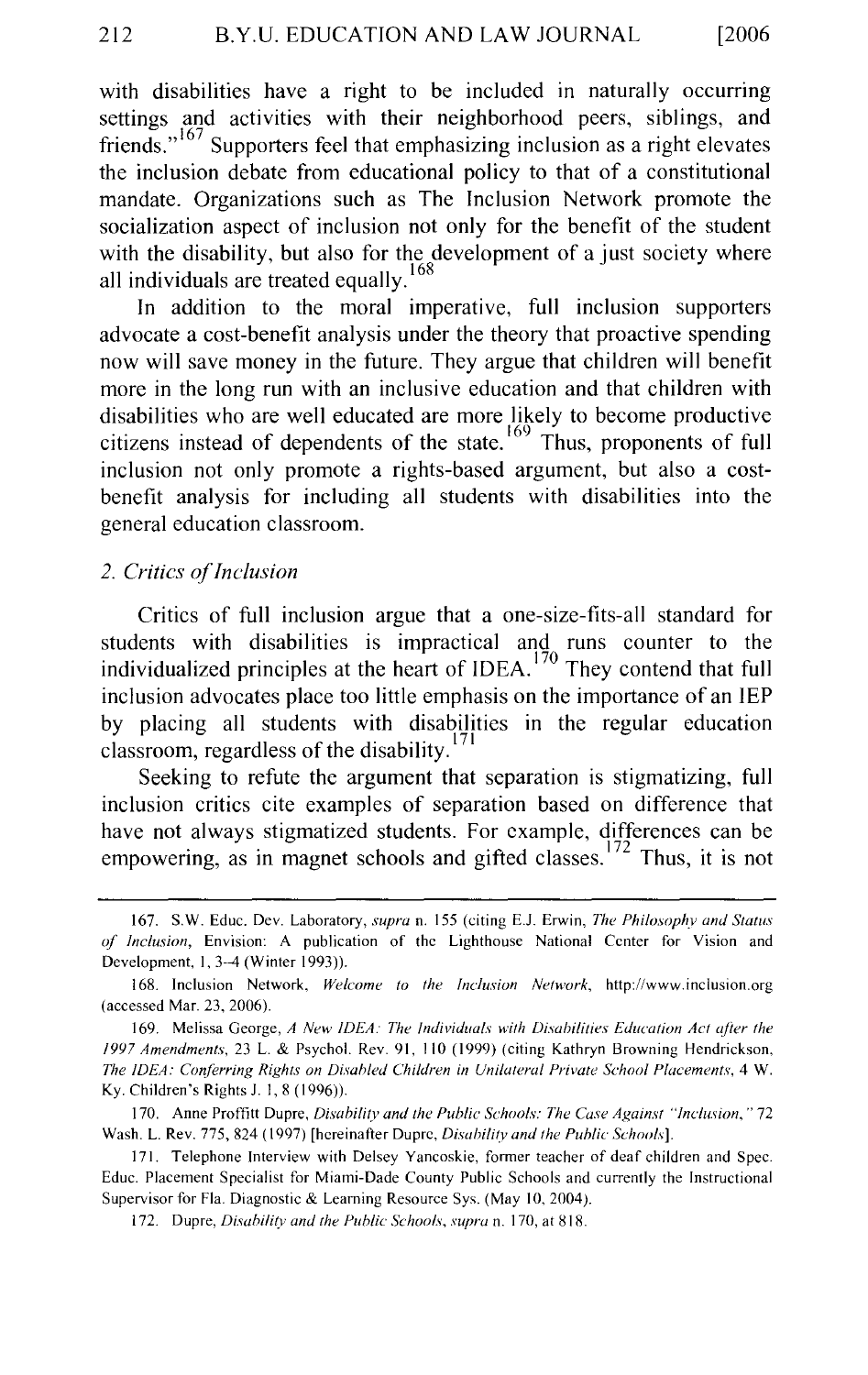with disabilities have a right to be included in naturally occurring settings and activities with their neighborhood peers, siblings, and friends."<sup>167</sup> Supporters feel that emphasizing inclusion as a right elevates the inclusion debate from educational policy to that of a constitutional mandate. Organizations such as The Inclusion Network promote the socialization aspect of inclusion not only for the benefit of the student with the disability, but also for the development of a just society where all individuals are treated equally.<sup>168</sup>

In addition to the moral imperative, full inclusion supporters advocate a cost-benefit analysis under the theory that proactive spending now will save money in the future. They argue that children will benefit more in the long run with an inclusive education and that children with disabilities who are well educated are more likely to become productive citizens instead of dependents of the state.  $169$  Thus, proponents of full inclusion not only promote a rights-based argument, but also a costbenefit analysis for including all students with disabilities into the general education classroom.

#### *2. Critics of Inclusion*

Critics of full inclusion argue that a one-size-fits-all standard for students with disabilities is impractical and runs counter to the individualized principles at the heart of IDEA.<sup>170</sup> They contend that full inclusion advocates place too little emphasis on the importance of an IEP by placing all students with disabilities in the regular education classroom, regardless of the disability. $171$ 

Seeking to refute the argument that separation is stigmatizing, full inclusion critics cite examples of separation based on difference that have not always stigmatized students. For example, differences can be empowering, as in magnet schools and gifted classes.  $172$  Thus, it is not

170. Anne Proffitt Dupre, *Disahility and the Puhlic Schools: The Case Against "Inclusion,"* 72 Wash. L. Rev. 775, 824 ( 1997) [hereinafter Dupre, *Disahility and the Puhlic Schools].* 

171. Telephone Interview with Delsey Yancoskie, former teacher of deaf children and Spec. Educ. Placement Specialist for Miami-Dade County Public Schools and currently the Instructional Supervisor for Fla. Diagnostic & Learning Resource Sys. (May 10, 2004).

172. Dupre, *Disahilitv and the Puhlic Schools, supra* n. 170, at 818.

<sup>167.</sup> S.W. Educ. Dev. Laboratory, *supra* n. 155 (citing E.J. Erwin, *The Philosophy and Status of Inclusion,* Envision: A publication of the Lighthouse National Center for Vision and Development, 1, 3-4 (Winter 1993)).

<sup>168.</sup> Inclusion Network, *Welcome to the Inclusion Network,* http://www.inclusion.org (accessed Mar. 23, 2006).

<sup>169.</sup> Melissa George, *A New IDEA: The Individuals with Disahilities Education Act ajier the 1997 Amendments,* 23 L. & Psycho!. Rev. 91, 110 (1999) (citing Kathryn Browning Hendrickson, *The IDEA: Conferring Rights on Disabled Children in Unilateral Private School Placements, 4 W.* Ky. Children's Rights J. I, 8 (1996)).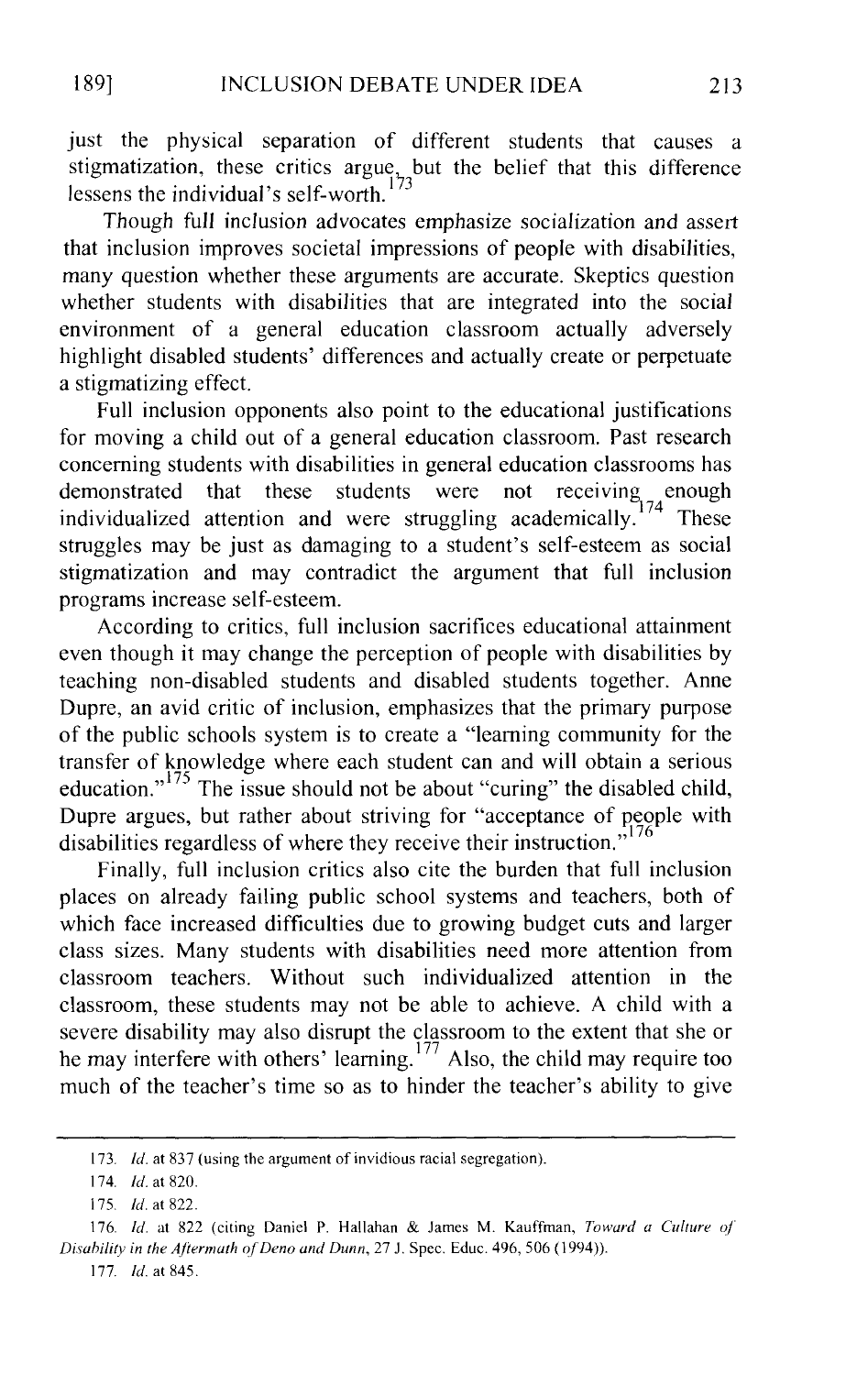just the physical separation of different students that causes a stigmatization, these critics argue, but the belief that this difference<br>lossens the individual's self-worth  $^{173}$ lessens the individual's self-worth.<sup>173</sup>

Though full inclusion advocates emphasize socialization and assert that inclusion improves societal impressions of people with disabilities, many question whether these arguments are accurate. Skeptics question whether students with disabilities that are integrated into the social environment of a general education classroom actually adversely highlight disabled students' differences and actually create or perpetuate a stigmatizing effect.

Full inclusion opponents also point to the educational justifications for moving a child out of a general education classroom. Past research concerning students with disabilities in general education classrooms has demonstrated that these students were not receiving enough individualized attention and were struggling academically.<sup>174</sup> These demonstrated that these students were not individualized attention and were struggling academically.<sup>1</sup> struggles may be just as damaging to a student's self-esteem as social stigmatization and may contradict the argument that full inclusion programs increase self-esteem.

According to critics, full inclusion sacrifices educational attainment even though it may change the perception of people with disabilities by teaching non-disabled students and disabled students together. Anne Dupre, an avid critic of inclusion, emphasizes that the primary purpose of the public schools system is to create a "learning community for the transfer of knowledge where each student can and will obtain a serious education."<sup>175</sup> The issue should not be about "curing" the disabled child, Dupre argues, but rather about striving for "acceptance of people with disabilities regardless of where they receive their instruction."

Finally, full inclusion critics also cite the burden that full inclusion places on already failing public school systems and teachers, both of which face increased difficulties due to growing budget cuts and larger class sizes. Many students with disabilities need more attention from classroom teachers. Without such individualized attention in the classroom, these students may not be able to achieve. A child with a severe disability may also disrupt the classroom to the extent that she or he may interfere with others' learning. <sup>177</sup> Also, the child may require too much of the teacher's time so as to hinder the teacher's ability to give

177. *!d.* at 845.

<sup>173.</sup> *!d.* at 837 (using the argument of invidious racial segregation).

<sup>174.</sup> *!d.* at 820.

<sup>175.</sup> *!d.* at 822.

<sup>176.</sup> *!d.* at 822 (citing Daniel P. Hallahan & James M. Kauffman, *Toward a Culture of Disability in the Afiermath ofDeno and Dunn,* 27 J. Spec. Educ. 496, 506 (1994)).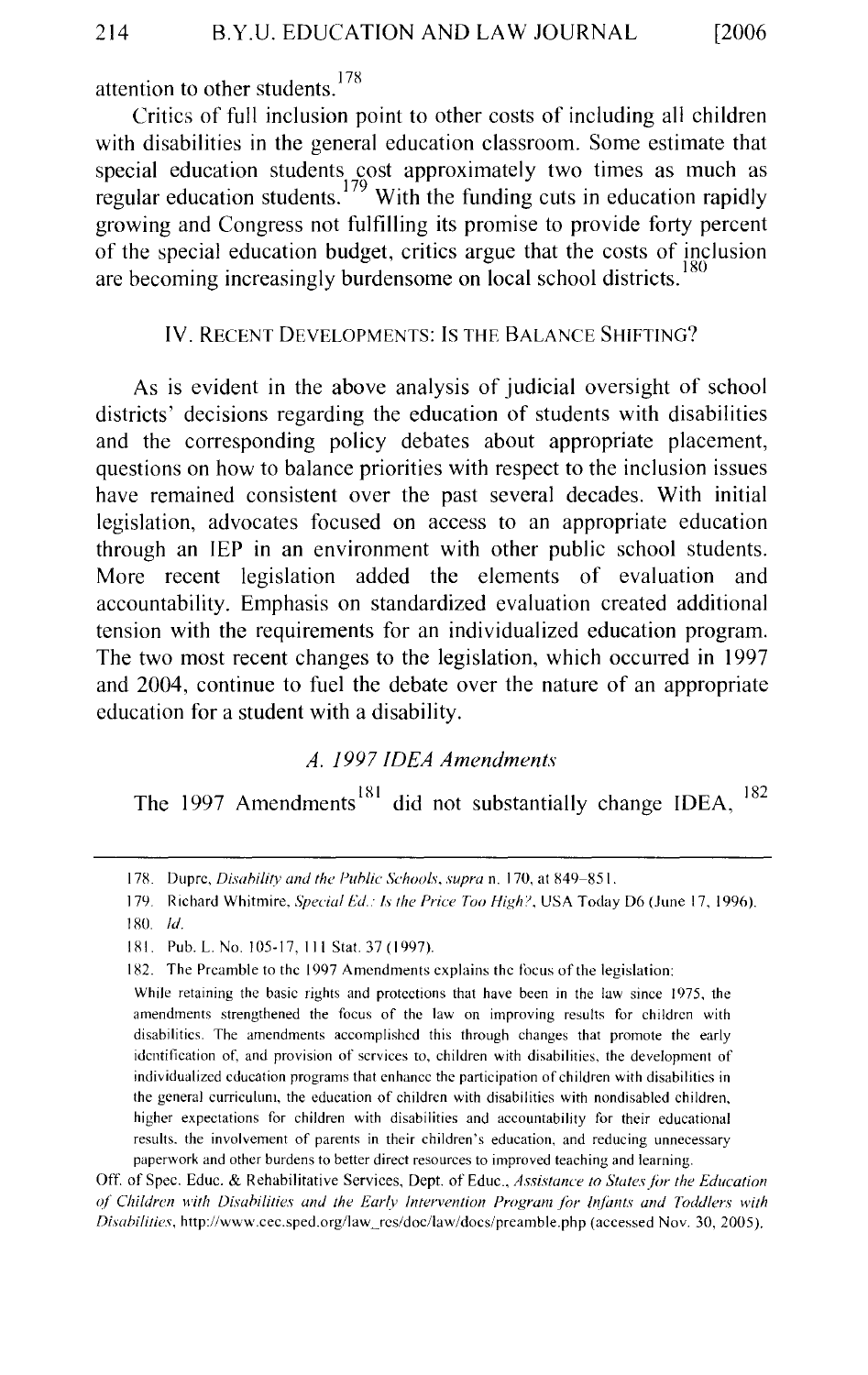attention to other students.<sup>178</sup>

Critics of full inclusion point to other costs of including all children with disabilities in the general education classroom. Some estimate that special education students cost approximately two times as much as regular education students.<sup>179</sup> With the funding cuts in education rapidly growing and Congress not fulfilling its promise to provide forty percent of the special education budget, critics argue that the costs of inclusion are becoming increasingly burdensome on local school districts.

# IV. RECENT DEVELOPMENTS: Is THE BALANCE SHIFTING?

As is evident in the above analysis of judicial oversight of school districts' decisions regarding the education of students with disabilities and the corresponding policy debates about appropriate placement, questions on how to balance priorities with respect to the inclusion issues have remained consistent over the past several decades. With initial legislation, advocates focused on access to an appropriate education through an IEP in an environment with other public school students. More recent legislation added the elements of evaluation and accountability. Emphasis on standardized evaluation created additional tension with the requirements for an individualized education program. The two most recent changes to the legislation, which occurred in 1997 and 2004, continue to fuel the debate over the nature of an appropriate education for a student with a disability.

# *A. 1997 IDEA Amendments*

The 1997 Amendments<sup>181</sup> did not substantially change IDEA,  $^{182}$ 

OtT. of Spec. Educ. & Rehabilitative Services, Dept. of Educ., *Assistance to States jbr the Education of Children with Disabilities and the Early Intervention Program for Infants and Toddlers with Disahi/ities,* http://www.cec.sped.org/law\_rcs/doc/law/docs/preamble.php (accessed Nov. 30, 2005).

<sup>178.</sup> Dupre, *Disahility and the Puh/ic Schools, supra* n. 170, at X49-851.

<sup>179.</sup> Richard Whitmire, *Special Ed.: Is the Price Too High?*, USA Today D6 (June 17, 1996). ISO */d.* 

<sup>181.</sup> Pub. L. No. 105-17, Ill Stat. 37 (1997).

<sup>182.</sup> The Preamble to the 1997 Amendments explains the focus of the legislation:

While retaining the basic rights and protections that have been in the law since 1975, the amendments strengthened the focus of the law on improving results for children with disabilities. The amendments accomplished this through changes that promote the early identification of, and provision of services to, children with disabilities, the development of individualized education programs that enhance the participation of children with disabilities in the general curriculum, the education of children with disabilities with nondisabled children, higher expectations for children with disabilities and accountability for their educational results. the involvement of parents in their children's education, and reducing unnecessary paperwork and other burdens to better direct resources to improved teaching and learning.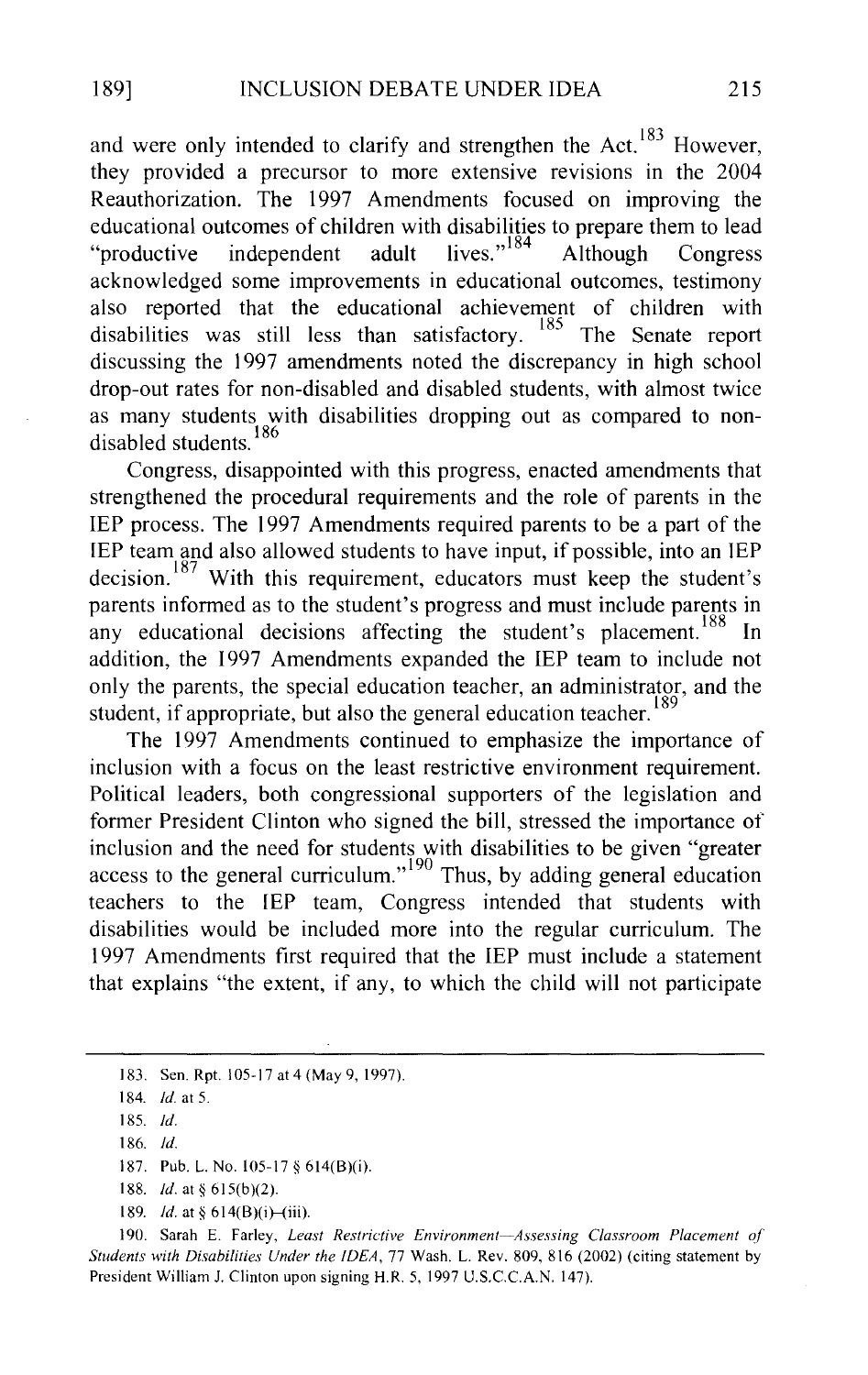and were only intended to clarify and strengthen the Act.<sup>183</sup> However, they provided a precursor to more extensive revisions in the 2004 Reauthorization. The 1997 Amendments focused on improving the educational outcomes of children with disabilities to prepare them to lead<br>"productive independent adult lives."<sup>184</sup> Although Congress "productive independent adult lives."<sup>184</sup> Although Congress acknowledged some improvements in educational outcomes, testimony also reported that the educational achievement of children with disabilities was still less than satisfactory. <sup>185</sup> The Senate report discussing the 1997 amendments noted the discrepancy in high school drop-out rates for non-disabled and disabled students, with almost twice as many students with disabilities dropping out as compared to non-<br>disabled students 186 disabled students.

Congress, disappointed with this progress, enacted amendments that strengthened the procedural requirements and the role of parents in the IEP process. The 1997 Amendments required parents to be a part of the IEP team and also allowed students to have input, if possible, into an IEP decision.<sup>187</sup> With this requirement, educators must keep the student's parents informed as to the student's progress and must include parents in any educational decisions affecting the student's placement.<sup>188</sup> In addition, the 1997 Amendments expanded the IEP team to include not only the parents, the special education teacher, an administrator, and the student, if appropriate, but also the general education teacher.<sup>189</sup>

The 1997 Amendments continued to emphasize the importance of inclusion with a focus on the least restrictive environment requirement. Political leaders, both congressional supporters of the legislation and former President Clinton who signed the bill, stressed the importance of inclusion and the need for students with disabilities to be given "greater access to the general curriculum."<sup>190</sup> Thus, by adding general education teachers to the IEP team, Congress intended that students with disabilities would be included more into the regular curriculum. The 1997 Amendments first required that the IEP must include a statement that explains "the extent, if any, to which the child will not participate

<sup>183.</sup> Sen. Rpt. 105-17 at 4 (May 9, 1997).

<sup>184.</sup> *!d.* at 5.

<sup>185.</sup> *!d.* 

<sup>186.</sup> *!d.* 

<sup>187.</sup> Pub. L. No. 105-17 § 614(B)(i).

<sup>188.</sup> *!d.* at§ 615(b)(2).

<sup>189.</sup> *Id.* at §  $614(B)(i)$ —(iii).

<sup>190.</sup> Sarah E. Farley, *Least Restrictive Environment-Assessing Classroom Placement of Students with Disabilities Under the IDEA,* 77 Wash. L. Rev. 809, 816 (2002) (citing statement by President William J. Clinton upon signing H.R. 5, 1997 U.S.C.C.A.N. 147).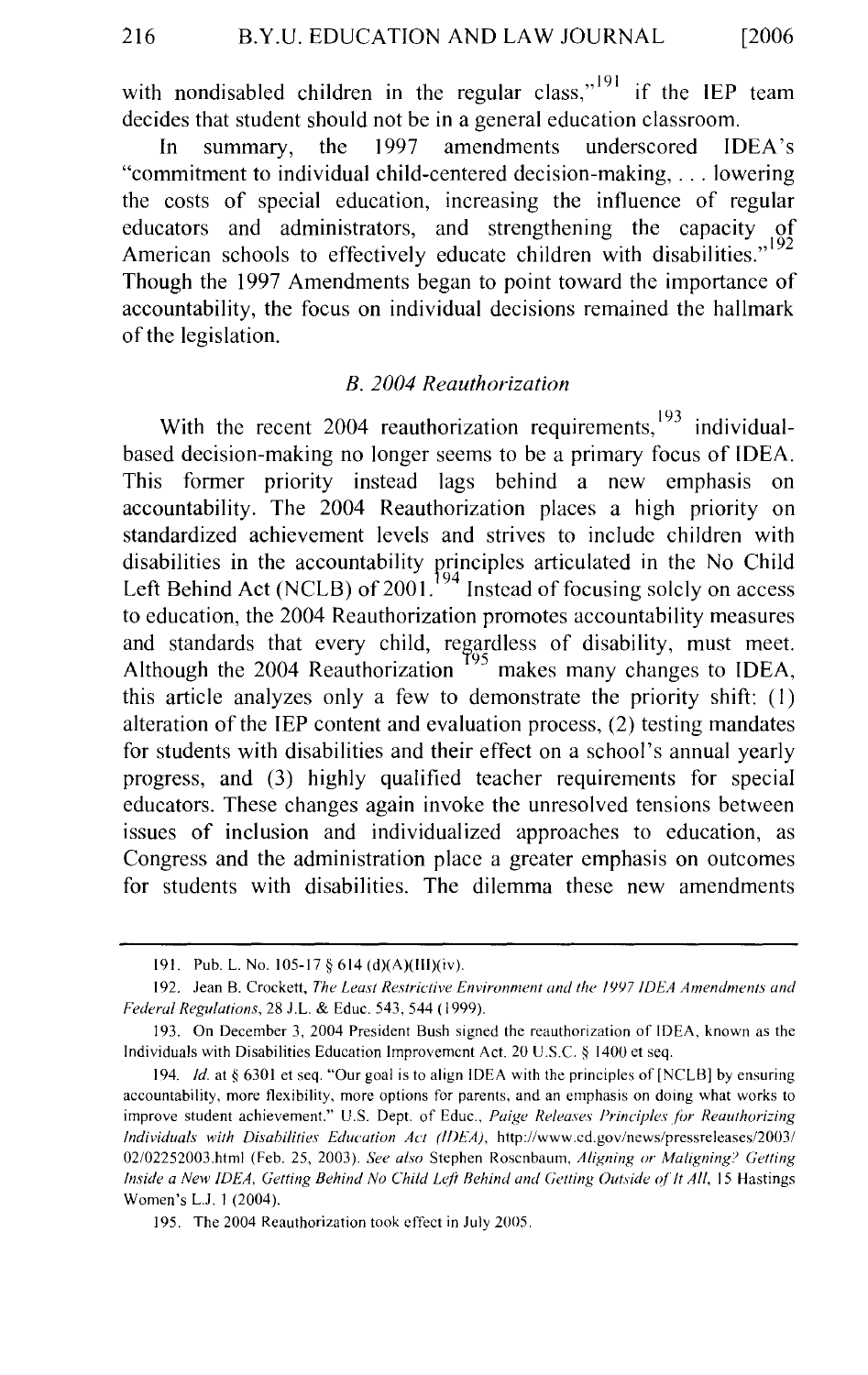with nondisabled children in the regular class,"<sup>191</sup> if the IEP team decides that student should not be in a general education classroom.

In summary, the 1997 amendments underscored IDEA's "commitment to individual child-centered decision-making, ... lowering the costs of special education, increasing the influence of regular educators and administrators, and strengthening the capacity of American schools to effectively educate children with disabilities."<sup>192</sup> Though the 1997 Amendments began to point toward the importance of accountability, the focus on individual decisions remained the hallmark of the legislation.

#### *B. 2004 Reauthorization*

With the recent 2004 reauthorization requirements,  $193$  individualbased decision-making no longer seems to be a primary focus of IDEA. This former priority instead lags behind a new emphasis on accountability. The 2004 Reauthorization places a high priority on standardized achievement levels and strives to include children with disabilities in the accountability principles articulated in the No Child Left Behind Act (NCLB) of 2001.<sup>194</sup> Instead of focusing solely on access to education, the 2004 Reauthorization promotes accountability measures and standards that every child, regardless of disability, must meet. Although the 2004 Reauthorization  $195$  makes many changes to IDEA, this article analyzes only a few to demonstrate the priority shift: (I) alteration of the IEP content and evaluation process, (2) testing mandates for students with disabilities and their effect on a school's annual yearly progress, and (3) highly qualified teacher requirements for special educators. These changes again invoke the unresolved tensions between issues of inclusion and individualized approaches to education, as Congress and the administration place a greater emphasis on outcomes for students with disabilities. The dilemma these new amendments

<sup>191.</sup> Pub. L. No. 105-17 § 614 (d)(A)(lll)(iv).

<sup>192.</sup> Jean B. Crockett, *The Least Restrictive Environment and the 1997 IDEA Amendments and Federal Regulations,* 28 J.L. & Educ. 543, 544 ( 1999).

I 93. On December 3, 2004 President Bush signed the reauthorization of IDEA, known as the Individuals with Disabilities Education Improvement Act. 20 U.S.C. § 1400 et seq.

<sup>194.</sup> *Id.* at § 6301 et seq. "Our goal is to align IDEA with the principles of [NCLB] by ensuring accountability, more flexibility, more options for parents, and an emphasis on doing what works to improve student achievement." U.S. Dept. of Educ., *Paige Releases Principles for Reauthorizing Individuals with Disabilities Education Act (1/)EA),* http://www.cd.gov/news/pressreleases/2003/ 02/02252003.html (Feb. 25, 2003). *See also* Stephen Rosenbaum, *Aligning or Maligning? Getting Inside a New IDEA, Getting Behind No Child Left Behind and Getting Outside of It All, 15 Hastings* Women's L.J. I (2004).

<sup>195.</sup> The 2004 Reauthorization took effect in July 2005.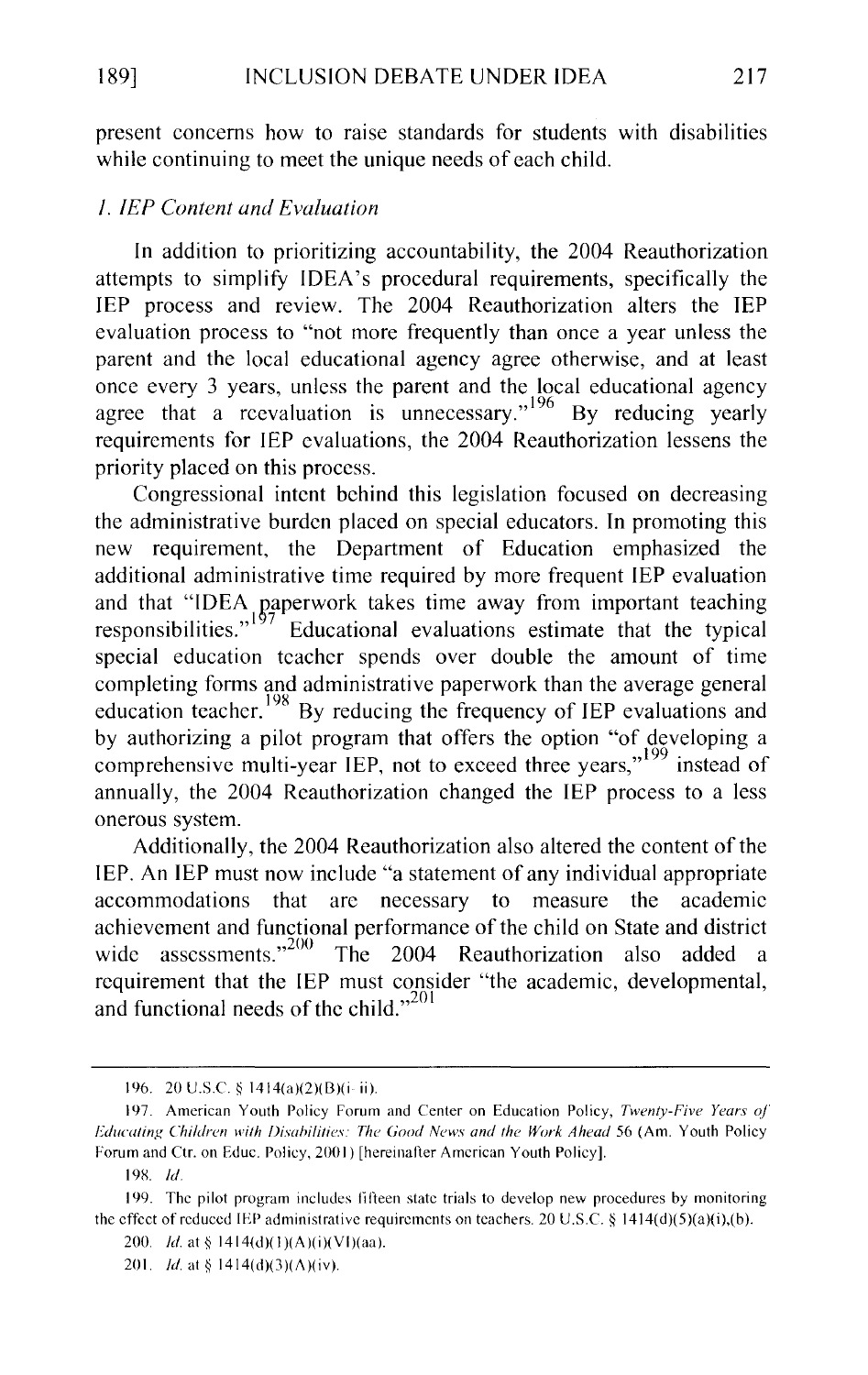present concerns how to raise standards for students with disabilities while continuing to meet the unique needs of each child.

# *1. JEP Content and Evaluation*

In addition to prioritizing accountability, the 2004 Reauthorization attempts to simplify IDEA's procedural requirements, specifically the IEP process and review. The 2004 Reauthorization alters the IEP evaluation process to "not more frequently than once a year unless the parent and the local educational agency agree otherwise, and at least once every 3 years, unless the parent and the local educational agency agree that a reevaluation is unnecessary."<sup>196</sup> By reducing yearly requirements for IEP evaluations, the 2004 Reauthorization lessens the priority placed on this process.

Congressional intent behind this legislation focused on decreasing the administrative burden placed on special educators. In promoting this new requirement, the Department of Education emphasized the additional administrative time required by more frequent IEP evaluation and that "IDEA paperwork takes time away from important teaching responsibilities." Educational evaluations estimate that the typical Educational evaluations estimate that the typical special education teacher spends over double the amount of time completing forms and administrative paperwork than the average general education teacher.<sup>198</sup> By reducing the frequency of IEP evaluations and by authorizing a pilot program that offers the option "of developing a comprehensive multi-year IEP, not to exceed three years,"<sup>199</sup> instead of annually, the 2004 Reauthorization changed the IEP process to a less onerous system.

Additionally, the 2004 Reauthorization also altered the content of the IEP. An IEP must now include "a statement of any individual appropriate accommodations that are necessary to measure the academic achievement and functional performance of the child on State and district wide assessments."<sup>200</sup> The 2004 Reauthorization also added a requirement that the IEP must consider "the academic, developmental, and functional needs of the child."<sup>201</sup>

<sup>196. 20</sup> U.S.C. § 1414(a)(2)(B)(i-ii).

<sup>197.</sup> American Youth Policy Forum and Center on Education Policy, *Twenty-Five Years of" Educating Children with Disabilities: The Good News and the Work Ahead 56 (Am. Youth Policy* Forum and Ctr. on Educ. Policy, 2001) [hereinafter American Youth Policy].

<sup>19</sup>X *!d.* 

<sup>199.</sup> The pilot program includes fifteen state trials to develop new procedures by monitoring the effect of reduced IEP administrative requirements on teachers. 20 U.S.C. § 1414(d)(5)(a)(i),(b).

<sup>200.</sup> *Id.* at § 1414(d)(1)(A)(i)(VI)(aa).

<sup>201.</sup> *Id.* at § 1414(d)(3)( $\Lambda$ )(iv).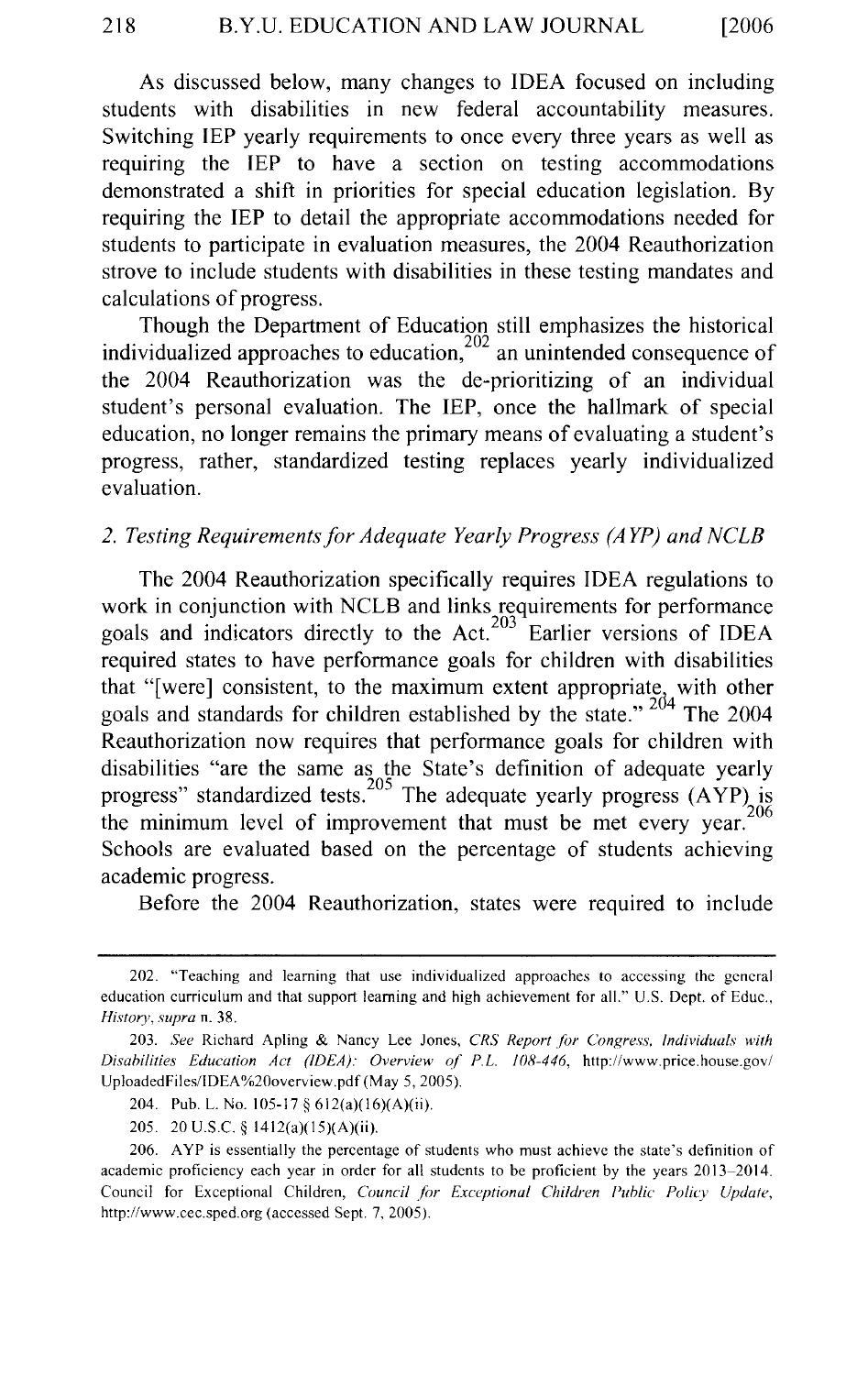As discussed below, many changes to IDEA focused on including students with disabilities in new federal accountability measures. Switching IEP yearly requirements to once every three years as well as requiring the IEP to have a section on testing accommodations demonstrated a shift in priorities for special education legislation. By requiring the IEP to detail the appropriate accommodations needed for students to participate in evaluation measures, the 2004 Reauthorization strove to include students with disabilities in these testing mandates and calculations of progress.

Though the Department of Education still emphasizes the historical individualized approaches to education,  $202$  an unintended consequence of the 2004 Reauthorization was the de-prioritizing of an individual student's personal evaluation. The IEP, once the hallmark of special education, no longer remains the primary means of evaluating a student's progress, rather, standardized testing replaces yearly individualized evaluation.

# *2. Testing Requirements for Adequate Yearly Progress (A YP) and NCLB*

The 2004 Reauthorization specifically requires IDEA regulations to work in conjunction with NCLB and links requirements for performance goals and indicators directly to the Act.<sup>203</sup> Earlier versions of IDEA required states to have performance goals for children with disabilities that "[were] consistent, to the maximum extent appropriate, with other goals and standards for children established by the state." <sup>204</sup> The 2004 Reauthorization now requires that performance goals for children with disabilities "are the same as the State's definition of adequate yearly progress" standardized tests.<sup>205</sup> The adequate yearly progress  $(AYP)$  is the minimum level of improvement that must be met every year.<sup>206</sup> Schools are evaluated based on the percentage of students achieving academic progress.

Before the 2004 Reauthorization, states were required to include

<sup>202. &#</sup>x27;Teaching and learning that use individualized approaches to accessing the general education curriculum and that support learning and high achievement for all." U.S. Dept. of Educ., *History, supra* n. 38.

<sup>203.</sup> *See* Richard Apling & Nancy Lee Jones, *CRS Report for Congress, Individuals with Disabilities Education Act (IDEA): Overview of P.L. 108-446,* http://www.price.house.gov/ UploadedFiles/IDEA %20overview.pdf (May 5, 2005).

<sup>204.</sup> Pub. L. No. 105-17 § 612(a)(l6)(A)(ii).

<sup>205. 20</sup> U.S.C. § 1412(a)(l5)(A)(ii).

<sup>206.</sup> A YP is essentially the percentage of students who must achieve the state's definition of academic proficiency each year in order for all students to be proficient by the years 2013-2014. Council for Exceptional Children, *Council for Exceptional Children Public Policy Update*, http://www.cec.sped.org (accessed Sept. 7, 2005).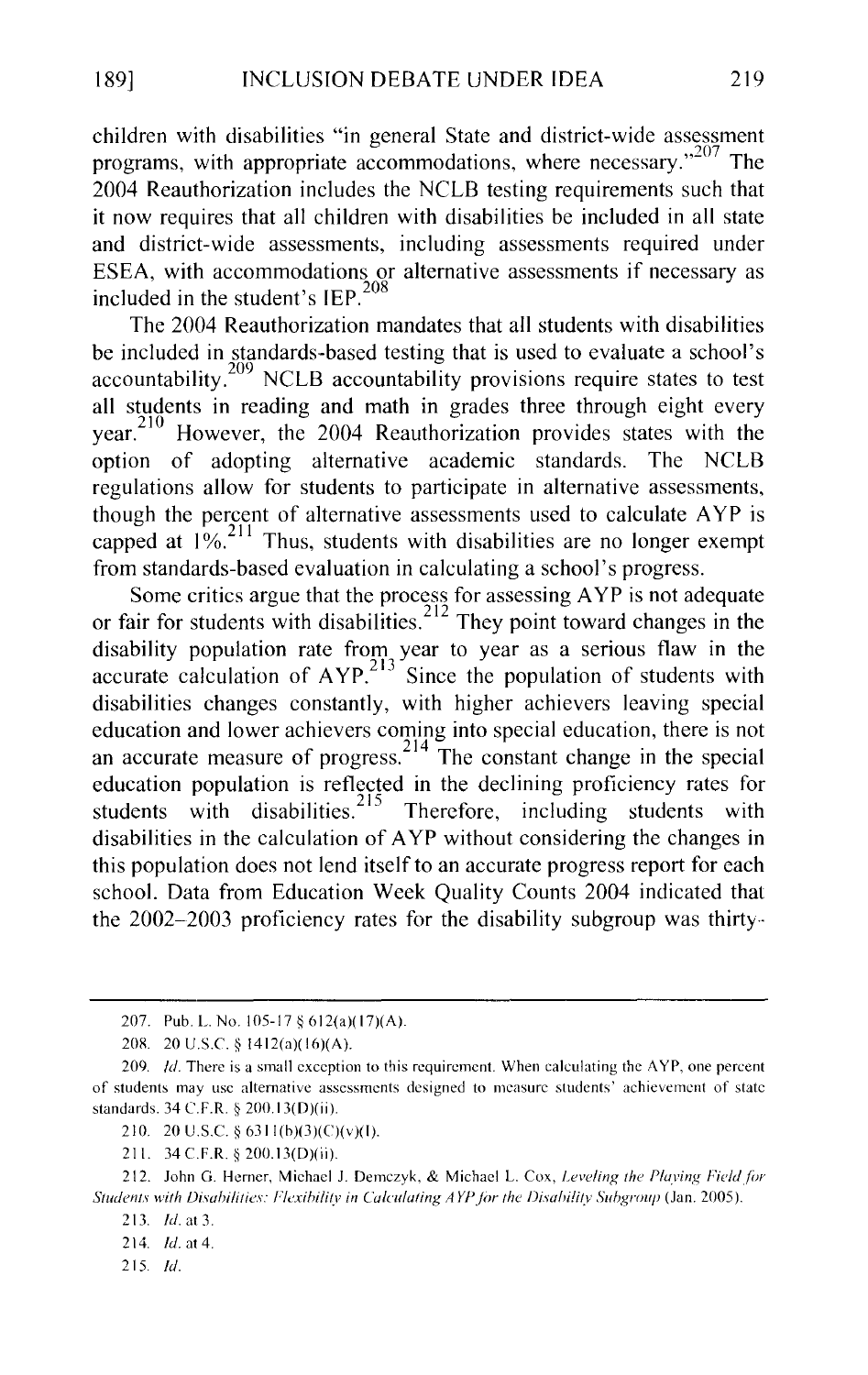children with disabilities "in general State and district-wide assessment programs, with appropriate accommodations, where necessary. $n^{207}$  The 2004 Reauthorization includes the NCLB testing requirements such that it now requires that all children with disabilities be included in all state and district-wide assessments, including assessments required under ESEA, with accommodations or alternative assessments if necessary as included in the student's IEP. <sup>208</sup>

The 2004 Reauthorization mandates that all students with disabilities be included in standards-based testing that is used to evaluate a school's accountability.<sup>209</sup> NCLB accountability provisions require states to test all students in reading and math in grades three through eight every year.<sup>210</sup> However, the 2004 Reauthorization provides states with the option of adopting alternative academic standards. The NCLB regulations allow for students to participate in alternative assessments, though the percent of alternative assessments used to calculate A YP is capped at  $1\%$ <sup>211</sup> Thus, students with disabilities are no longer exempt from standards-based evaluation in calculating a school's progress.

Some critics argue that the process for assessing AYP is not adequate or fair for students with disabilities.<sup>212</sup> They point toward changes in the disability population rate from year to year as a serious flaw in the accurate calculation of  $AYP<sup>213</sup>$  Since the population of students with disabilities changes constantly, with higher achievers leaving special education and lower achievers coming into special education, there is not an accurate measure of progress.<sup>214</sup> The constant change in the special education population is reflected in the declining proficiency rates for students with disabilities.<sup>215</sup> Therefore, including students with disabilities in the calculation of A YP without considering the changes in this population does not lend itself to an accurate progress report for each school. Data from Education Week Quality Counts 2004 indicated that the 2002-2003 proficiency rates for the disability subgroup was thirty··

215. */d.* 

<sup>207.</sup> Pub. L. No. 105-17 § 612(a)(17)(A).

<sup>208. 20</sup> U.S.C. § 1412(a)(16)(A).

<sup>209.</sup> *Id.* There is a small exception to this requirement. When calculating the AYP, one percent of students may usc alternative assessments designed to measure students' achievement of state standards. 34 C.F.R. § 200.13(D)(ii).

<sup>210. 20</sup> U.S.C. § 63ll(b)(3)(C)(v)(l).

<sup>211. 34</sup> C.F.R. § 200.13(D)(ii).

<sup>212.</sup> John G. Herner, Michael J. Demczyk, & Michael L. Cox, *Leveling the Playing Field for* Students with Disabilities: Flexibility in Calculating AYP for the Disability Subgroup (Jan. 2005).

<sup>213.</sup> *!d.* at 3.

<sup>214.</sup> *ld.* at 4.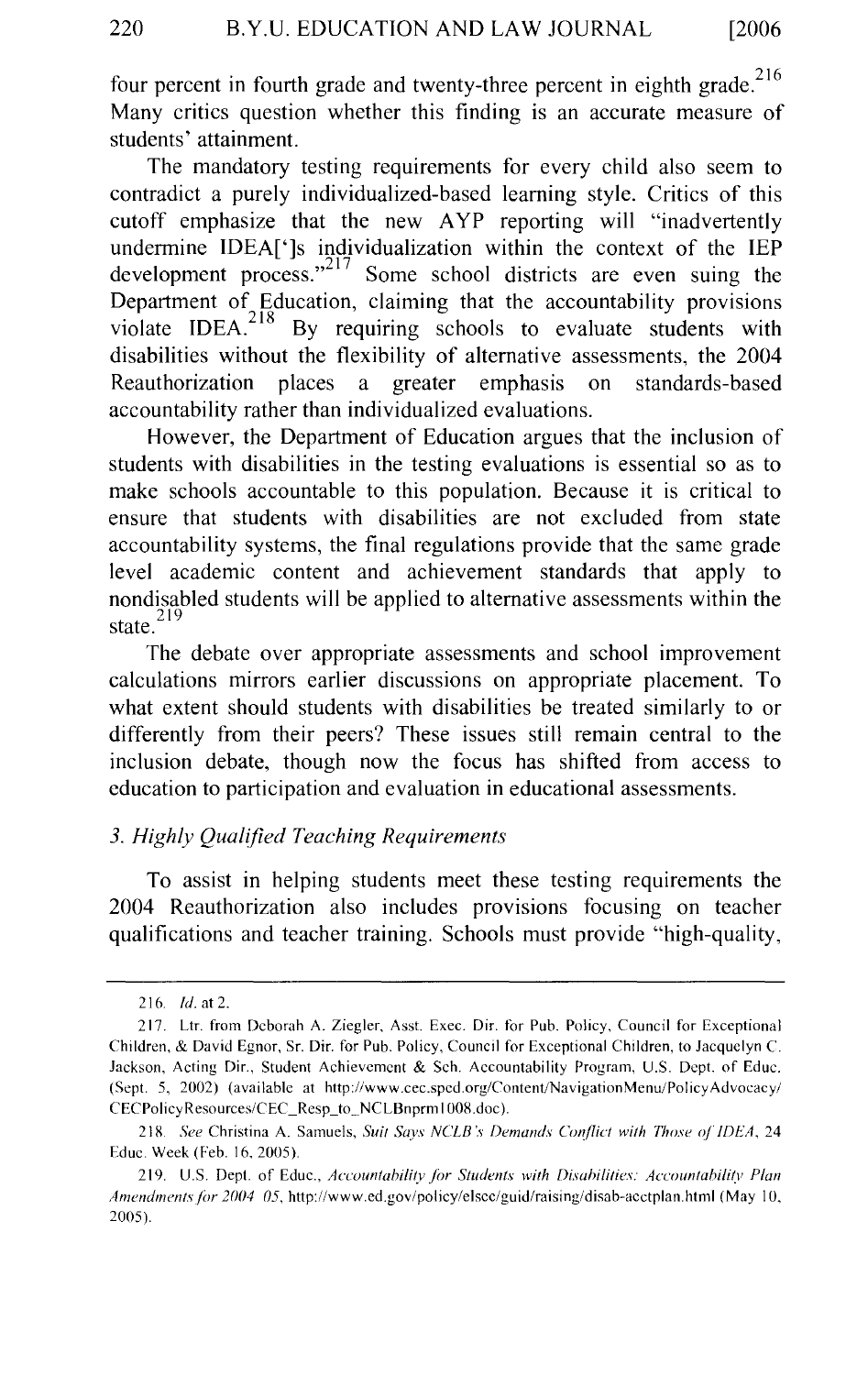four percent in fourth grade and twenty-three percent in eighth grade. $216$ Many critics question whether this finding is an accurate measure of students' attainment.

The mandatory testing requirements for every child also seem to contradict a purely individualized-based learning style. Critics of this cutoff emphasize that the new AYP reporting will "inadvertently undermine IDEA[']s individualization within the context of the IEP development process."<sup>217</sup> Some school districts are even suing the Department of Education, claiming that the accountability provisions violate  $IDEA<sup>218</sup>$  By requiring schools to evaluate students with disabilities without the flexibility of alternative assessments, the 2004 Reauthorization places a greater emphasis on standards-based accountability rather than individualized evaluations.

However, the Department of Education argues that the inclusion of students with disabilities in the testing evaluations is essential so as to make schools accountable to this population. Because it is critical to ensure that students with disabilities are not excluded from state accountability systems, the final regulations provide that the same grade level academic content and achievement standards that apply to nondisabled students will be applied to alternative assessments within the state. $^{219}$ 

The debate over appropriate assessments and school improvement calculations mirrors earlier discussions on appropriate placement. To what extent should students with disabilities be treated similarly to or differently from their peers? These issues still remain central to the inclusion debate, though now the focus has shifted from access to education to participation and evaluation in educational assessments.

# *3. Highly Qualified Teaching Requirements*

To assist in helping students meet these testing requirements the 2004 Reauthorization also includes provisions focusing on teacher qualifications and teacher training. Schools must provide "high-quality,

<sup>216.</sup> *!d.* at 2.

<sup>217.</sup> Ltr. from Deborah A. Ziegler, Asst. Exec. Dir. tor Pub. Policy, Council for Exceptional Children, & David Egnor. Sr. Dir. for Pub. Policy, Council for Exceptional Children, to Jacquelyn C. Jackson, Acting Dir., Student Achievement & Sch. Accountability Program, U.S. Dept. of Educ. (Sept. 5, 2002) (available at http://www.cec.sped.org/Content/NavigationMenu/PolicyAdvocacy/ CECPolicyResources/CEC\_Resp\_to\_NCLBnprm I 008.doc ).

<sup>218.</sup> *See* Christina A. Samuels, *Suit Says NCLB 's Demands Conflict with Those of' IDEA.* 24 Educ. Week (Feb. 16, 2005).

<sup>219.</sup> U.S. Dept. of Educ., *Accountability for Students with Disabilities: Accountability Plan Amendments for 2004 05, http://www.ed.gov/policy/elsec/guid/raising/disab-acctplan.html (May 10,* 2005)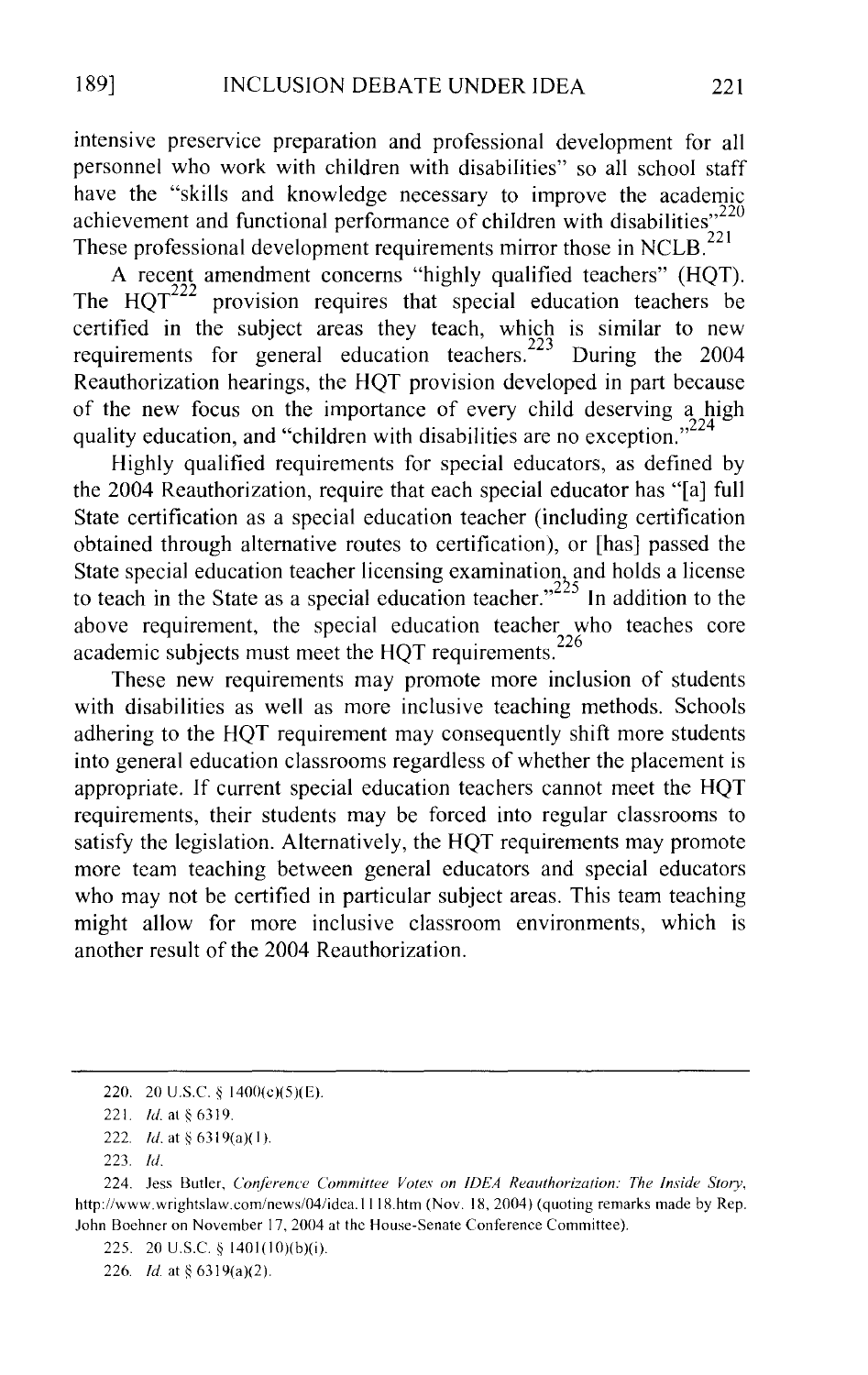intensive preservice preparation and professional development for all personnel who work with children with disabilities" so all school staff have the "skills and knowledge necessary to improve the academic achievement and functional performance of children with disabilities $^{220}$ These professional development requirements mirror those in NCLB. $^{221}$ 

A recent amendment concerns "highly qualified teachers" (HQT).<br>The  $HOT^{222}$  provision requires that special education teachers be provision requires that special education teachers be certified in the subject areas they teach, which is similar to new requirements for general education teachers.<sup>223</sup> During the 2004 Reauthorization hearings, the HQT provision developed in part because of the new focus on the importance of every child deserving a high quality education, and "children with disabilities are no exception."<sup>224</sup>

Highly qualified requirements for special educators, as defined by the 2004 Reauthorization, require that each special educator has "[a] full State certification as a special education teacher (including certification obtained through alternative routes to certification), or [has] passed the State special education teacher licensing examination, and holds a license to teach in the State as a special education teacher." $225$  In addition to the above requirement, the special education teacher who teaches core academic subjects must meet the HQT requirements.<sup>226</sup>

These new requirements may promote more inclusion of students with disabilities as well as more inclusive teaching methods. Schools adhering to the HQT requirement may consequently shift more students into general education classrooms regardless of whether the placement is appropriate. If current special education teachers cannot meet the HQT requirements, their students may be forced into regular classrooms to satisfy the legislation. Alternatively, the HQT requirements may promote more team teaching between general educators and special educators who may not be certified in particular subject areas. This team teaching might allow for more inclusive classroom environments, which is another result of the 2004 Reauthorization.

226. *ld* at§ 6319(a)(2).

<sup>220. 20</sup> US.C. § 1400(c)(5)(E).

<sup>221.</sup> *Id.* at § 6319.

<sup>222.</sup> *!d.* at *§* 6319(a)( I).

<sup>223.</sup> *!d.* 

<sup>224.</sup> Jess Butler, *Conference Committee Votes on IDEA Reauthorization: The Inside Story,*  http://www.wrightslaw.com/news/04/idca.lll8.htm (Nov. 18, 2004) (quoting remarks made by Rep. John Boehner on November 17, 2004 at the House-Senate Conference Committee).

<sup>225. 20</sup> U.S.C. *§* 1401(10)(b)(i).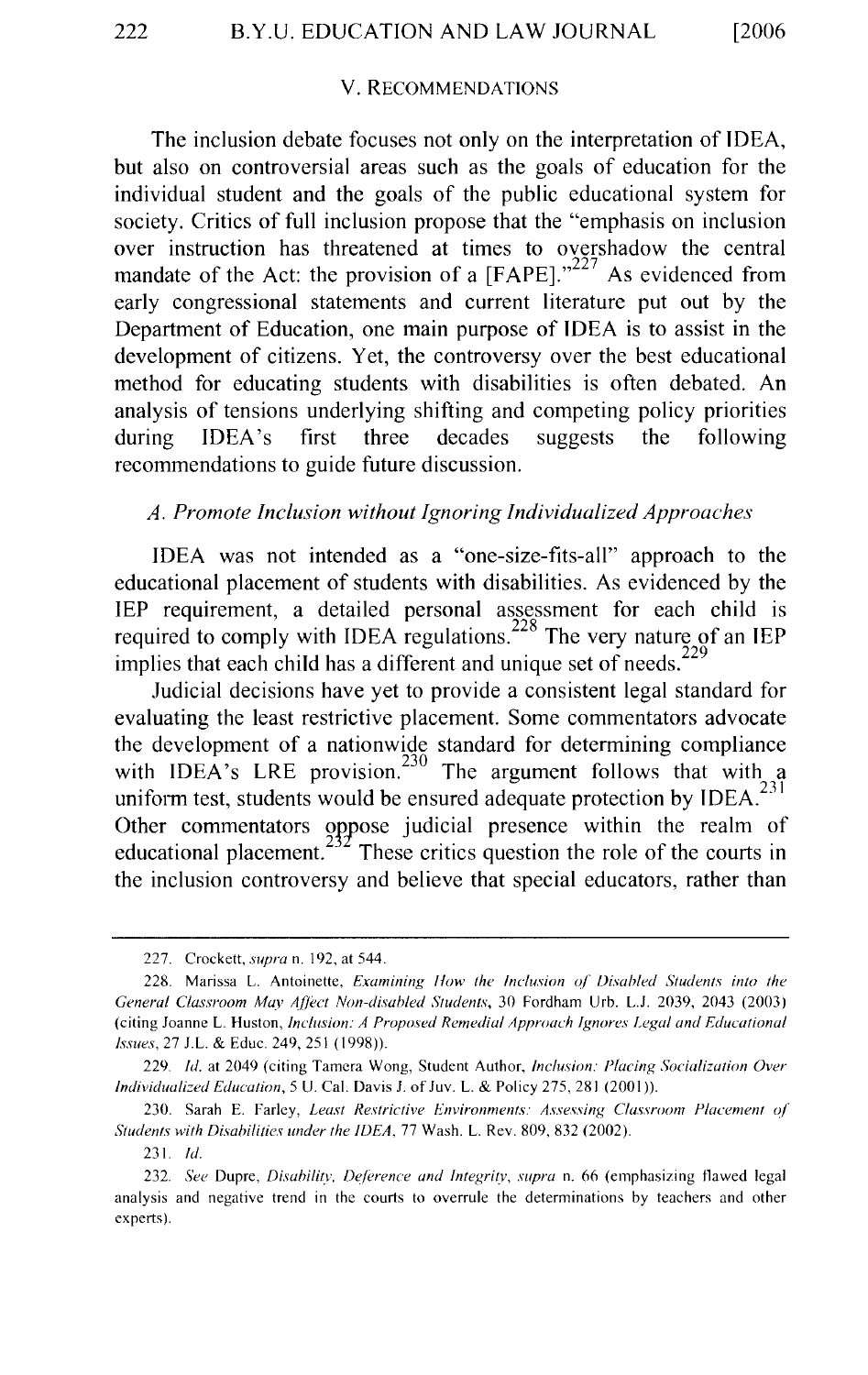#### V. RECOMMENDATIONS

The inclusion debate focuses not only on the interpretation of IDEA, but also on controversial areas such as the goals of education for the individual student and the goals of the public educational system for society. Critics of full inclusion propose that the "emphasis on inclusion over instruction has threatened at times to overshadow the central mandate of the Act: the provision of a  $[FAPE].$ <sup>227</sup> As evidenced from early congressional statements and current literature put out by the Department of Education, one main purpose of IDEA is to assist in the development of citizens. Yet, the controversy over the best educational method for educating students with disabilities is often debated. An analysis of tensions underlying shifting and competing policy priorities during IDEA's first three decades suggests the following recommendations to guide future discussion.

## *A. Promote Inclusion without Ignoring Individualized Approaches*

IDEA was not intended as a "one-size-fits-all" approach to the educational placement of students with disabilities. As evidenced by the IEP requirement, a detailed personal assessment for each child is required to comply with IDEA regulations.<sup>228</sup> The very nature of an IEP implies that each child has a different and unique set of needs.<sup>229</sup>

Judicial decisions have yet to provide a consistent legal standard for evaluating the least restrictive placement. Some commentators advocate the development of a nationwide standard for determining compliance with IDEA's LRE provision.<sup>230</sup> The argument follows that with a uniform test, students would be ensured adequate protection by  $IDEA$ <sup>231</sup> Other commentators oppose judicial presence within the realm of educational placement.<sup>232</sup> These critics question the role of the courts in  $\sim$  These critics question the role of the courts in the inclusion controversy and believe that special educators, rather than

231. *!d.* 

<sup>227.</sup> Crockett, *supra* n. 192, at 544.

<sup>228.</sup> Marissa L. Antoinette, *Examining How the Inclusion of Disabled Students into the General Classroom May AfJixt Non-disabled Students,* 30 Fordham Urb. L.J. 2039, 2043 (2003) (citing Joanne L. Huston, *Inclusion: A Proposed Remedial Approach Ignores !.ega! and Educational Issues,* 27 J.L. & Educ. 249,251 (1998)).

<sup>229.</sup> *Id.* at 2049 (citing Tamera Wong, Student Author, *Inclusion: Placing Socialization Over Individualized Education,* 5 U. Cal. Davis J. of Juv. L. & Policy 275, 281 (2001 )).

<sup>230.</sup> Sarah E. Farley, *Least Restrictive Environments: Assessing Classroom Placement ol Students with Disabilities under the IDEA, 77 Wash. L. Rev. 809, 832 (2002).* 

<sup>232.</sup> *See* Dupre, */Jisahilizv, Deference and lntegritv, supra* n. 66 (emphasizing flawed legal analysis and negative trend in the courts to overrule the determinations by teachers and other experts).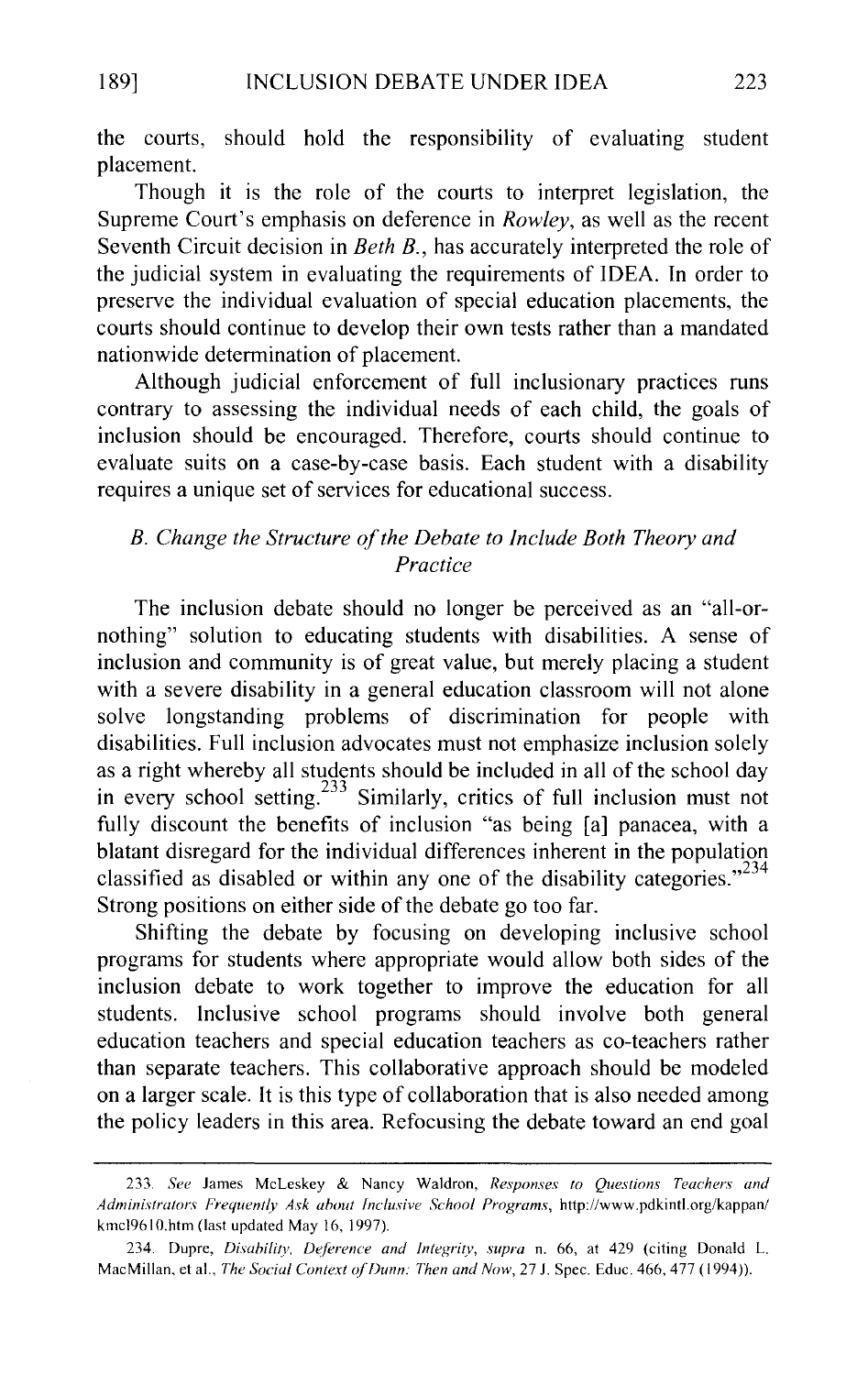the courts, should hold the responsibility of evaluating student placement.

Though it is the role of the courts to interpret legislation, the Supreme Court's emphasis on deference in *Rowley,* as well as the recent Seventh Circuit decision in *Beth B.,* has accurately interpreted the role of the judicial system in evaluating the requirements of IDEA. In order to preserve the individual evaluation of special education placements, the courts should continue to develop their own tests rather than a mandated nationwide determination of placement.

Although judicial enforcement of full inclusionary practices runs contrary to assessing the individual needs of each child, the goals of inclusion should be encouraged. Therefore, courts should continue to evaluate suits on a case-by-case basis. Each student with a disability requires a unique set of services for educational success.

# *B. Change the Structure of the Debate to Include Both Theory and Practice*

The inclusion debate should no longer be perceived as an "all-ornothing" solution to educating students with disabilities. A sense of inclusion and community is of great value, but merely placing a student with a severe disability in a general education classroom will not alone solve longstanding problems of discrimination for people with disabilities. Full inclusion advocates must not emphasize inclusion solely as a right whereby all students should be included in all of the school day in every school setting.233 Similarly, critics of full inclusion must not fully discount the benefits of inclusion "as being [a] panacea, with a blatant disregard for the individual differences inherent in the population classified as disabled or within any one of the disability categories."<sup>234</sup> Strong positions on either side of the debate go too far.

Shifting the debate by focusing on developing inclusive school programs for students where appropriate would allow both sides of the inclusion debate to work together to improve the education for all students. Inclusive school programs should involve both general education teachers and special education teachers as co-teachers rather than separate teachers. This collaborative approach should be modeled on a larger scale. It is this type of collaboration that is also needed among the policy leaders in this area. Refocusing the debate toward an end goal

<sup>233.</sup> *See* James McLeskey & Nancy Waldron, *Responses to Questions Teachers and Administrators Frequently Ask about Inclusive School Programs,* http://www.pdkintl.org/kappan/ kmcl9610.htm (last updated May 16, 1997).

<sup>234.</sup> Dupre, *Disability*, *Deference and Integrity*, *supra* n. 66, at 429 (citing Donald L. MacMillan, et al., *The Social Context of Dunn: Then and Now,* 27 J. Spec. Educ. 466,477 ( 1994)).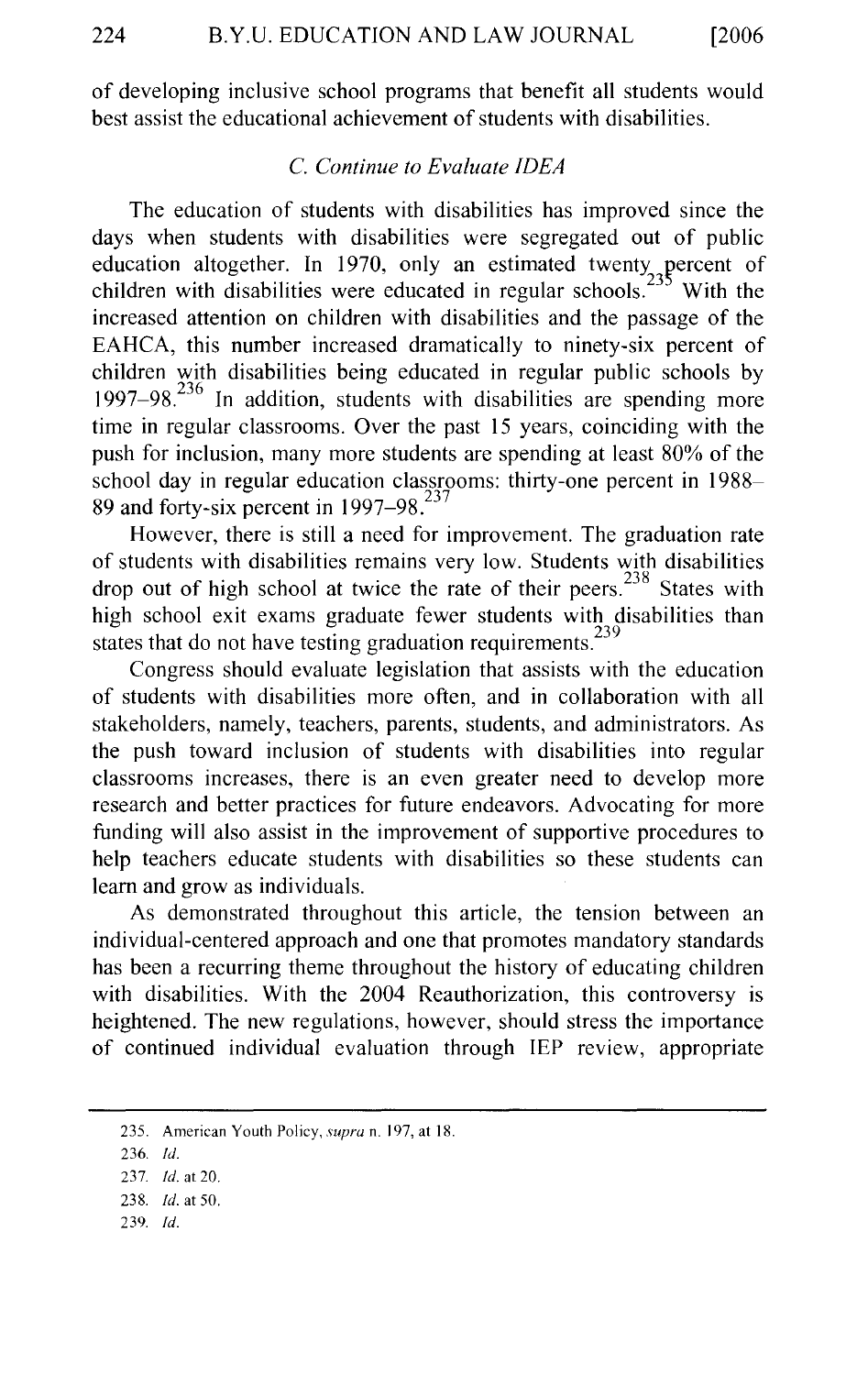of developing inclusive school programs that benefit all students would best assist the educational achievement of students with disabilities.

# C. *Continue to Evaluate IDEA*

The education of students with disabilities has improved since the days when students with disabilities were segregated out of public education altogether. In 1970, only an estimated twenty percent of children with disabilities were educated in regular schools.<sup>235</sup> With the increased attention on children with disabilities and the passage of the EAHCA, this number increased dramatically to ninety-six percent of children with disabilities being educated in regular public schools by 1997–98.<sup>236</sup> In addition, students with disabilities are spending more time in regular classrooms. Over the past 15 years, coinciding with the push for inclusion, many more students are spending at least 80% of the school day in regular education classrooms: thirty-one percent in 1988- 89 and forty-six percent in  $1997-98^{237}$ 

However, there is still a need for improvement. The graduation rate of students with disabilities remains very low. Students with disabilities drop out of high school at twice the rate of their peers.<sup>238</sup> States with high school exit exams graduate fewer students with disabilities than states that do not have testing graduation requirements.<sup>239</sup>

Congress should evaluate legislation that assists with the education of students with disabilities more often, and in collaboration with all stakeholders, namely, teachers, parents, students, and administrators. As the push toward inclusion of students with disabilities into regular classrooms increases, there is an even greater need to develop more research and better practices for future endeavors. Advocating for more funding will also assist in the improvement of supportive procedures to help teachers educate students with disabilities so these students can learn and grow as individuals.

As demonstrated throughout this article, the tension between an individual-centered approach and one that promotes mandatory standards has been a recurring theme throughout the history of educating children with disabilities. With the 2004 Reauthorization, this controversy is heightened. The new regulations, however, should stress the importance of continued individual evaluation through IEP review, appropriate

239. *!d.* 

<sup>235.</sup> American Youth Policy, *supra* n. 197, at 18.

<sup>236.</sup> *!d.* 

<sup>237.</sup> *!d.* at 20.

<sup>238.</sup> *!d.* at 50.